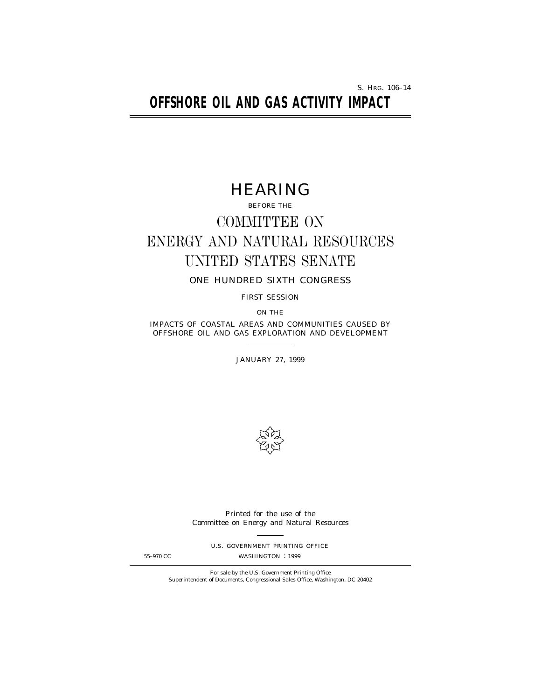S. HRG. 106–14

# **OFFSHORE OIL AND GAS ACTIVITY IMPACT**

# HEARING

BEFORE THE

# COMMITTEE ON ENERGY AND NATURAL RESOURCES UNITED STATES SENATE

ONE HUNDRED SIXTH CONGRESS

FIRST SESSION

ON THE

IMPACTS OF COASTAL AREAS AND COMMUNITIES CAUSED BY OFFSHORE OIL AND GAS EXPLORATION AND DEVELOPMENT

JANUARY 27, 1999



Printed for the use of the Committee on Energy and Natural Resources

U.S. GOVERNMENT PRINTING OFFICE

55–970 CC WASHINGTON : 1999

For sale by the U.S. Government Printing Office Superintendent of Documents, Congressional Sales Office, Washington, DC 20402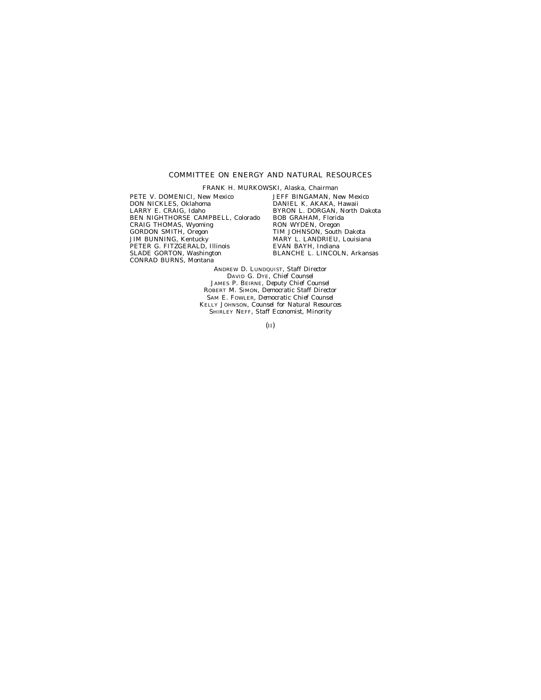# COMMITTEE ON ENERGY AND NATURAL RESOURCES

FRANK H. MURKOWSKI, Alaska, *Chairman* PETE V. DOMENICI, New Mexico DON NICKLES, Oklahoma LARRY E. CRAIG, Idaho BEN NIGHTHORSE CAMPBELL, Colorado CRAIG THOMAS, Wyoming GORDON SMITH, Oregon JIM BUNNING, Kentucky PETER G. FITZGERALD, Illinois SLADE GORTON, Washington CONRAD BURNS, Montana

JEFF BINGAMAN, New Mexico DANIEL K. AKAKA, Hawaii BYRON L. DORGAN, North Dakota BOB GRAHAM, Florida RON WYDEN, Oregon TIM JOHNSON, South Dakota MARY L. LANDRIEU, Louisiana EVAN BAYH, Indiana BLANCHE L. LINCOLN, Arkansas

ANDREW D. LUNDQUIST, *Staff Director* DAVID G. DYE, *Chief Counsel* JAMES P. BEIRNE, *Deputy Chief Counsel* ROBERT M. SIMON, *Democratic Staff Director* SAM E. FOWLER, *Democratic Chief Counsel* KELLY JOHNSON, *Counsel for Natural Resources* SHIRLEY NEFF, *Staff Economist, Minority*

(II)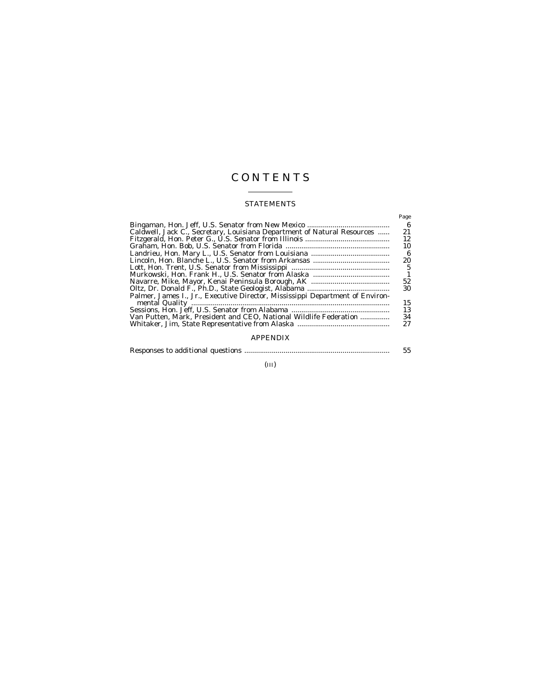# C O N T E N T S

# STATEMENTS

|                                                                               | Page |
|-------------------------------------------------------------------------------|------|
|                                                                               | -6   |
| Caldwell, Jack C., Secretary, Louisiana Department of Natural Resources       | 21   |
|                                                                               | 12   |
|                                                                               | 10   |
|                                                                               | - 6  |
|                                                                               | 20   |
|                                                                               | 5    |
|                                                                               | -1   |
|                                                                               | 52   |
|                                                                               | 30   |
| Palmer, James I., Jr., Executive Director, Mississippi Department of Environ- | 15   |
|                                                                               | 13   |
| Van Putten. Mark. President and CEO. National Wildlife Federation             | 34   |
|                                                                               | 27   |
|                                                                               |      |

# APPENDIX

|  |  |  | 55 |
|--|--|--|----|
|--|--|--|----|

# (III)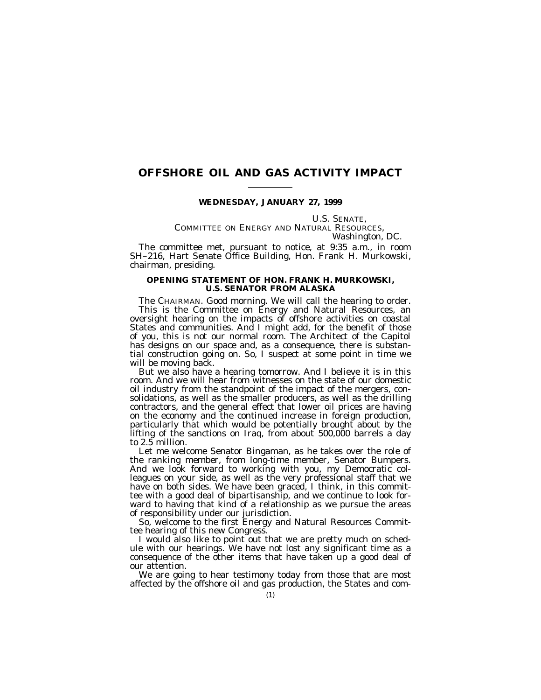# **OFFSHORE OIL AND GAS ACTIVITY IMPACT**

# **WEDNESDAY, JANUARY 27, 1999**

# U.S. SENATE,<br>COMMITTEE ON ENERGY AND NATURAL RESOURCES,<br>*Washington, DC.*

The committee met, pursuant to notice, at 9:35 a.m., in room SH–216, Hart Senate Office Building, Hon. Frank H. Murkowski, chairman, presiding.

# **OPENING STATEMENT OF HON. FRANK H. MURKOWSKI, U.S. SENATOR FROM ALASKA**

The CHAIRMAN. Good morning. We will call the hearing to order. This is the Committee on Energy and Natural Resources, an oversight hearing on the impacts of offshore activities on coastal States and communities. And I might add, for the benefit of those of you, this is not our normal room. The Architect of the Capitol has designs on our space and, as a consequence, there is substantial construction going on. So, I suspect at some point in time we will be moving back.

But we also have a hearing tomorrow. And I believe it is in this room. And we will hear from witnesses on the state of our domestic oil industry from the standpoint of the impact of the mergers, consolidations, as well as the smaller producers, as well as the drilling contractors, and the general effect that lower oil prices are having on the economy and the continued increase in foreign production, particularly that which would be potentially brought about by the lifting of the sanctions on Iraq, from about 500,000 barrels a day to 2.5 million.

Let me welcome Senator Bingaman, as he takes over the role of the ranking member, from long-time member, Senator Bumpers. And we look forward to working with you, my Democratic colleagues on your side, as well as the very professional staff that we have on both sides. We have been graced, I think, in this committee with a good deal of bipartisanship, and we continue to look forward to having that kind of a relationship as we pursue the areas of responsibility under our jurisdiction.

So, welcome to the first Energy and Natural Resources Committee hearing of this new Congress.

I would also like to point out that we are pretty much on schedule with our hearings. We have not lost any significant time as a consequence of the other items that have taken up a good deal of our attention.

We are going to hear testimony today from those that are most affected by the offshore oil and gas production, the States and com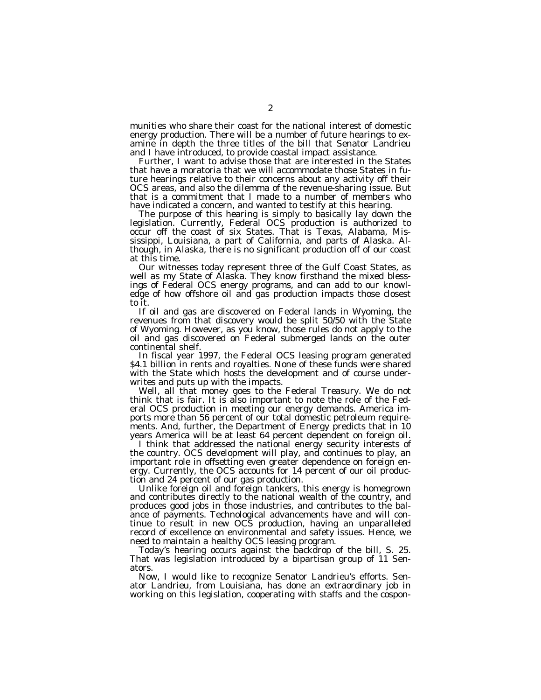munities who share their coast for the national interest of domestic energy production. There will be a number of future hearings to examine in depth the three titles of the bill that Senator Landrieu and I have introduced, to provide coastal impact assistance.

Further, I want to advise those that are interested in the States that have a moratoria that we will accommodate those States in future hearings relative to their concerns about any activity off their OCS areas, and also the dilemma of the revenue-sharing issue. But that is a commitment that I made to a number of members who have indicated a concern, and wanted to testify at this hearing.

The purpose of this hearing is simply to basically lay down the legislation. Currently, Federal OCS production is authorized to occur off the coast of six States. That is Texas, Alabama, Mississippi, Louisiana, a part of California, and parts of Alaska. Although, in Alaska, there is no significant production off of our coast at this time.

Our witnesses today represent three of the Gulf Coast States, as well as my State of Alaska. They know firsthand the mixed blessings of Federal OCS energy programs, and can add to our knowledge of how offshore oil and gas production impacts those closest to it.

If oil and gas are discovered on Federal lands in Wyoming, the revenues from that discovery would be split 50/50 with the State of Wyoming. However, as you know, those rules do not apply to the oil and gas discovered on Federal submerged lands on the outer continental shelf.

In fiscal year 1997, the Federal OCS leasing program generated \$4.1 billion in rents and royalties. None of these funds were shared with the State which hosts the development and of course underwrites and puts up with the impacts.

Well, all that money goes to the Federal Treasury. We do not think that is fair. It is also important to note the role of the Federal OCS production in meeting our energy demands. America imports more than 56 percent of our total domestic petroleum requirements. And, further, the Department of Energy predicts that in 10 years America will be at least 64 percent dependent on foreign oil.

I think that addressed the national energy security interests of the country. OCS development will play, and continues to play, an important role in offsetting even greater dependence on foreign energy. Currently, the OCS accounts for 14 percent of our oil production and 24 percent of our gas production.

Unlike foreign oil and foreign tankers, this energy is homegrown and contributes directly to the national wealth of the country, and produces good jobs in those industries, and contributes to the balance of payments. Technological advancements have and will continue to result in new OCS production, having an unparalleled record of excellence on environmental and safety issues. Hence, we need to maintain a healthy OCS leasing program.

Today's hearing occurs against the backdrop of the bill, S. 25. That was legislation introduced by a bipartisan group of 11 Senators.

Now, I would like to recognize Senator Landrieu's efforts. Senator Landrieu, from Louisiana, has done an extraordinary job in working on this legislation, cooperating with staffs and the cospon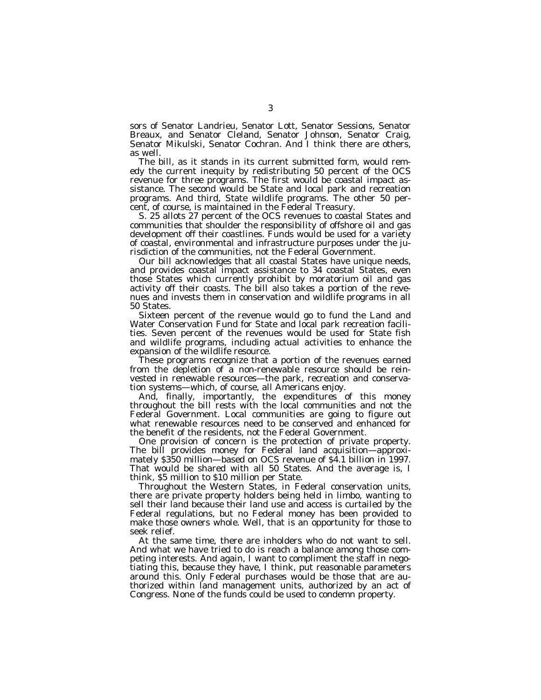sors of Senator Landrieu, Senator Lott, Senator Sessions, Senator Breaux, and Senator Cleland, Senator Johnson, Senator Craig, Senator Mikulski, Senator Cochran. And I think there are others, as well.

The bill, as it stands in its current submitted form, would remedy the current inequity by redistributing 50 percent of the OCS revenue for three programs. The first would be coastal impact assistance. The second would be State and local park and recreation programs. And third, State wildlife programs. The other 50 percent, of course, is maintained in the Federal Treasury.

S. 25 allots 27 percent of the OCS revenues to coastal States and communities that shoulder the responsibility of offshore oil and gas development off their coastlines. Funds would be used for a variety of coastal, environmental and infrastructure purposes under the jurisdiction of the communities, not the Federal Government.

Our bill acknowledges that all coastal States have unique needs, and provides coastal impact assistance to 34 coastal States, even those States which currently prohibit by moratorium oil and gas activity off their coasts. The bill also takes a portion of the revenues and invests them in conservation and wildlife programs in all 50 States.

Sixteen percent of the revenue would go to fund the Land and Water Conservation Fund for State and local park recreation facilities. Seven percent of the revenues would be used for State fish and wildlife programs, including actual activities to enhance the expansion of the wildlife resource.

These programs recognize that a portion of the revenues earned from the depletion of a non-renewable resource should be reinvested in renewable resources—the park, recreation and conservation systems—which, of course, all Americans enjoy.

And, finally, importantly, the expenditures of this money throughout the bill rests with the local communities and not the Federal Government. Local communities are going to figure out what renewable resources need to be conserved and enhanced for the benefit of the residents, not the Federal Government.

One provision of concern is the protection of private property. The bill provides money for Federal land acquisition—approximately \$350 million—based on OCS revenue of \$4.1 billion in 1997. That would be shared with all 50 States. And the average is, I think, \$5 million to \$10 million per State.

Throughout the Western States, in Federal conservation units, there are private property holders being held in limbo, wanting to sell their land because their land use and access is curtailed by the Federal regulations, but no Federal money has been provided to make those owners whole. Well, that is an opportunity for those to seek relief.

At the same time, there are inholders who do not want to sell. And what we have tried to do is reach a balance among those competing interests. And again, I want to compliment the staff in negotiating this, because they have, I think, put reasonable parameters around this. Only Federal purchases would be those that are authorized within land management units, authorized by an act of Congress. None of the funds could be used to condemn property.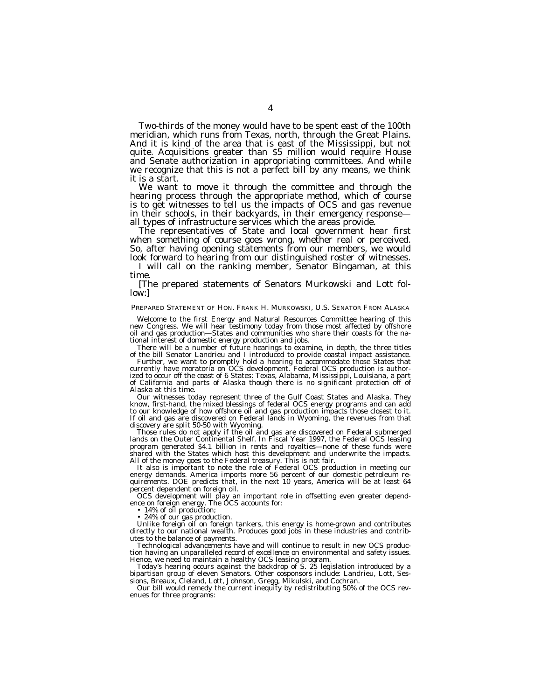Two-thirds of the money would have to be spent east of the 100th meridian, which runs from Texas, north, through the Great Plains. And it is kind of the area that is east of the Mississippi, but not quite. Acquisitions greater than \$5 million would require House and Senate authorization in appropriating committees. And while we recognize that this is not a perfect bill by any means, we think it is a start.

We want to move it through the committee and through the hearing process through the appropriate method, which of course is to get witnesses to tell us the impacts of OCS and gas revenue in their schools, in their backyards, in their emergency response all types of infrastructure services which the areas provide.

The representatives of State and local government hear first when something of course goes wrong, whether real or perceived. So, after having opening statements from our members, we would look forward to hearing from our distinguished roster of witnesses.

I will call on the ranking member, Senator Bingaman, at this time.

[The prepared statements of Senators Murkowski and Lott follow:]

#### PREPARED STATEMENT OF HON. FRANK H. MURKOWSKI, U.S. SENATOR FROM ALASKA

Welcome to the first Energy and Natural Resources Committee hearing of this new Congress. We will hear testimony today from those most affected by offshore oil and gas production—States and communities who share their coasts for the national interest of domestic energy production and jobs.

There will be a number of future hearings to examine, in depth, the three titles of the bill Senator Landrieu and I introduced to provide coastal impact assistance.

Further, we want to promptly hold a hearing to accommodate those States that currently have moratoria on OCS development. Federal OCS production is authorized to occur off the coast of 6 States: Texas, Alabama, Mississippi, Louisiana, a part of California and parts of Alaska though there is no significant protection off of Alaska at this time.

Our witnesses today represent three of the Gulf Coast States and Alaska. They know, first-hand, the mixed blessings of federal OCS energy programs and can add to our knowledge of how offshore oil and gas production impacts those closest to it. If oil and gas are discovered on Federal lands in Wyoming, the revenues from that discovery are split 50-50 with Wyoming.

Those rules do not apply if the oil and gas are discovered on Federal submerged lands on the Outer Continental Shelf. In Fiscal Year 1997, the Federal OCS leasing program generated \$4.1 billion in rents and royalties—none of these funds were shared with the States which host this development and underwrite the impacts. All of the money goes to the Federal treasury. This is not fair.

It also is important to note the role of Federal OCS production in meeting our energy demands. America imports more 56 percent of our domestic petroleum requirements. DOE predicts that, in the next 10 years, America will be at least 64 percent dependent on foreign oil.

OCS development will play an important role in offsetting even greater dependence on foreign energy. The OCS accounts for:

• 14% of oil production;

• 24% of our gas production.

Unlike foreign oil on foreign tankers, this energy is home-grown and contributes directly to our national wealth. Produces good jobs in these industries and contributes to the balance of payments.

Technological advancements have and will continue to result in new OCS production having an unparalleled record of excellence on environmental and safety issues. Hence, we need to maintain a healthy OCS leasing program.

Today's hearing occurs against the backdrop of S. 25 legislation introduced by a bipartisan group of eleven Senators. Other cosponsors include: Landrieu, Lott, Sessions, Breaux, Cleland, Lott, Johnson, Gregg, Mikulski, and Cochran.

Our bill would remedy the current inequity by redistributing 50% of the OCS revenues for three programs: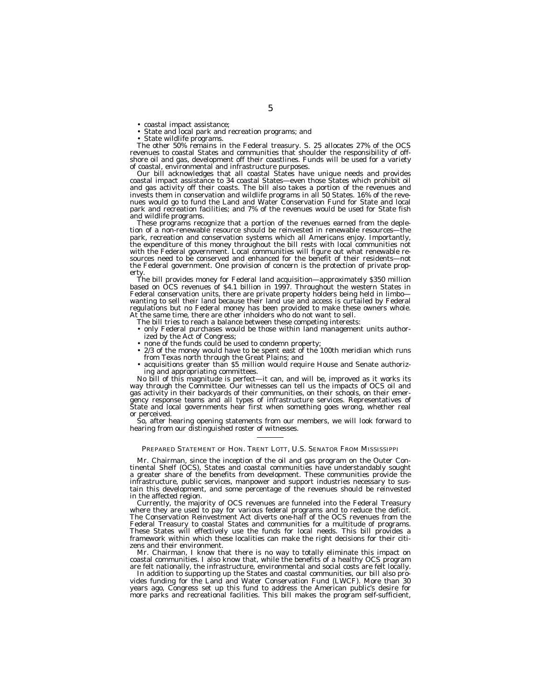• coastal impact assistance;<br>• State and local park and recreation programs; and<br>• State wildlife programs.<br>The other 50% remains in the Federal treasury. S. 25 allocates 27% of the OCS<br>revenues to coastal States and commu shore oil and gas, development off their coastlines. Funds will be used for a variety of coastal, environmental and infrastructure purposes.

Our bill acknowledges that all coastal States have unique needs and provides coastal impact assistance to 34 coastal States—even those States which prohibit oil and gas activity off their coasts. The bill also takes a portion of the revenues and invests them in conservation and wildlife programs in all 50 States. 16% of the revenues would go to fund the Land and Water Conservation Fund for State and local park and recreation facilities; and 7% of the revenues would be used for State fish and wildlife programs.

These programs recognize that a portion of the revenues earned from the depletion of a non-renewable resource should be reinvested in renewable resources—the park, recreation and conservation systems which all Americans enjoy. Importantly, the expenditure of this money throughout the bill rests with local communities not with the Federal government. Local communities will figure out what renewable resources need to be conserved and enhanced for the benefit of their residents—not the Federal government. One provision of concern is the protection of private property

The bill provides money for Federal land acquisition—approximately \$350 million based on OCS revenues of \$4.1 billion in 1997. Throughout the western States in Federal conservation units, there are private property holders being held in limbo wanting to sell their land because their land use and access is curtailed by Federal regulations but no Federal money has been provided to make these owners whole. At the same time, there are other inholders who do not want to sell.

The bill tries to reach a balance between these competing interests:

- only Federal purchases would be those within land management units authorized by the Act of Congress;
- none of the funds could be used to condemn property;
- 2/3 of the money would have to be spent east of the 100th meridian which runs from Texas north through the Great Plains; and
- acquisitions greater than \$5 million would require House and Senate authorizing and appropriating committees.

No bill of this magnitude is perfect—it can, and will be, improved as it works its way through the Committee. Our witnesses can tell us the impacts of OCS oil and gas activity in their backyards of their communities, on their schools, on their emergency response teams and all types of infrastructure services. Representatives of State and local governments hear first when something goes wrong, whether real or perceived.

So, after hearing opening statements from our members, we will look forward to hearing from our distinguished roster of witnesses.

#### PREPARED STATEMENT OF HON. TRENT LOTT, U.S. SENATOR FROM MISSISSIPPI

Mr. Chairman, since the inception of the oil and gas program on the Outer Continental Shelf (OCS), States and coastal communities have understandably sought a greater share of the benefits from development. These communities provide the infrastructure, public services, manpower and support industries necessary to sustain this development, and some percentage of the revenues should be reinvested in the affected region.

Currently, the majority of OCS revenues are funneled into the Federal Treasury where they are used to pay for various federal programs and to reduce the deficit. The Conservation Reinvestment Act diverts one-half of the OCS revenues from the Federal Treasury to coastal States and communities for a multitude of programs. These States will effectively use the funds for local needs. This bill provides a framework within which these localities can make the right decisions for their citizens and their environment.

Mr. Chairman, I know that there is no way to totally eliminate this impact on coastal communities. I also know that, while the benefits of a healthy OCS program are felt nationally, the infrastructure, environmental and social costs are felt locally.

In addition to supporting up the States and coastal communities, our bill also provides funding for the Land and Water Conservation Fund (LWCF). More than 30 years ago, Congress set up this fund to address the American public's desire for more parks and recreational facilities. This bill makes the program self-sufficient,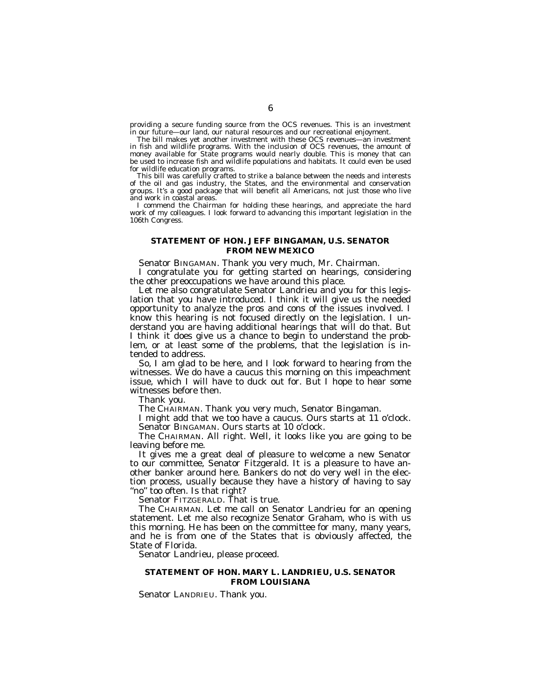providing a secure funding source from the OCS revenues. This is an investment in our future—our land, our natural resources and our recreational enjoyment.

The bill makes yet another investment with these OCS revenues—an investment in fish and wildlife programs. With the inclusion of OCS revenues, the amount of money available for State programs would nearly double. This is money that can be used to increase fish and wildlife populations and habitats. It could even be used for wildlife education programs.

This bill was carefully crafted to strike a balance between the needs and interests of the oil and gas industry, the States, and the environmental and conservation groups. It's a good package that will benefit all Americans, not just those who live and work in coastal areas.

I commend the Chairman for holding these hearings, and appreciate the hard work of my colleagues. I look forward to advancing this important legislation in the 106th Congress.

# **STATEMENT OF HON. JEFF BINGAMAN, U.S. SENATOR FROM NEW MEXICO**

Senator BINGAMAN. Thank you very much, Mr. Chairman.

I congratulate you for getting started on hearings, considering the other preoccupations we have around this place.

Let me also congratulate Senator Landrieu and you for this legislation that you have introduced. I think it will give us the needed opportunity to analyze the pros and cons of the issues involved. I know this hearing is not focused directly on the legislation. I understand you are having additional hearings that will do that. But I think it does give us a chance to begin to understand the problem, or at least some of the problems, that the legislation is intended to address.

So, I am glad to be here, and I look forward to hearing from the witnesses. We do have a caucus this morning on this impeachment issue, which I will have to duck out for. But I hope to hear some witnesses before then.

Thank you.

The CHAIRMAN. Thank you very much, Senator Bingaman.

I might add that we too have a caucus. Ours starts at 11 o'clock. Senator BINGAMAN. Ours starts at 10 o'clock.

The CHAIRMAN. All right. Well, it looks like you are going to be leaving before me.

It gives me a great deal of pleasure to welcome a new Senator to our committee, Senator Fitzgerald. It is a pleasure to have another banker around here. Bankers do not do very well in the election process, usually because they have a history of having to say "no" too often. Is that right?

Senator FITZGERALD. That is true.

The CHAIRMAN. Let me call on Senator Landrieu for an opening statement. Let me also recognize Senator Graham, who is with us this morning. He has been on the committee for many, many years, and he is from one of the States that is obviously affected, the State of Florida.

Senator Landrieu, please proceed.

# **STATEMENT OF HON. MARY L. LANDRIEU, U.S. SENATOR FROM LOUISIANA**

Senator LANDRIEU. Thank you.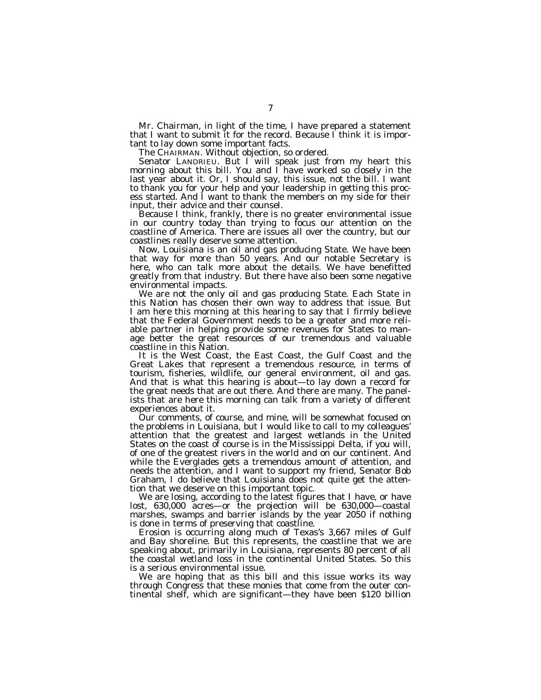Mr. Chairman, in light of the time, I have prepared a statement that I want to submit it for the record. Because I think it is important to lay down some important facts.

The CHAIRMAN. Without objection, so ordered.

Senator LANDRIEU. But I will speak just from my heart this morning about this bill. You and I have worked so closely in the last year about it. Or, I should say, this issue, not the bill. I want to thank you for your help and your leadership in getting this process started. And I want to thank the members on my side for their input, their advice and their counsel.

Because I think, frankly, there is no greater environmental issue in our country today than trying to focus our attention on the coastline of America. There are issues all over the country, but our coastlines really deserve some attention.

Now, Louisiana is an oil and gas producing State. We have been that way for more than 50 years. And our notable Secretary is here, who can talk more about the details. We have benefitted greatly from that industry. But there have also been some negative environmental impacts.

We are not the only oil and gas producing State. Each State in this Nation has chosen their own way to address that issue. But I am here this morning at this hearing to say that I firmly believe that the Federal Government needs to be a greater and more reliable partner in helping provide some revenues for States to manage better the great resources of our tremendous and valuable coastline in this Nation.

It is the West Coast, the East Coast, the Gulf Coast and the Great Lakes that represent a tremendous resource, in terms of tourism, fisheries, wildlife, our general environment, oil and gas. And that is what this hearing is about—to lay down a record for the great needs that are out there. And there are many. The panelists that are here this morning can talk from a variety of different experiences about it.

Our comments, of course, and mine, will be somewhat focused on the problems in Louisiana, but I would like to call to my colleagues' attention that the greatest and largest wetlands in the United States on the coast of course is in the Mississippi Delta, if you will, of one of the greatest rivers in the world and on our continent. And while the Everglades gets a tremendous amount of attention, and needs the attention, and I want to support my friend, Senator Bob Graham, I do believe that Louisiana does not quite get the attention that we deserve on this important topic.

We are losing, according to the latest figures that I have, or have lost, 630,000 acres—or the projection will be 630,000—coastal marshes, swamps and barrier islands by the year 2050 if nothing is done in terms of preserving that coastline.

Erosion is occurring along much of Texas's 3,667 miles of Gulf and Bay shoreline. But this represents, the coastline that we are speaking about, primarily in Louisiana, represents 80 percent of all the coastal wetland loss in the continental United States. So this is a serious environmental issue.

We are hoping that as this bill and this issue works its way through Congress that these monies that come from the outer continental shelf, which are significant—they have been \$120 billion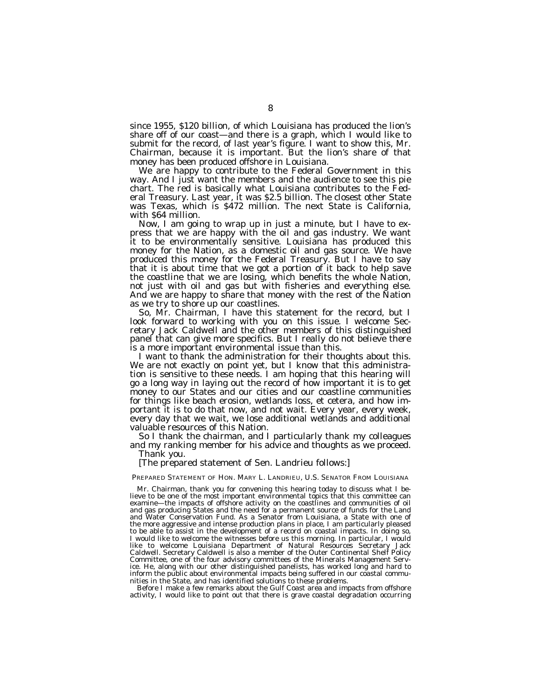since 1955, \$120 billion, of which Louisiana has produced the lion's share off of our coast—and there is a graph, which I would like to submit for the record, of last year's figure. I want to show this, Mr. Chairman, because it is important. But the lion's share of that money has been produced offshore in Louisiana.

We are happy to contribute to the Federal Government in this way. And I just want the members and the audience to see this pie chart. The red is basically what Louisiana contributes to the Federal Treasury. Last year, it was \$2.5 billion. The closest other State was Texas, which is \$472 million. The next State is California, with \$64 million.

Now, I am going to wrap up in just a minute, but I have to express that we are happy with the oil and gas industry. We want it to be environmentally sensitive. Louisiana has produced this money for the Nation, as a domestic oil and gas source. We have produced this money for the Federal Treasury. But I have to say that it is about time that we got a portion of it back to help save the coastline that we are losing, which benefits the whole Nation, not just with oil and gas but with fisheries and everything else. And we are happy to share that money with the rest of the Nation as we try to shore up our coastlines.

So, Mr. Chairman, I have this statement for the record, but I look forward to working with you on this issue. I welcome Secretary Jack Caldwell and the other members of this distinguished panel that can give more specifics. But I really do not believe there is a more important environmental issue than this.

I want to thank the administration for their thoughts about this. We are not exactly on point yet, but I know that this administration is sensitive to these needs. I am hoping that this hearing will go a long way in laying out the record of how important it is to get money to our States and our cities and our coastline communities for things like beach erosion, wetlands loss, et cetera, and how important it is to do that now, and not wait. Every year, every week, every day that we wait, we lose additional wetlands and additional valuable resources of this Nation.

So I thank the chairman, and I particularly thank my colleagues and my ranking member for his advice and thoughts as we proceed. Thank you.

[The prepared statement of Sen. Landrieu follows:]

PREPARED STATEMENT OF HON. MARY L. LANDRIEU, U.S. SENATOR FROM LOUISIANA

Mr. Chairman, thank you for convening this hearing today to discuss what I believe to be one of the most important environmental topics that this committee can examine—the impacts of offshore activity on the coastlines and communities of oil and gas producing States and the need for a permanent source of funds for the Land and Water Conservation Fund. As a Senator from Louisiana, a State with one of the more aggressive and intense production plans in place, I am particularly pleased to be able to assist in the development of a record on coastal impacts. In doing so, I would like to welcome the witnesses before us this morning. In particular, I would like to welcome Louisiana Department of Natural Resources Secretary Jack Caldwell. Secretary Caldwell is also a member of the Outer Continental Shelf Policy Committee, one of the four advisory committees of the Minerals Management Service. He, along with our other distinguished panelists, has worked long and hard to inform the public about environmental impacts being suffered in our coastal communities in the State, and has identified solutions to these problems.

Before I make a few remarks about the Gulf Coast area and impacts from offshore activity, I would like to point out that there is grave coastal degradation occurring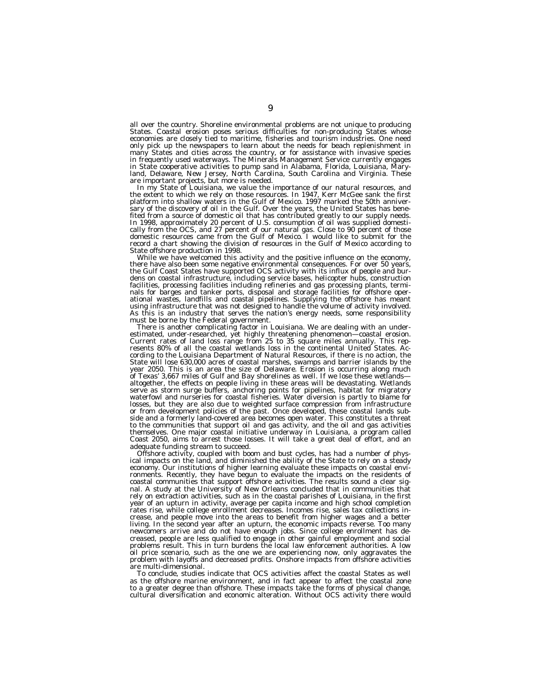all over the country. Shoreline environmental problems are not unique to producing States. Coastal erosion poses serious difficulties for non-producing States whose economies are closely tied to maritime, fisheries and tourism industries. One need only pick up the newspapers to learn about the needs for beach replenishment in many States and cities across the country, or for assistance with invasive species in frequently used waterways. The Minerals Management Service currently engages in State cooperative activities to pump sand in Alabama, Florida, Louisiana, Maryland, Delaware, New Jersey, North Carolina, South Carolina and Virginia. These

In my State of Louisiana, we value the importance of our natural resources, and the extent to which we rely on those resources. In 1947, Kerr McGee sank the first platform into shallow waters in the Gulf of Mexico. 1997 marked the 50th anniver-<br>sary of the discovery of oil in the Gulf. Over the years, the United States has bene-<br>fited from a source of domestic oil that has contribut State offshore production in 1998.

While we have welcomed this activity and the positive influence on the economy, there have also been some negative environmental consequences. For over 50 years, the Gulf Coast States have supported OCS activity with its influx of people and burdens on coastal infrastructure, including service bases, helicopter hubs, construction facilities, processing facilities including refineries and gas processing plants, terminals for barges and tanker ports, disposal and storage facilities for offshore operational wastes, landfills and coastal pipelines. Sup As this is an industry that serves the nation's energy needs, some responsibility must be borne by the Federal government.

There is another complicating factor in Louisiana. We are dealing with an under-Current rates of land loss range from 25 to 35 square miles annually. This rep-resents 80% of all the coastal wetlands loss in the continental United States. According to the Louisiana Department of Natural Resources, if there is no action, the State will lose 630,000 acres of coastal marshes, swamps and barrier islands by the year 2050. This is an area the size of Delaware. Erosion is occurring along much of Texas' 3,667 miles of Gulf and Bay shorelines as well. If we lose these wetlands altogether, the effects on people living in these areas will be devastating. Wetlands serve as storm surge buffers, anchoring points for pipelines, habitat for migratory waterfowl and nurseries for coastal fisheries. Water diversion is partly to blame for losses, but they are also due to weighted surface compression from infrastructure or from development policies of the past. Once developed, these coastal lands subside and a formerly land-covered area becomes open water. This constitutes a threat to the communities that support oil and gas activity, and the oil and gas activities themselves. One major coastal initiative underway in Louisiana, a program called Coast 2050, aims to arrest those losses. It will take a great deal of effort, and an adequate funding stream to succeed.

Offshore activity, coupled with boom and bust cycles, has had a number of physical impacts on the land, and diminished the ability of the State to rely on a steady economy. Our institutions of higher learning evaluate these impacts on coastal environments. Recently, they have begun to evaluate the impacts on the residents of coastal communities that support offshore activities. The results sound a clear signal. A study at the University of New Orleans concluded that in communities that rely on extraction activities, such as in the coastal parishes of Louisiana, in the first year of an upturn in activity, average per capita income and high school completion rates rise, while college enrollment decreases. Incomes rise, sales tax collections increase, and people move into the areas to benefit from higher wages and a better living. In the second year after an upturn, the economic impacts reverse. Too many newcomers arrive and do not have enough jobs. Since college enrollment has decreased, people are less qualified to engage in other gainful employment and social problems result. This in turn burdens the local law enforcement authorities. A low oil price scenario, such as the one we are experiencing now, only aggravates the problem with layoffs and decreased profits. Onshore impacts from offshore activities are multi-dimensional.

To conclude, studies indicate that OCS activities affect the coastal States as well as the offshore marine environment, and in fact appear to affect the coastal zone to a greater degree than offshore. These impacts take the forms of physical change, cultural diversification and economic alteration. Without OCS activity there would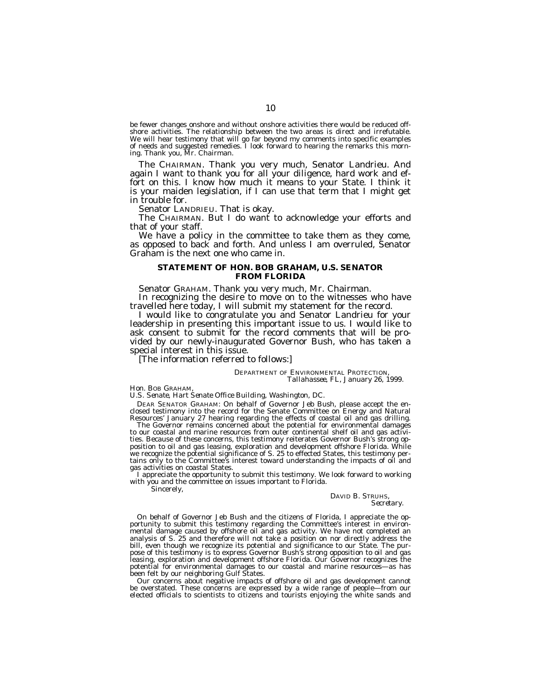be fewer changes onshore and without onshore activities there would be reduced offshore activities. The relationship between the two areas is direct and irrefutable. We will hear testimony that will go far beyond my comments into specific examples of needs and suggested remedies. I look forward to hearing the remarks this morning. Thank you, Mr. Chairman.

The CHAIRMAN. Thank you very much, Senator Landrieu. And again I want to thank you for all your diligence, hard work and effort on this. I know how much it means to your State. I think it is your maiden legislation, if I can use that term that I might get in trouble for.

Senator LANDRIEU. That is okay.

The CHAIRMAN. But I do want to acknowledge your efforts and that of your staff.

We have a policy in the committee to take them as they come, as opposed to back and forth. And unless I am overruled, Senator Graham is the next one who came in.

# **STATEMENT OF HON. BOB GRAHAM, U.S. SENATOR FROM FLORIDA**

Senator GRAHAM. Thank you very much, Mr. Chairman.

In recognizing the desire to move on to the witnesses who have travelled here today, I will submit my statement for the record.

I would like to congratulate you and Senator Landrieu for your leadership in presenting this important issue to us. I would like to ask consent to submit for the record comments that will be provided by our newly-inaugurated Governor Bush, who has taken a special interest in this issue.

[The information referred to follows:]

DEPARTMENT OF ENVIRONMENTAL PROTECTION, *Tallahassee, FL, January 26, 1999.*

# Hon. BOB GRAHAM,

*U.S. Senate, Hart Senate Office Building, Washington, DC.*

DEAR SENATOR GRAHAM: On behalf of Governor Jeb Bush, please accept the enclosed testimony into the record for the Senate Committee on Energy and Natural Resources' January 27 hearing regarding the effects of coastal oil and gas drilling.

The Governor remains concerned about the potential for environmental damages to our coastal and marine resources from outer continental shelf oil and gas activities. Because of these concerns, this testimony reiterates Governor Bush's strong opposition to oil and gas leasing, exploration and development offshore Florida. While we recognize the potential significance of S. 25 to effected States, this testimony pertains only to the Committee's interest toward understanding the impacts of oil and gas activities on coastal States.

I appreciate the opportunity to submit this testimony. We look forward to working with you and the committee on issues important to Florida.

# Sincerely,

#### DAVID B. STRUHS, *Secretary.*

On behalf of Governor Jeb Bush and the citizens of Florida, I appreciate the opportunity to submit this testimony regarding the Committee's interest in environmental damage caused by offshore oil and gas activity. We have not completed an analysis of S. 25 and therefore will not take a position on nor directly address the bill, even though we recognize its potential and significance to our State. The purpose of this testimony is to express Governor Bush's strong opposition to oil and gas leasing, exploration and development offshore Florida. Our Governor recognizes the potential for environmental damages to our coastal and marine resources—as has been felt by our neighboring Gulf States.

Our concerns about negative impacts of offshore oil and gas development cannot be overstated. These concerns are expressed by a wide range of people—from our elected officials to scientists to citizens and tourists enjoying the white sands and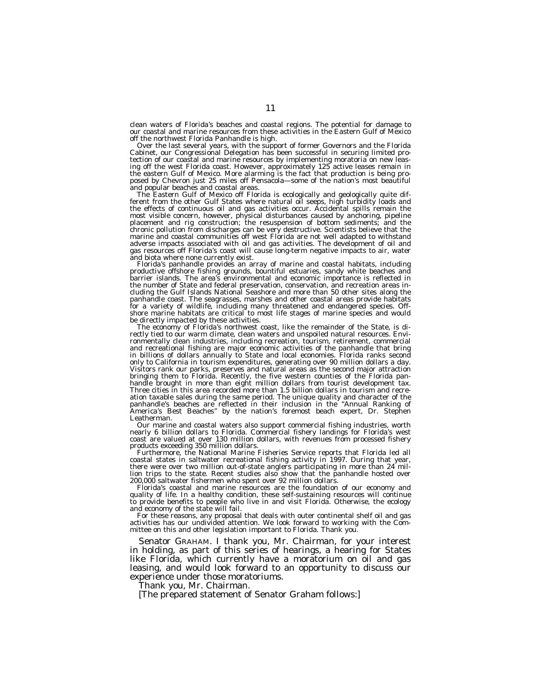clean waters of Florida's beaches and coastal regions. The potential for damage to our coastal and marine resources from these activities in the Eastern Gulf of Mexico

off the northwest Florida Panhandle is high. Over the last several years, with the support of former Governors and the Florida Cabinet, our Congressional Delegation has been successful in securing limited protection of our coastal and marine resources by implementing moratoria on new leasing off the west Florida coast. However, approximately 125 active leases remain in the eastern Gulf of Mexico. More alarming is the fact that production is being proposed by Chevron just 25 miles off Pensacola—some of the nation's most beautiful

and popular beaches and coastal areas.<br>The Eastern Gulf of Mexico off Florida is ecologically and geologically quite dif-The Eastern Gulf of Mexico off Florida is ecologically and geologically quite different from the other Gulf States where natural oil seeps, high turbidity loads and the effects of continuous oil and gas activities occur. A most visible concern, however, physical disturbances caused by anchoring, pipeline placement and rig construction; the resuspension of bottom sediments; and the chronic pollution from discharges can be very destructive. Scientists believe that the marine and coastal communities off west Florida are not well adapted to withstand adverse impacts associated with oil and gas activities. The development of oil and gas resources off Florida's coast will cause long-term negative impacts to air, water

and biota where none currently exist. Florida's panhandle provides an array of marine and coastal habitats, including productive offshore fishing grounds, bountiful estuaries, sandy white beaches and barrier islands. The area's environmental and economic importance is reflected in the number of State and federal preservation, conservation, and recreation areas in-cluding the Gulf Islands National Seashore and more than 50 other sites along the panhandle coast. The seagrasses, marshes and other coastal areas provide habitats<br>for a variety of wildlife, including many threatened and endangered species. Off-<br>shore marine habitats are critical to most life stages of

be directly impacted by these activities.<br>The economy of Florida's northwest coast, like the remainder of the State, is di-<br>rectly tied to our warm climate, clean waters and unspoiled natural resources. Environmentally clean industries, including recreation, tourism, retirement, commercial and recreational fishing are major economic activities of the panhandle that bring in billions of dollars annually to State and local economies. Florida ranks second only to California in tourism expenditures, generating over 90 million dollars a day. Visitors rank our parks, preserves and natural areas as the second major attraction bringing them to Florida. Recently, the five western counties of the Florida panhandle brought in more than eight million dollars from tourist development tax. Three cities in this area recorded more than 1.5 billion dollars in tourism and recreation taxable sales during the same period. The unique quality and character of the panhandle's beaches are reflected in their inclusion in the ''Annual Ranking of America's Best Beaches'' by the nation's foremost beach expert, Dr. Stephen Leatherman.

Our marine and coastal waters also support commercial fishing industries, worth nearly 6 billion dollars to Florida. Commercial fishery landings for Florida's west coast are valued at over 130 million dollars, with revenues from processed fishery products exceeding 350 million dollars.<br>Furthermore, the National Marine Fisheries Service reports that Florida led all

coastal states in saltwater recreational fishing activity in 1997. During that year, there were over two million out-of-state anglers participating in more than 24 million trips to the state. Recent studies also show that the panhandle hosted over 200,000 saltwater fishermen who spent over 92 million dollars.

Florida's coastal and marine resources are the foundation of our economy and<br>quality of life. In a healthy condition, these self-sustaining resources will continue<br>to provide benefits to people who live in and visit Florid

and economy of the state will fail. For these reasons, any proposal that deals with outer continental shelf oil and gas activities has our undivided attention. We look forward to working with the Committee on this and other legislation important to Florida. Thank you.

Senator GRAHAM. I thank you, Mr. Chairman, for your interest in holding, as part of this series of hearings, a hearing for States like Florida, which currently have a moratorium on oil and gas leasing, and would look forward to an opportunity to discuss our experience under those moratoriums.

Thank you, Mr. Chairman.

[The prepared statement of Senator Graham follows:]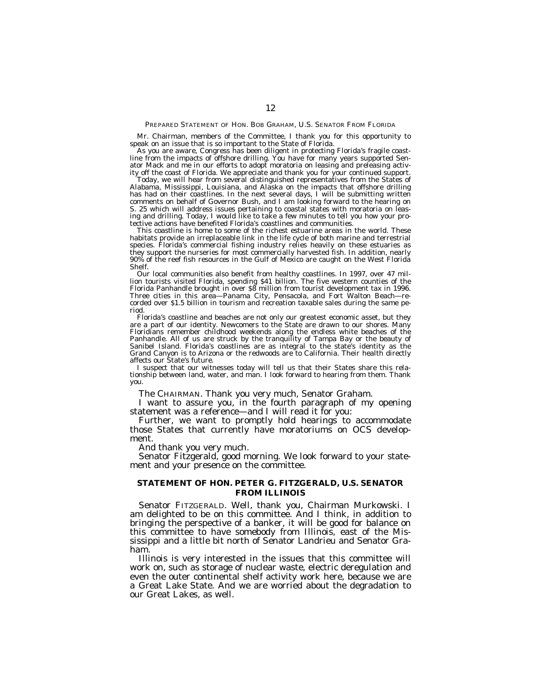#### PREPARED STATEMENT OF HON. BOB GRAHAM, U.S. SENATOR FROM FLORIDA

Mr. Chairman, members of the Committee, I thank you for this opportunity to speak on an issue that is so important to the State of Florida.

As you are aware, Congress has been diligent in protecting Florida's fragile coastline from the impacts of offshore drilling. You have for many years supported Senator Mack and me in our efforts to adopt moratoria on leasing and preleasing activity off the coast of Florida. We appreciate and thank you for your continued support.

Today, we will hear from several distinguished representatives from the States of Alabama, Mississippi, Louisiana, and Alaska on the impacts that offshore drilling has had on their coastlines. In the next several days, I will be submitting written comments on behalf of Governor Bush, and I am looking forward to the hearing on S. 25 which will address issues pertaining to coastal states with moratoria on leasing and drilling. Today, I would like to take a few minutes to tell you how your protective actions have benefited Florida's coastlines and communities.

This coastline is home to some of the richest estuarine areas in the world. These habitats provide an irreplaceable link in the life cycle of both marine and terrestrial species. Florida's commercial fishing industry relies heavily on these estuaries as they support the nurseries for most commercially harvested fish. In addition, nearly 90% of the reef fish resources in the Gulf of Mexico are caught on the West Florida Shelf.

Our local communities also benefit from healthy coastlines. In 1997, over 47 million tourists visited Florida, spending \$41 billion. The five western counties of the Florida Panhandle brought in over \$8 million from tourist development tax in 1996. Three cities in this area—Panama City, Pensacola, and Fort Walton Beach—recorded over \$1.5 billion in tourism and recreation taxable sales during the same period.

Florida's coastline and beaches are not only our greatest economic asset, but they are a part of our identity. Newcomers to the State are drawn to our shores. Many Floridians remember childhood weekends along the endless white beaches of the Panhandle. All of us are struck by the tranquility of Tampa Bay or the beauty of Sanibel Island. Florida's coastlines are as integral to the state's identity as the Grand Canyon is to Arizona or the redwoods are to California. Their health directly affects our State's future.

I suspect that our witnesses today will tell us that their States share this relationship between land, water, and man. I look forward to hearing from them. Thank you.

The CHAIRMAN. Thank you very much, Senator Graham.

I want to assure you, in the fourth paragraph of my opening statement was a reference—and I will read it for you:

Further, we want to promptly hold hearings to accommodate those States that currently have moratoriums on OCS development.

And thank you very much.

Senator Fitzgerald, good morning. We look forward to your statement and your presence on the committee.

# **STATEMENT OF HON. PETER G. FITZGERALD, U.S. SENATOR FROM ILLINOIS**

Senator FITZGERALD. Well, thank you, Chairman Murkowski. I am delighted to be on this committee. And I think, in addition to bringing the perspective of a banker, it will be good for balance on this committee to have somebody from Illinois, east of the Mississippi and a little bit north of Senator Landrieu and Senator Graham.

Illinois is very interested in the issues that this committee will work on, such as storage of nuclear waste, electric deregulation and even the outer continental shelf activity work here, because we are a Great Lake State. And we are worried about the degradation to our Great Lakes, as well.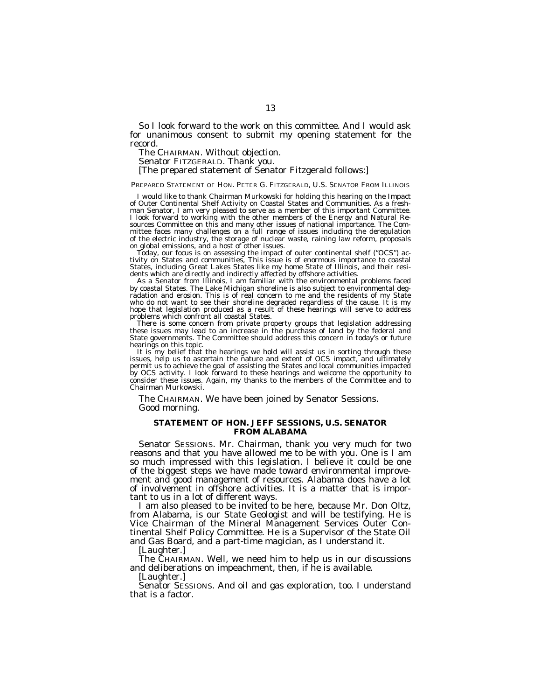So I look forward to the work on this committee. And I would ask for unanimous consent to submit my opening statement for the record.

The CHAIRMAN. Without objection.

Senator FITZGERALD. Thank you.

# [The prepared statement of Senator Fitzgerald follows:]

# PREPARED STATEMENT OF HON. PETER G. FITZGERALD, U.S. SENATOR FROM ILLINOIS

I would like to thank Chairman Murkowski for holding this hearing on the Impact of Outer Continental Shelf Activity on Coastal States and Communities. As a freshman Senator, I am very pleased to serve as a member of this important Committee. I look forward to working with the other members of the Energy and Natural Resources Committee on this and many other issues of national importance. The Committee faces many challenges on a full range of issues including the deregulation of the electric industry, the storage of nuclear waste, raining law reform, proposals on global emissions, and a host of other issues.

Today, our focus is on assessing the impact of outer continental shelf (''OCS'') activity on States and communities, This issue is of enormous importance to coastal States, including Great Lakes States like my home State of Illinois, and their residents which are directly and indirectly affected by offshore activities.

As a Senator from Illinois, I am familiar with the environmental problems faced by coastal States. The Lake Michigan shoreline is also subject to environmental degradation and erosion. This is of real concern to me and the residents of my State who do not want to see their shoreline degraded regardless of the cause. It is my hope that legislation produced as a result of these hearings will serve to address problems which confront all coastal States.

There is some concern from private property groups that legislation addressing these issues may lead to an increase in the purchase of land by the federal and State governments. The Committee should address this concern in today's or future hearings on this topic.

It is my belief that the hearings we hold will assist us in sorting through these issues, help us to ascertain the nature and extent of OCS impact, and ultimately permit us to achieve the goal of assisting the States and local communities impacted by OCS activity. I look forward to these hearings and welcome the opportunity to consider these issues. Again, my thanks to the members of the Committee and to Chairman Murkowski.

The CHAIRMAN. We have been joined by Senator Sessions. Good morning.

# **STATEMENT OF HON. JEFF SESSIONS, U.S. SENATOR FROM ALABAMA**

Senator SESSIONS. Mr. Chairman, thank you very much for two reasons and that you have allowed me to be with you. One is I am so much impressed with this legislation. I believe it could be one of the biggest steps we have made toward environmental improvement and good management of resources. Alabama does have a lot of involvement in offshore activities. It is a matter that is important to us in a lot of different ways.

I am also pleased to be invited to be here, because Mr. Don Oltz, from Alabama, is our State Geologist and will be testifying. He is Vice Chairman of the Mineral Management Services Outer Continental Shelf Policy Committee. He is a Supervisor of the State Oil and Gas Board, and a part-time magician, as I understand it.

[Laughter.]

The CHAIRMAN. Well, we need him to help us in our discussions and deliberations on impeachment, then, if he is available.

[Laughter.]

Senator SESSIONS. And oil and gas exploration, too. I understand that is a factor.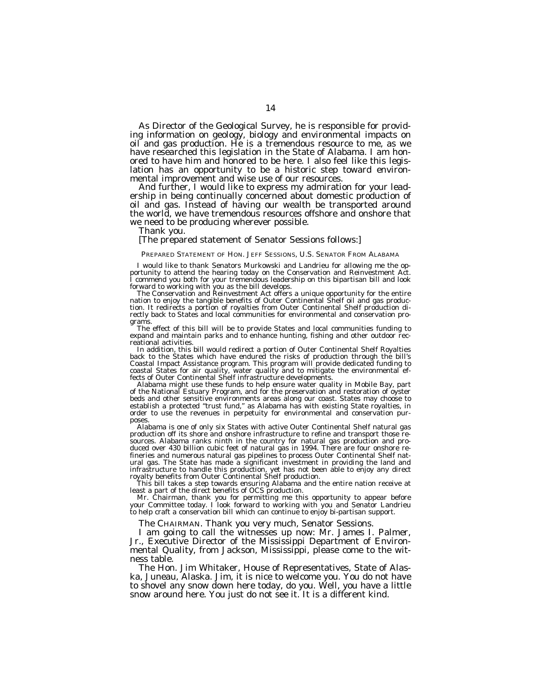As Director of the Geological Survey, he is responsible for provid- ing information on geology, biology and environmental impacts on oil and gas production. He is a tremendous resource to me, as we have researched this legislation in the State of Alabama. I am honored to have him and honored to be here. I also feel like this legislation has an opportunity to be a historic step toward environmental improvement and wise use of our resources.<br>And further, I would like to express my admiration for your lead-

ership in being continually concerned about domestic production of oil and gas. Instead of having our wealth be transported around the world, we have tremendous resources offshore and onshore that we need to be producing wherever possible. Thank you.

## [The prepared statement of Senator Sessions follows:]

#### PREPARED STATEMENT OF HON. JEFF SESSIONS, U.S. SENATOR FROM ALABAMA

I would like to thank Senators Murkowski and Landrieu for allowing me the op- portunity to attend the hearing today on the Conservation and Reinvestment Act. I commend you both for your tremendous leadership on this bipartisan bill and look

The Conservation and Reinvestment Act offers a unique opportunity for the entire nation to enjoy the tangible benefits of Outer Continental Shelf oil and gas production. It redirects a portion of royalties from Outer Continental Shelf production directly back to States and local communities for environmental and conservation pro-<br>grams.

The effect of this bill will be to provide States and local communities funding to expand and maintain parks and to enhance hunting, fishing and other outdoor rec-

reational activities.<br>In addition, this bill would redirect a portion of Outer Continental Shelf Royalties In addition, this bill would redirect a portion of Outer Continental Shelf Royalties<br>back to the States which have endured the risks of production through the bill's<br>Coastal Impact Assistance program. This program will pro coastal States for air quality, water quality and to mitigate the environmental effects of Outer Continental Shelf infrastructure developments.

Alabama might use these funds to help ensure water quality in Mobile Bay, part of the National Estuary Program, and for the preservation and restoration of oyster beds and other sensitive environments areas along our coast. States may choose to establish a protected ''trust fund,'' as Alabama has with existing State royalties, in order to use the revenues in perpetuity for environmental and conservation purposes.

Alabama is one of only six States with active Outer Continental Shelf natural gas production off its shore and onshore infrastructure to refine and transport those resources. Alabama ranks ninth in the country for natural gas production and produced over 430 billion cubic feet of natural gas in 1994. There are four onshore refineries and numerous natural gas pipelines to process Outer Continental Shelf natural gas. The State has made a significant investment in providing the land and infrastructure to handle this production, yet has not been able to enjoy any direct royalty benefits from Outer Continental Shelf production.

This bill takes a step towards ensuring Alabama and the entire nation receive at least a part of the direct benefits of OCS production.

Mr. Chairman, thank you for permitting me this opportunity to appear before your Committee today. I look forward to working with you and Senator Landrieu to help craft a conservation bill which can continue to enjoy bi-partisan support.

The CHAIRMAN. Thank you very much, Senator Sessions.

I am going to call the witnesses up now: Mr. James I. Palmer, Jr., Executive Director of the Mississippi Department of Environmental Quality, from Jackson, Mississippi, please come to the witness table.

The Hon. Jim Whitaker, House of Representatives, State of Alaska, Juneau, Alaska. Jim, it is nice to welcome you. You do not have to shovel any snow down here today, do you. Well, you have a little snow around here. You just do not see it. It is a different kind.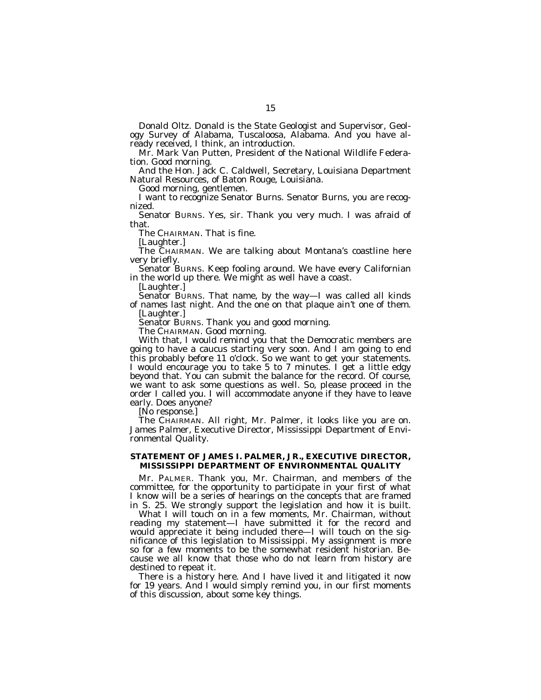Donald Oltz. Donald is the State Geologist and Supervisor, Geology Survey of Alabama, Tuscaloosa, Alabama. And you have already received, I think, an introduction.

Mr. Mark Van Putten, President of the National Wildlife Federation. Good morning.

And the Hon. Jack C. Caldwell, Secretary, Louisiana Department Natural Resources, of Baton Rouge, Louisiana.

Good morning, gentlemen.

I want to recognize Senator Burns. Senator Burns, you are recognized.

Senator BURNS. Yes, sir. Thank you very much. I was afraid of that.

The CHAIRMAN. That is fine.

[Laughter.]

The CHAIRMAN. We are talking about Montana's coastline here very briefly.

Senator BURNS. Keep fooling around. We have every Californian in the world up there. We might as well have a coast.

[Laughter.]

Senator BURNS. That name, by the way—I was called all kinds of names last night. And the one on that plaque ain't one of them. [Laughter.]

Senator BURNS. Thank you and good morning.

The CHAIRMAN. Good morning.

With that, I would remind you that the Democratic members are going to have a caucus starting very soon. And I am going to end this probably before 11 o'clock. So we want to get your statements. I would encourage you to take 5 to 7 minutes. I get a little edgy beyond that. You can submit the balance for the record. Of course, we want to ask some questions as well. So, please proceed in the order I called you. I will accommodate anyone if they have to leave early. Does anyone?

[No response.]

The CHAIRMAN. All right, Mr. Palmer, it looks like you are on. James Palmer, Executive Director, Mississippi Department of Environmental Quality.

# **STATEMENT OF JAMES I. PALMER, JR., EXECUTIVE DIRECTOR, MISSISSIPPI DEPARTMENT OF ENVIRONMENTAL QUALITY**

Mr. PALMER. Thank you, Mr. Chairman, and members of the committee, for the opportunity to participate in your first of what I know will be a series of hearings on the concepts that are framed in S. 25. We strongly support the legislation and how it is built.

What I will touch on in a few moments, Mr. Chairman, without reading my statement—I have submitted it for the record and would appreciate it being included there—I will touch on the significance of this legislation to Mississippi. My assignment is more so for a few moments to be the somewhat resident historian. Because we all know that those who do not learn from history are destined to repeat it.

There is a history here. And I have lived it and litigated it now for 19 years. And I would simply remind you, in our first moments of this discussion, about some key things.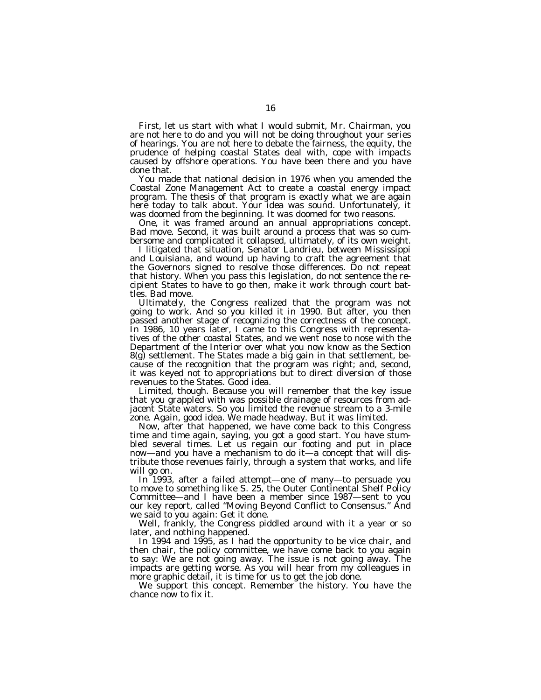First, let us start with what I would submit, Mr. Chairman, you are not here to do and you will not be doing throughout your series of hearings. You are not here to debate the fairness, the equity, the prudence of helping coastal States deal with, cope with impacts caused by offshore operations. You have been there and you have done that.

You made that national decision in 1976 when you amended the Coastal Zone Management Act to create a coastal energy impact program. The thesis of that program is exactly what we are again here today to talk about. Your idea was sound. Unfortunately, it was doomed from the beginning. It was doomed for two reasons.

One, it was framed around an annual appropriations concept. Bad move. Second, it was built around a process that was so cumbersome and complicated it collapsed, ultimately, of its own weight.

I litigated that situation, Senator Landrieu, between Mississippi and Louisiana, and wound up having to craft the agreement that the Governors signed to resolve those differences. Do not repeat that history. When you pass this legislation, do not sentence the recipient States to have to go then, make it work through court battles. Bad move.

Ultimately, the Congress realized that the program was not going to work. And so you killed it in 1990. But after, you then passed another stage of recognizing the correctness of the concept. In 1986, 10 years later, I came to this Congress with representatives of the other coastal States, and we went nose to nose with the Department of the Interior over what you now know as the Section 8(g) settlement. The States made a big gain in that settlement, because of the recognition that the program was right; and, second, it was keyed not to appropriations but to direct diversion of those revenues to the States. Good idea.

Limited, though. Because you will remember that the key issue that you grappled with was possible drainage of resources from adjacent State waters. So you limited the revenue stream to a 3-mile zone. Again, good idea. We made headway. But it was limited.

Now, after that happened, we have come back to this Congress time and time again, saying, you got a good start. You have stumbled several times. Let us regain our footing and put in place now—and you have a mechanism to do it—a concept that will distribute those revenues fairly, through a system that works, and life will go on.

In 1993, after a failed attempt—one of many—to persuade you to move to something like S. 25, the Outer Continental Shelf Policy Committee—and I have been a member since 1987—sent to you our key report, called ''Moving Beyond Conflict to Consensus.'' And we said to you again: Get it done.

Well, frankly, the Congress piddled around with it a year or so later, and nothing happened.

In 1994 and 1995, as I had the opportunity to be vice chair, and then chair, the policy committee, we have come back to you again to say: We are not going away. The issue is not going away. The impacts are getting worse. As you will hear from my colleagues in more graphic detail, it is time for us to get the job done.

We support this concept. Remember the history. You have the chance now to fix it.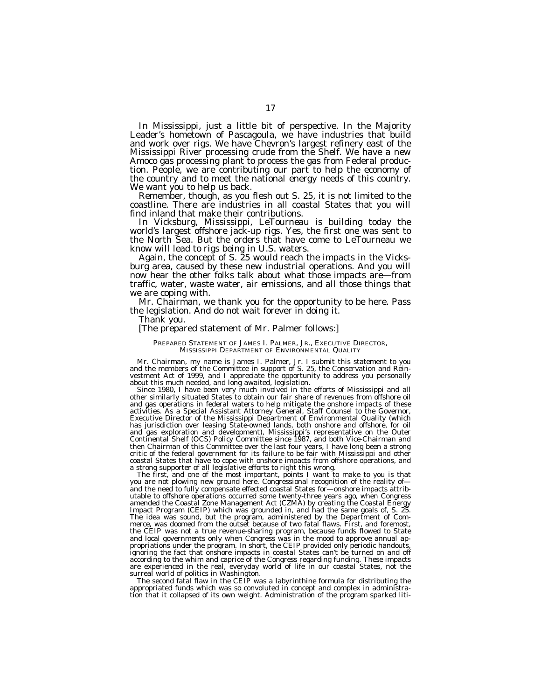In Mississippi, just a little bit of perspective. In the Majority Leader's hometown of Pascagoula, we have industries that build and work over rigs. We have Chevron's largest refinery east of the Mississippi River processing crude from the Shelf. We have a new Amoco gas processing plant to process the gas from Federal production. People, we are contributing our part to help the economy of the country and to meet the national energy needs of this country.

We want you to help us back. Remember, though, as you flesh out S. 25, it is not limited to the coastline. There are industries in all coastal States that you will find inland that make their contributions.

In Vicksburg, Mississippi, LeTourneau is building today the world's largest offshore jack-up rigs. Yes, the first one was sent to the North Sea. But the orders that have come to LeTourneau we know will lead to rigs being in U.S. waters.

Again, the concept of S. 25 would reach the impacts in the Vicksburg area, caused by these new industrial operations. And you will now hear the other folks talk about what those impacts are—from traffic, water, waste water, air emissions, and all those things that we are coping with.

Mr. Chairman, we thank you for the opportunity to be here. Pass the legislation. And do not wait forever in doing it.

Thank you.

# [The prepared statement of Mr. Palmer follows:]

# PREPARED STATEMENT OF JAMES I. PALMER, JR., EXECUTIVE DIRECTOR, MISSISSIPPI DEPARTMENT OF ENVIRONMENTAL QUALITY

Mr. Chairman, my name is James I. Palmer, Jr. I submit this statement to you and the members of the Committee in support of S. 25, the Conservation and Reinvestment Act of 1999, and I appreciate the opportunity to address you personally about this much needed, and long awaited, legislation.

Since 1980, I have been very much involved in the efforts of Mississippi and all other similarly situated States to obtain our fair share of revenues from offshore oil and gas operations in federal waters to help mitigate the onshore impacts of these activities. As a Special Assistant Attorney General, Staff Counsel to the Governor, Executive Director of the Mississippi Department of Environmental Quality (which has jurisdiction over leasing State-owned lands, both onshore and offshore, for oil and gas exploration and development), Mississippi's representative on the Outer Continental Shelf (OCS) Policy Committee since 1987, and both Vice-Chairman and then Chairman of this Committee over the last four years, I have long been a strong critic of the federal government for its failure to be fair with Mississippi and other coastal States that have to cope with onshore impacts from offshore operations, and a strong supporter of all legislative efforts to right this wrong.

The first, and one of the most important, points I want to make to you is that you are not plowing new ground here. Congressional recognition of the reality of and the need to fully compensate effected coastal States for—onshore impacts attributable to offshore operations occurred some twenty-three years ago, when Congress amended the Coastal Zone Management Act (CZMA) by creating the Coastal Energy Impact Program (CEIP) which was grounded in, and had the same goals of, S. 25. The idea was sound, but the program, administered by the Department of Commerce, was doomed from the outset because of two fatal flaws. First, and foremost, the CEIP was not a true revenue-sharing program, because funds flowed to State and local governments only when Congress was in the mood to approve annual appropriations under the program. In short, the CEIP provided only periodic handouts, ignoring the fact that onshore impacts in coastal States can't be turned on and off according to the whim and caprice of the Congress regarding funding. These impacts are experienced in the real, everyday world of life in our coastal States, not the surreal world of politics in Washington.

The second fatal flaw in the CEIP was a labyrinthine formula for distributing the appropriated funds which was so convoluted in concept and complex in administration that it collapsed of its own weight. Administration of the program sparked liti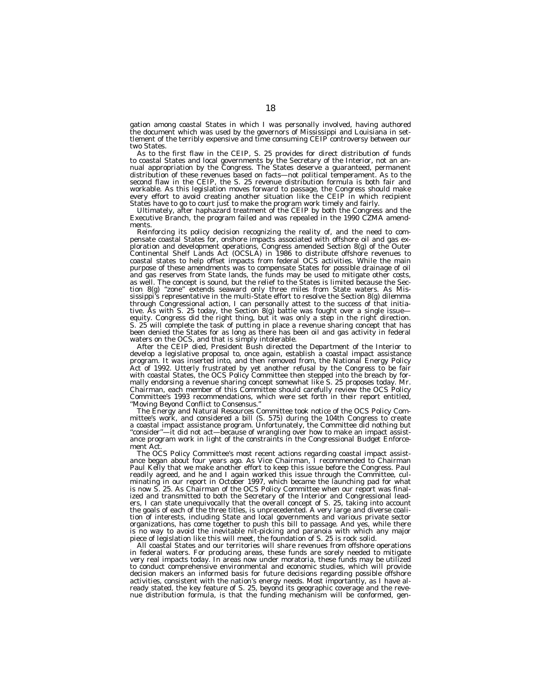gation among coastal States in which I was personally involved, having authored the document which was used by the governors of Mississippi and Louisiana in settlement of the terribly expensive and time consuming CEIP controversy between our two States.

As to the first flaw in the CEIP, S. 25 provides for direct distribution of funds to coastal States and local governments by the Secretary of the Interior, not an annual appropriation by the Congress. The States deserve a guaranteed, permanent distribution of these revenues based on facts—not political temperament. As to the second flaw in the CEIP, the S. 25 revenue distribution formula is both fair and workable. As this legislation moves forward to passage, the Congress should make every effort to avoid creating another situation like the CEIP in which recipient States have to go to court just to make the program work timely and fairly.

Ultimately, after haphazard treatment of the CEIP by both the Congress and the Executive Branch, the program failed and was repealed in the 1990 CZMA amendments.

Reinforcing its policy decision recognizing the reality of, and the need to compensate coastal States for, onshore impacts associated with offshore oil and gas exploration and development operations, Congress amended Section 8(g) of the Outer Continental Shelf Lands Act (OCSLA) in 1986 to distribute offshore revenues to coastal states to help offset impacts from federal OCS activities. While the main purpose of these amendments was to compensate States for possible drainage of oil and gas reserves from State lands, the funds may be used to mitigate other costs, as well. The concept is sound, but the relief to the States is limited because the Section 8(g) ''zone'' extends seaward only three miles from State waters. As Mississippi's representative in the multi-State effort to resolve the Section 8(g) dilemma through Congressional action, I can personally attest to the success of that initiative. As with S. 25 today, the Section 8(g) battle was fought over a single issue equity. Congress did the right thing, but it was only a step in the right direction. S. 25 will complete the task of putting in place a revenue sharing concept that has been denied the States for as long as there has been oil and gas activity in federal waters on the OCS, and that is simply intolerable.

After the CEIP died, President Bush directed the Department of the Interior to develop a legislative proposal to, once again, establish a coastal impact assistance program. It was inserted into, and then removed from, the National Energy Policy Act of 1992. Utterly frustrated by yet another refusal by the Congress to be fair with coastal States, the OCS Policy Committee then stepped into the breach by formally endorsing a revenue sharing concept somewhat like S. 25 proposes today. Mr. Chairman, each member of this Committee should carefully review the OCS Policy Committee's 1993 recommendations, which were set forth in their report entitled, *''Moving Beyond Conflict to Consensus.''*

The Energy and Natural Resources Committee took notice of the OCS Policy Committee's work, and considered a bill (S. 575) during the 104th Congress to create a coastal impact assistance program. Unfortunately, the Committee did nothing but ''consider''—it did not act—because of wrangling over how to make an impact assistance program work in light of the constraints in the Congressional Budget Enforcement Act.

The OCS Policy Committee's most recent actions regarding coastal impact assistance began about four years ago. As Vice Chairman, I recommended to Chairman Paul Kelly that we make another effort to keep this issue before the Congress. Paul readily agreed, and he and I again worked this issue through the Committee, culminating in our report in October 1997, which became the launching pad for what is now S. 25. As Chairman of the OCS Policy Committee when our report was finalized and transmitted to both the Secretary of the Interior and Congressional leaders, I can state unequivocally that the overall concept of S. 25, taking into account the goals of each of the three titles, is unprecedented. A very large and diverse coalition of interests, including State and local governments and various private sector organizations, has come together to push this bill to passage. And yes, while there is no way to avoid the inevitable nit-picking and paranoia with which any major piece of legislation like this will meet, the foundation of S. 25 is rock solid.

All coastal States and our territories will share revenues from offshore operations in federal waters. For producing areas, these funds are sorely needed to mitigate very real impacts today. In areas now under moratoria, these funds may be utilized to conduct comprehensive environmental and economic studies, which will provide decision makers an informed basis for future decisions regarding possible offshore activities, consistent with the nation's energy needs. Most importantly, as I have already stated, the key feature of S. 25, beyond its geographic coverage and the reve-nue distribution formula, is that the funding mechanism will be conformed, gen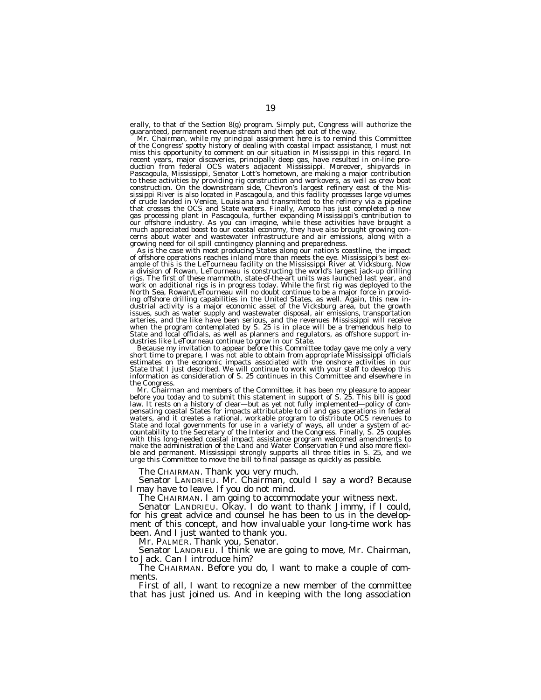erally, to that of the Section 8(g) program. Simply put, Congress will authorize the

guaranteed, permanent revenue stream and then get out of the way.<br>Mr. Chairman, while my principal assignment here is to remind this Committee<br>of the Congress' spotty history of dealing with coastal impact assistance, I mu miss this opportunity to comment on our situation in Mississippi in this regard. In recent years, major discoveries, principally deep gas, have resulted in on-line pro-duction from federal OCS waters adjacent Mississippi. Moreover, shipyards in Pascagoula, Mississippi, Senator Lott's hometown, are making a major contribution to these activities by providing rig construction and workovers, as well as crew boat construction. On the downstream side, Chevron's largest refinery east of the Mississippi River is also located in Pascagoula, and this facility processes large volumes of crude landed in Venice, Louisiana and transmitted to the refinery via a pipeline that crosses the OCS and State waters. Finally, Amoco has just completed a new gas processing plant in Pascagoula, further expanding Mississippi's contribution to our offshore industry. As you can imagine, while these activities have brought a much appreciated boost to our coastal economy, they have also brought growing concerns about water and wastewater infrastructure and air emissions, along with a

growing need for oil spill contingency planning and preparedness.<br>As is the case with most producing States along our nation's coastline, the impact of offshore operations reaches inland more than meets the eye. Mississipp ample of this is the LeTourneau facility on the Mississippi River at Vicksburg. Now a division of Rowan, LeTourneau is constructing the world's largest jack-up drilling rigs. The first of these mammoth, state-of-the-art units was launched last year, and work on additional rigs is in progress today. While the first rig was deployed to the North Sea, Rowan/LeTourneau will no doubt continue to be a major force in providing offshore drilling capabilities in the United States, as well. Again, this new in-dustrial activity is a major economic asset of the Vicksburg area, but the growth issues, such as water supply and wastewater disposal, air emissions, transportation arteries, and the like have been serious, and the revenues Mississippi will receive<br>when the program contemplated by S. 25 is in place will be a tremendous help to<br>State and local officials, as well as planners and regulat dustries like LeTourneau continue to grow in our State.<br>Because my invitation to appear before this Committee today gave me only a very short time to obtain from appear before this Committee today gave me only a very

short time to prepare, I was not able to obtain from appropriate Mississippi officials estimates on the economic impacts associated with the onshore activities in our State that I just described. We will continue to work with your staff to develop this information as consideration of S. 25 continues in this Committee and elsewhere in

the Congress.<br>Mr. Chairman and members of the Committee, it has been my pleasure to appear<br>before you today and to submit this statement in support of S. 25. This bill is good<br>law. It rests on a history of clear—but as yet pensating coastal States for impacts attributable to oil and gas operations in federal waters, and it creates a rational, workable program to distribute OCS revenues to State and local governments for use in a variety of ways, all under a system of ac-countability to the Secretary of the Interior and the Congress. Finally, S. 25 couples with this long-needed coastal impact assistance program welcomed amendments to<br>make the administration of the Land and Water Conservation Fund also more flexi-<br>ble and permanent. Mississippi strongly supports all three tit

The CHAIRMAN. Thank you very much.

Senator LANDRIEU. Mr. Chairman, could I say a word? Because I may have to leave. If you do not mind.<br>The CHAIRMAN. I am going to accommodate your witness next.

Senator LANDRIEU. Okay. I do want to thank Jimmy, if I could, for his great advice and counsel he has been to us in the development of this concept, and how invaluable your long-time work has been. And I just wanted to thank you.

Mr. PALMER. Thank you, Senator.

Senator LANDRIEU. I think we are going to move, Mr. Chairman, to Jack. Can I introduce him?

The CHAIRMAN. Before you do, I want to make a couple of comments.

First of all, I want to recognize a new member of the committee that has just joined us. And in keeping with the long association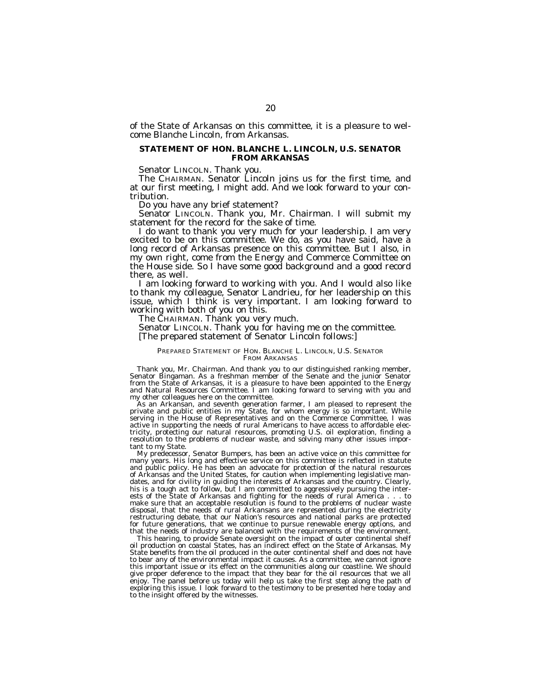of the State of Arkansas on this committee, it is a pleasure to welcome Blanche Lincoln, from Arkansas.

# **STATEMENT OF HON. BLANCHE L. LINCOLN, U.S. SENATOR FROM ARKANSAS**

Senator LINCOLN. Thank you.<br>The CHAIRMAN. Senator Lincoln joins us for the first time, and<br>at our first meeting, I might add. And we look forward to your contribution.

Do you have any brief statement?

Senator LINCOLN. Thank you, Mr. Chairman. I will submit my statement for the record for the sake of time.<br>I do want to thank you very much for your leadership. I am very

excited to be on this committee. We do, as you have said, have a long record of Arkansas presence on this committee. But I also, in my own right, come from the Energy and Commerce Committee on the House side. So I have some good background and a good record there, as well.<br>I am looking forward to working with you. And I would also like

to thank my colleague, Senator Landrieu, for her leadership on this issue, which I think is very important. I am looking forward to

The CHAIRMAN. Thank you very much.

Senator LINCOLN. Thank you for having me on the committee. [The prepared statement of Senator Lincoln follows:]

# PREPARED STATEMENT OF HON. BLANCHE L. LINCOLN, U.S. SENATOR FROM ARKANSAS

Thank you, Mr. Chairman. And thank you to our distinguished ranking member, Senator Bingaman. As a freshman member of the Senate and the junior Senator from the State of Arkansas, it is a pleasure to have been appointed to the Energy and Natural Resources Committee. I am looking forward to serving with you and my other colleagues here on the committee.<br>As an Arkansan, and seventh generation farmer, I am pleased to represent the pass in my State, for whom energy is so important.

private and public entities in my State, for whom energy is so important. While serving in the House of Representatives and on the Commerce Committee, I was active in supporting the needs of rural Americans to have access to affordable electricity, protecting our natural resources, promoting U.S. oil exploration, finding a resolution to the problems of nuclear waste, and solving many other issues important to my State.

My predecessor, Senator Bumpers, has been an active voice on this committee for many years. His long and effective service on this committee is reflected in statute and public policy. He has been an advocate for protection of the natural resources of Arkansas and the United States, for caution when implementing legislative mandates, and for civility in guiding the interests of Arkansas and the country. Clearly, his is a tough act to follow, but I am committed to aggressively pursuing the interests of the State of Arkansas and fighting for the needs of rural America . . . to make sure that an acceptable resolution is found to the problems of nuclear waste disposal, that the needs of rural Arkansans are represented during the electricity restructuring debate, that our Nation's resources and national parks are protected for future generations, that we continue to pursue renewable energy options, and that the needs of industry are balanced with the requirements of the environment.

This hearing, to provide Senate oversight on the impact of outer continental shelf oil production on coastal States, has an indirect effect on the State of Arkansas. My State benefits from the oil produced in the outer continental shelf and does not have to bear any of the environmental impact it causes. As a committee, we cannot ignore this important issue or its effect on the communities along our coastline. We should give proper deference to the impact that they bear for the oil resources that we all enjoy. The panel before us today will help us take the first step along the path of exploring this issue. I look forward to the testimony to be presented here today and to the insight offered by the witnesses.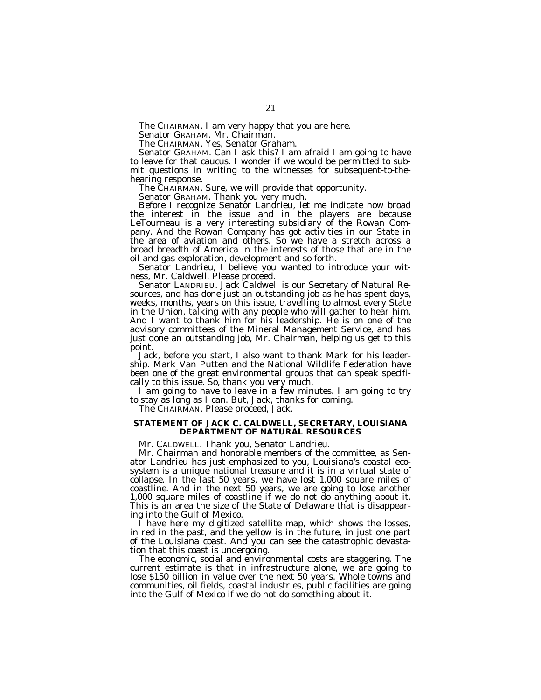The CHAIRMAN. I am very happy that you are here.

Senator GRAHAM. Mr. Chairman.

The CHAIRMAN. Yes, Senator Graham.

Senator GRAHAM. Can I ask this? I am afraid I am going to have to leave for that caucus. I wonder if we would be permitted to submit questions in writing to the witnesses for subsequent-to-thehearing response.

The CHAIRMAN. Sure, we will provide that opportunity.

Senator GRAHAM. Thank you very much.

Before I recognize Senator Landrieu, let me indicate how broad the interest in the issue and in the players are because LeTourneau is a very interesting subsidiary of the Rowan Company. And the Rowan Company has got activities in our State in the area of aviation and others. So we have a stretch across a broad breadth of America in the interests of those that are in the oil and gas exploration, development and so forth.

Senator Landrieu, I believe you wanted to introduce your witness, Mr. Caldwell. Please proceed.

Senator LANDRIEU. Jack Caldwell is our Secretary of Natural Resources, and has done just an outstanding job as he has spent days, weeks, months, years on this issue, travelling to almost every State in the Union, talking with any people who will gather to hear him. And I want to thank him for his leadership. He is on one of the advisory committees of the Mineral Management Service, and has just done an outstanding job, Mr. Chairman, helping us get to this point.

Jack, before you start, I also want to thank Mark for his leadership. Mark Van Putten and the National Wildlife Federation have been one of the great environmental groups that can speak specifically to this issue. So, thank you very much.

I am going to have to leave in a few minutes. I am going to try to stay as long as I can. But, Jack, thanks for coming.

The CHAIRMAN. Please proceed, Jack.

# **STATEMENT OF JACK C. CALDWELL, SECRETARY, LOUISIANA DEPARTMENT OF NATURAL RESOURCES**

Mr. CALDWELL. Thank you, Senator Landrieu.

Mr. Chairman and honorable members of the committee, as Senator Landrieu has just emphasized to you, Louisiana's coastal ecosystem is a unique national treasure and it is in a virtual state of collapse. In the last 50 years, we have lost 1,000 square miles of coastline. And in the next 50 years, we are going to lose another 1,000 square miles of coastline if we do not do anything about it. This is an area the size of the State of Delaware that is disappearing into the Gulf of Mexico.

I have here my digitized satellite map, which shows the losses, in red in the past, and the yellow is in the future, in just one part of the Louisiana coast. And you can see the catastrophic devastation that this coast is undergoing.

The economic, social and environmental costs are staggering. The current estimate is that in infrastructure alone, we are going to lose \$150 billion in value over the next 50 years. Whole towns and communities, oil fields, coastal industries, public facilities are going into the Gulf of Mexico if we do not do something about it.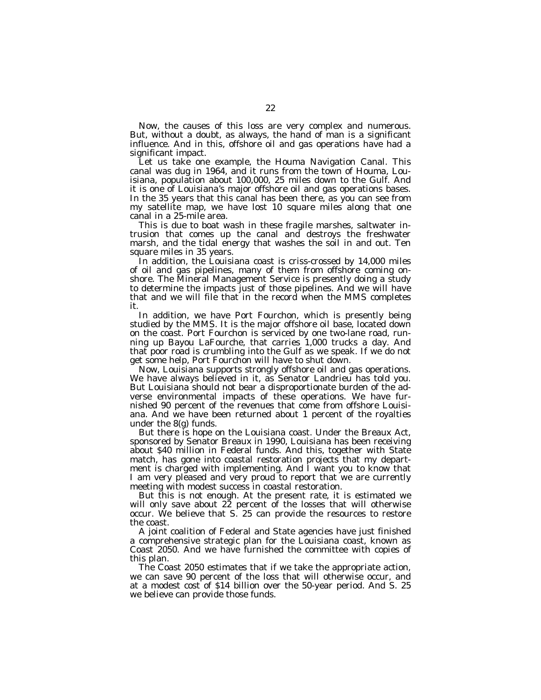Now, the causes of this loss are very complex and numerous. But, without a doubt, as always, the hand of man is a significant influence. And in this, offshore oil and gas operations have had a significant impact.

Let us take one example, the Houma Navigation Canal. This canal was dug in 1964, and it runs from the town of Houma, Louisiana, population about 100,000, 25 miles down to the Gulf. And it is one of Louisiana's major offshore oil and gas operations bases. In the 35 years that this canal has been there, as you can see from my satellite map, we have lost 10 square miles along that one canal in a 25-mile area.

This is due to boat wash in these fragile marshes, saltwater intrusion that comes up the canal and destroys the freshwater marsh, and the tidal energy that washes the soil in and out. Ten square miles in 35 years.

In addition, the Louisiana coast is criss-crossed by 14,000 miles of oil and gas pipelines, many of them from offshore coming onshore. The Mineral Management Service is presently doing a study to determine the impacts just of those pipelines. And we will have that and we will file that in the record when the MMS completes it.

In addition, we have Port Fourchon, which is presently being studied by the MMS. It is the major offshore oil base, located down on the coast. Port Fourchon is serviced by one two-lane road, running up Bayou LaFourche, that carries 1,000 trucks a day. And that poor road is crumbling into the Gulf as we speak. If we do not get some help, Port Fourchon will have to shut down.

Now, Louisiana supports strongly offshore oil and gas operations. We have always believed in it, as Senator Landrieu has told you. But Louisiana should not bear a disproportionate burden of the adverse environmental impacts of these operations. We have furnished 90 percent of the revenues that come from offshore Louisiana. And we have been returned about 1 percent of the royalties under the 8(g) funds.

But there is hope on the Louisiana coast. Under the Breaux Act, sponsored by Senator Breaux in 1990, Louisiana has been receiving about \$40 million in Federal funds. And this, together with State match, has gone into coastal restoration projects that my department is charged with implementing. And I want you to know that I am very pleased and very proud to report that we are currently meeting with modest success in coastal restoration.

But this is not enough. At the present rate, it is estimated we will only save about  $2\tilde{2}$  percent of the losses that will otherwise occur. We believe that S. 25 can provide the resources to restore the coast.

A joint coalition of Federal and State agencies have just finished a comprehensive strategic plan for the Louisiana coast, known as Coast 2050. And we have furnished the committee with copies of this plan.

The Coast 2050 estimates that if we take the appropriate action, we can save 90 percent of the loss that will otherwise occur, and at a modest cost of \$14 billion over the 50-year period. And S. 25 we believe can provide those funds.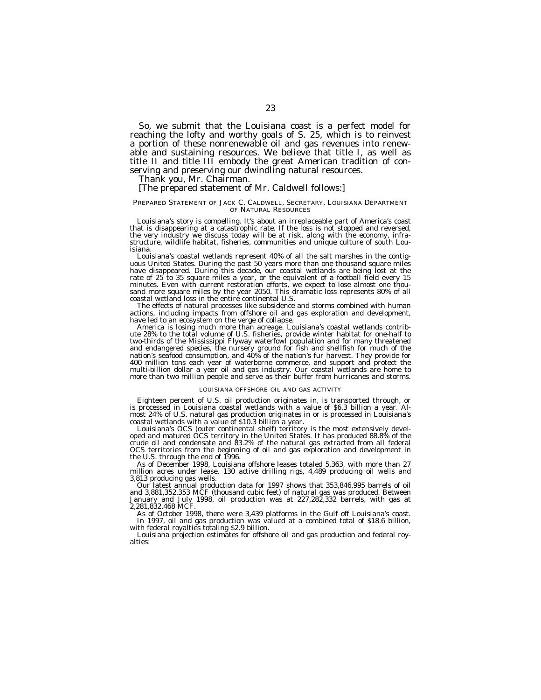So, we submit that the Louisiana coast is a perfect model for reaching the lofty and worthy goals of S. 25, which is to reinvest a portion of these nonrenewable oil and gas revenues into renewable and sustaining resources. We believe that title I, as well as title II and title III embody the great American tradition of conserving and preserving our dwindling natural resources.

Thank you, Mr. Chairman.

# [The prepared statement of Mr. Caldwell follows:]

# PREPARED STATEMENT OF JACK C. CALDWELL, SECRETARY, LOUISIANA DEPARTMENT OF NATURAL RESOURCES

Louisiana's story is compelling. It's about an irreplaceable part of America's coast that is disappearing at a catastrophic rate. If the loss is not stopped and reversed, the very industry we discuss today will be at risk, along with the economy, infrastructure, wildlife habitat, fisheries, communities and unique culture of south Louisiana.

Louisiana's coastal wetlands represent 40% of all the salt marshes in the contiguous United States. During the past 50 years more than one thousand square miles have disappeared. During this decade, our coastal wetlands are being lost at the rate of 25 to 35 square miles a year, or the equivalent of a football field every 15 minutes. Even with current restoration efforts, we expect to lose almost one thousand more square miles by the year 2050. This dramatic loss represents 80% of all coastal wetland loss in the entire continental U.S.

The effects of natural processes like subsidence and storms combined with human actions, including impacts from offshore oil and gas exploration and development, have led to an ecosystem on the verge of collapse.

America is losing much more than acreage. Louisiana's coastal wetlands contribute 28% to the total volume of U.S. fisheries, provide winter habitat for one-half to two-thirds of the Mississippi Flyway waterfowl population and for many threatened and endangered species, the nursery ground for fish and shellfish for much of the nation's seafood consumption, and 40% of the nation's fur harvest. They provide for 400 million tons each year of waterborne commerce, and support and protect the multi-billion dollar a year oil and gas industry. Our coastal wetlands are home to more than two million people and serve as their buffer from hurricanes and storms.

## LOUISIANA OFFSHORE OIL AND GAS ACTIVITY

Eighteen percent of U.S. oil production originates in, is transported through, or is processed in Louisiana coastal wetlands with a value of \$6.3 billion a year. Almost 24% of U.S. natural gas production originates in or is processed in Louisiana's coastal wetlands with a value of \$10.3 billion a year.

Louisiana's OCS (outer continental shelf) territory is the most extensively developed and matured OCS territory in the United States. It has produced 88.8% of the crude oil and condensate and 83.2% of the natural gas extracted from all federal OCS territories from the beginning of oil and gas exploration and development in the U.S. through the end of 1996.

As of December 1998, Louisiana offshore leases totaled 5,363, with more than 27 million acres under lease, 130 active drilling rigs, 4,489 producing oil wells and 3,813 producing gas wells.

Our latest annual production data for 1997 shows that 353,846,995 barrels of oil and 3,881,352,353 MCF (thousand cubic feet) of natural gas was produced. Between January and July 1998, oil production was at 227,282,332 barrels, with gas at 2,281,832,468 MCF.

As of October 1998, there were 3,439 platforms in the Gulf off Louisiana's coast. In 1997, oil and gas production was valued at a combined total of \$18.6 billion, with federal royalties totaling \$2.9 billion.

Louisiana projection estimates for offshore oil and gas production and federal royalties: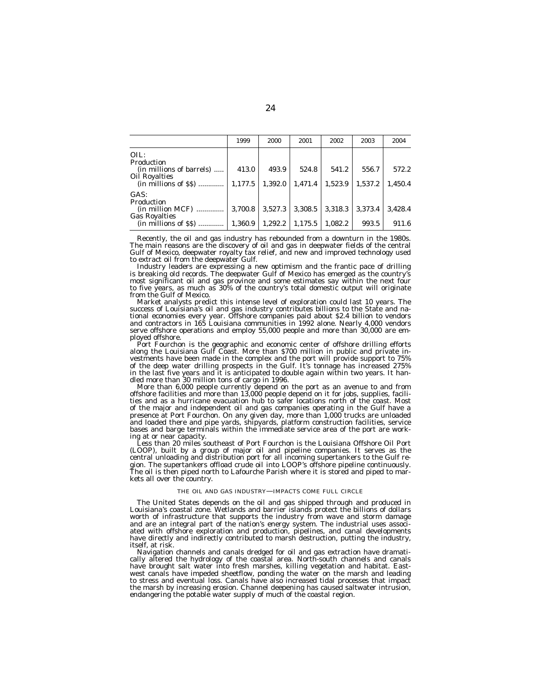|                                                             | 1999    | 2000    | 2001    | 2002    | 2003    | 2004    |
|-------------------------------------------------------------|---------|---------|---------|---------|---------|---------|
| OIL:<br>Production                                          |         |         |         |         |         |         |
| (in millions of barrels)                                    | 413.0   | 493.9   | 524.8   | 541.2   | 556.7   | 572.2   |
| <b>Oil Royalties</b><br>$(in$ millions of $\$\$$ )          | 1,177.5 | 1.392.0 | 1,471.4 | 1,523.9 | 1,537.2 | 1.450.4 |
| GAS:                                                        |         |         |         |         |         |         |
| Production<br>$(in$ million $MCF$ )<br><b>Gas Royalties</b> | 3,700.8 | 3,527.3 | 3,308.5 | 3,318.3 | 3.373.4 | 3.428.4 |
| $(in$ millions of $\$\$$ )                                  | 1,360.9 | 1,292.2 | 1,175.5 | 1,082.2 | 993.5   | 911.6   |

Recently, the oil and gas industry has rebounded from a downturn in the 1980s. The main reasons are the discovery of oil and gas in deepwater fields of the central Gulf of Mexico, deepwater royalty tax relief, and new and improved technology used to extract oil from the deepwater Gulf.

Industry leaders are expressing a new optimism and the frantic pace of drilling is breaking old records. The deepwater Gulf of Mexico has emerged as the country's most significant oil and gas province and some estimates say within the next four to five years, as much as 30% of the country's total domestic output will originate from the Gulf of Mexico.

Market analysts predict this intense level of exploration could last 10 years. The success of Louisiana's oil and gas industry contributes billions to the State and national economies every year. Offshore companies paid about \$2.4 billion to vendors and contractors in 165 Louisiana communities in 1992 alone. Nearly 4,000 vendors serve offshore operations and employ 55,000 people and more than 30,000 are employed offshore.

Port Fourchon is the geographic and economic center of offshore drilling efforts along the Louisiana Gulf Coast. More than \$700 million in public and private investments have been made in the complex and the port will provide support to 75% of the deep water drilling prospects in the Gulf. It's tonnage has increased 275% in the last five years and it is anticipated to double again within two years. It handled more than 30 million tons of cargo in 1996.

More than 6,000 people currently depend on the port as an avenue to and from offshore facilities and more than 13,000 people depend on it for jobs, supplies, facilities and as a hurricane evacuation hub to safer locations north of the coast. Most of the major and independent oil and gas companies operating in the Gulf have a presence at Port Fourchon. On any given day, more than 1,000 trucks are unloaded and loaded there and pipe yards, shipyards, platform construction facilities, service bases and barge terminals within the immediate service area of the port are working at or near capacity.

Less than 20 miles southeast of Port Fourchon is the Louisiana Offshore Oil Port (LOOP), built by a group of major oil and pipeline companies. It serves as the central unloading and distribution port for all incoming supertankers to the Gulf region. The supertankers offload crude oil into LOOP's offshore pipeline continuously. The oil is then piped north to Lafourche Parish where it is stored and piped to markets all over the country.

## THE OIL AND GAS INDUSTRY—IMPACTS COME FULL CIRCLE

The United States depends on the oil and gas shipped through and produced in Louisiana's coastal zone. Wetlands and barrier islands protect the billions of dollars worth of infrastructure that supports the industry from wave and storm damage and are an integral part of the nation's energy system. The industrial uses associated with offshore exploration and production, pipelines, and canal developments have directly and indirectly contributed to marsh destruction, putting the industry, itself, at risk.

Navigation channels and canals dredged for oil and gas extraction have dramatically altered the hydrology of the coastal area. North-south channels and canals have brought salt water into fresh marshes, killing vegetation and habitat. Eastwest canals have impeded sheetflow, ponding the water on the marsh and leading to stress and eventual loss. Canals have also increased tidal processes that impact the marsh by increasing erosion. Channel deepening has caused saltwater intrusion, endangering the potable water supply of much of the coastal region.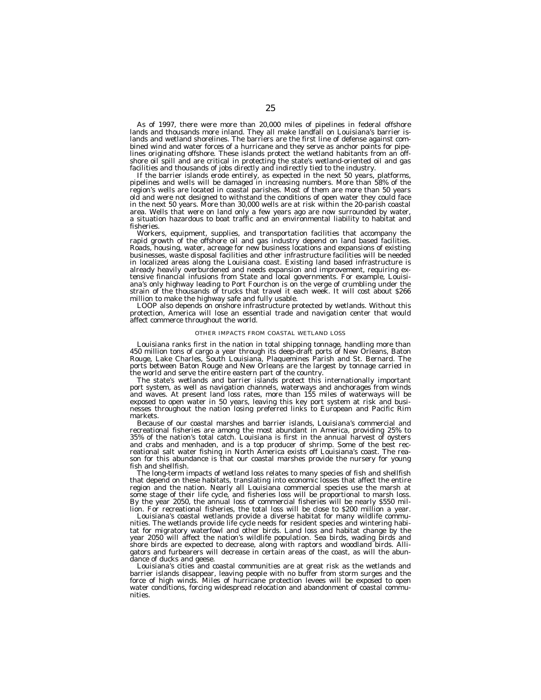As of 1997, there were more than 20,000 miles of pipelines in federal offshore lands and thousands more inland. They all make landfall on Louisiana's barrier islands and wetland shorelines. The barriers are the first line of defense against combined wind and water forces of a hurricane and they serve as anchor points for pipelines originating offshore. These islands protect the wetland habitants from an offshore oil spill and are critical in protecting the state's wetland-oriented oil and gas facilities and thousands of jobs directly and indirectly tied to the industry.

If the barrier islands erode entirely, as expected in the next 50 years, platforms, pipelines and wells will be damaged in increasing numbers. More than 58% of the region's wells are located in coastal parishes. Most of them are more than 50 years old and were not designed to withstand the conditions of open water they could face in the next 50 years. More than 30,000 wells are at risk within the 20-parish coastal area. Wells that were on land only a few years ago are now surrounded by water, a situation hazardous to boat traffic and an environmental liability to habitat and fisheries.

Workers, equipment, supplies, and transportation facilities that accompany the rapid growth of the offshore oil and gas industry depend on land based facilities. Roads, housing, water, acreage for new business locations and expansions of existing businesses, waste disposal facilities and other infrastructure facilities will be needed in localized areas along the Louisiana coast. Existing land based infrastructure is already heavily overburdened and needs expansion and improvement, requiring extensive financial infusions from State and local governments. For example, Louisiana's only highway leading to Port Fourchon is on the verge of crumbling under the strain of the thousands of trucks that travel it each week. It will cost about \$266 million to make the highway safe and fully usable.

LOOP also depends on onshore infrastructure protected by wetlands. Without this protection, America will lose an essential trade and navigation center that would affect commerce throughout the world.

#### OTHER IMPACTS FROM COASTAL WETLAND LOSS

Louisiana ranks first in the nation in total shipping tonnage, handling more than 450 million tons of cargo a year through its deep-draft ports of New Orleans, Baton Rouge, Lake Charles, South Louisiana, Plaquemines Parish and St. Bernard. The ports between Baton Rouge and New Orleans are the largest by tonnage carried in the world and serve the entire eastern part of the country.

The state's wetlands and barrier islands protect this internationally important port system, as well as navigation channels, waterways and anchorages from winds and waves. At present land loss rates, more than 155 miles of waterways will be exposed to open water in 50 years, leaving this key port system at risk and businesses throughout the nation losing preferred links to European and Pacific Rim markets.

Because of our coastal marshes and barrier islands, Louisiana's commercial and recreational fisheries are among the most abundant in America, providing 25% to 35% of the nation's total catch. Louisiana is first in the annual harvest of oysters and crabs and menhaden, and is a top producer of shrimp. Some of the best recreational salt water fishing in North America exists off Louisiana's coast. The reason for this abundance is that our coastal marshes provide the nursery for young fish and shellfish.

The long-term impacts of wetland loss relates to many species of fish and shellfish that depend on these habitats, translating into economic losses that affect the entire region and the nation. Nearly all Louisiana commercial species use the marsh at some stage of their life cycle, and fisheries loss will be proportional to marsh loss. By the year 2050, the annual loss of commercial fisheries will be nearly \$550 million. For recreational fisheries, the total loss will be close to \$200 million a year.

Louisiana's coastal wetlands provide a diverse habitat for many wildlife communities. The wetlands provide life cycle needs for resident species and wintering habitat for migratory waterfowl and other birds. Land loss and habitat change by the year 2050 will affect the nation's wildlife population. Sea birds, wading birds and shore birds are expected to decrease, along with raptors and woodland birds. Alligators and furbearers will decrease in certain areas of the coast, as will the abundance of ducks and geese.

Louisiana's cities and coastal communities are at great risk as the wetlands and barrier islands disappear, leaving people with no buffer from storm surges and the force of high winds. Miles of hurricane protection levees will be exposed to open water conditions, forcing widespread relocation and abandonment of coastal communities.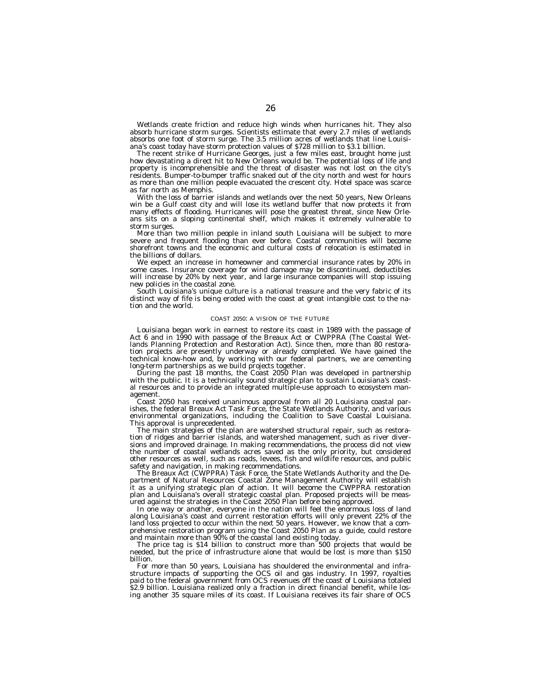Wetlands create friction and reduce high winds when hurricanes hit. They also absorb hurricane storm surges. Scientists estimate that every 2.7 miles of wetlands absorbs one foot of storm surge. The 3.5 million acres of wetlands that line Louisiana's coast today have storm protection values of \$728 million to \$3.1 billion.

The recent strike of Hurricane Georges, just a few miles east, brought home just how devastating a direct hit to New Orleans would be. The potential loss of life and property is incomprehensible and the threat of disaster was not lost on the city's residents. Bumper-to-bumper traffic snaked out of the city north and west for hours as more than one million people evacuated the crescent city. Hotel space was scarce as far north as Memphis.

With the loss of barrier islands and wetlands over the next 50 years, New Orleans win be a Gulf coast city and will lose its wetland buffer that now protects it from many effects of flooding. Hurricanes will pose the greatest threat, since New Orleans sits on a sloping continental shelf, which makes it extremely vulnerable to storm surges.

More than two million people in inland south Louisiana will be subject to more severe and frequent flooding than ever before. Coastal communities will become shorefront towns and the economic and cultural costs of relocation is estimated in the billions of dollars.

We expect an increase in homeowner and commercial insurance rates by 20% in some cases. Insurance coverage for wind damage may be discontinued, deductibles will increase by 20% by next year, and large insurance companies will stop issuing new policies in the coastal zone.

South Louisiana's unique culture is a national treasure and the very fabric of its distinct way of fife is being eroded with the coast at great intangible cost to the nation and the world.

#### COAST 2050: A VISION OF THE FUTURE

Louisiana began work in earnest to restore its coast in 1989 with the passage of Act 6 and in 1990 with passage of the Breaux Act or CWPPRA (The Coastal Wetlands Planning Protection and Restoration Act). Since then, more than 80 restoration projects are presently underway or already completed. We have gained the technical know-how and, by working with our federal partners, we are cementing long-term partnerships as we build projects together.

During the past 18 months, the Coast 2050 Plan was developed in partnership with the public. It is a technically sound strategic plan to sustain Louisiana's coastal resources and to provide an integrated multiple-use approach to ecosystem management.

Coast 2050 has received unanimous approval from all 20 Louisiana coastal parishes, the federal Breaux Act Task Force, the State Wetlands Authority, and various environmental organizations, including the Coalition to Save Coastal Louisiana. This approval is unprecedented.

The main strategies of the plan are watershed structural repair, such as restoration of ridges and barrier islands, and watershed management, such as river diversions and improved drainage. In making recommendations, the process did not view the number of coastal wetlands acres saved as the only priority, but considered other resources as well, such as roads, levees, fish and wildlife resources, and public safety and navigation, in making recommendations.

The Breaux Act (CWPPRA) Task Force, the State Wetlands Authority and the Department of Natural Resources Coastal Zone Management Authority will establish it as a unifying strategic plan of action. It will become the CWPPRA restoration plan and Louisiana's overall strategic coastal plan. Proposed projects will be measured against the strategies in the Coast 2050 Plan before being approved.

In one way or another, everyone in the nation will feel the enormous loss of land along Louisiana's coast and current restoration efforts will only prevent 22% of the land loss projected to occur within the next 50 years. However, we know that a comprehensive restoration program using the Coast 2050 Plan as a guide, could restore and maintain more than 90% of the coastal land existing today.

The price tag is \$14 billion to construct more than 500 projects that would be needed, but the price of infrastructure alone that would be lost is more than \$150 billion.

For more than 50 years, Louisiana has shouldered the environmental and infrastructure impacts of supporting the OCS oil and gas industry. In 1997, royalties paid to the federal government from OCS revenues off the coast of Louisiana totaled \$2.9 billion. Louisiana realized only a fraction in direct financial benefit, while losing another 35 square miles of its coast. If Louisiana receives its fair share of OCS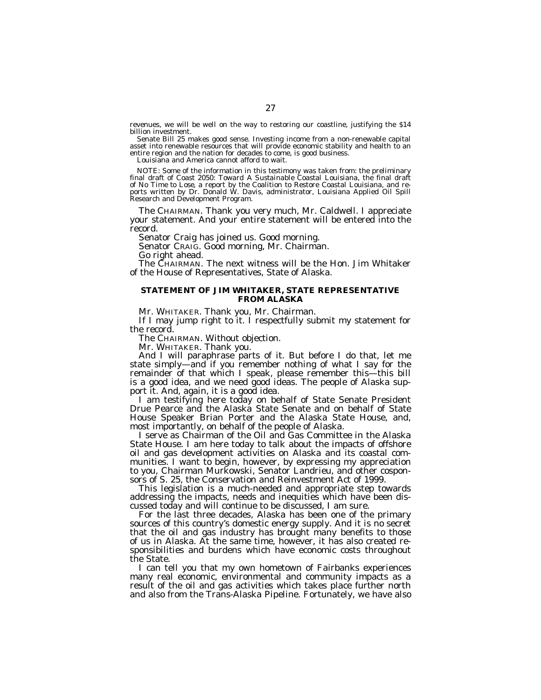revenues, we will be well on the way to restoring our coastline, justifying the \$14 billion investment.

Senate Bill 25 makes good sense. Investing income from a non-renewable capital asset into renewable resources that will provide economic stability and health to an entire region and the nation for decades to come, is good business.

Louisiana and America cannot afford to wait.

NOTE: Some of the information in this testimony was taken from: the preliminary final draft of *Coast 2050: Toward A Sustainable Coastal Louisiana*, the final draft of *No Time to Lose*, a report by the Coalition to Restore Coastal Louisiana, and reports written by Dr. Donald W. Davis, administrator, Louisiana Applied Oil Spill Research and Development Program.

The CHAIRMAN. Thank you very much, Mr. Caldwell. I appreciate your statement. And your entire statement will be entered into the record.

Senator Craig has joined us. Good morning.

Senator CRAIG. Good morning, Mr. Chairman.

Go right ahead.

The CHAIRMAN. The next witness will be the Hon. Jim Whitaker of the House of Representatives, State of Alaska.

# **STATEMENT OF JIM WHITAKER, STATE REPRESENTATIVE FROM ALASKA**

Mr. WHITAKER. Thank you, Mr. Chairman.

If I may jump right to it. I respectfully submit my statement for the record.

The CHAIRMAN. Without objection.

Mr. WHITAKER. Thank you.

And I will paraphrase parts of it. But before I do that, let me state simply—and if you remember nothing of what I say for the remainder of that which I speak, please remember this—this bill is a good idea, and we need good ideas. The people of Alaska support it. And, again, it is a good idea.

I am testifying here today on behalf of State Senate President Drue Pearce and the Alaska State Senate and on behalf of State House Speaker Brian Porter and the Alaska State House, and, most importantly, on behalf of the people of Alaska.

I serve as Chairman of the Oil and Gas Committee in the Alaska State House. I am here today to talk about the impacts of offshore oil and gas development activities on Alaska and its coastal communities. I want to begin, however, by expressing my appreciation to you, Chairman Murkowski, Senator Landrieu, and other cosponsors of S. 25, the Conservation and Reinvestment Act of 1999.

This legislation is a much-needed and appropriate step towards addressing the impacts, needs and inequities which have been discussed today and will continue to be discussed, I am sure.

For the last three decades, Alaska has been one of the primary sources of this country's domestic energy supply. And it is no secret that the oil and gas industry has brought many benefits to those of us in Alaska. At the same time, however, it has also created responsibilities and burdens which have economic costs throughout the State.

I can tell you that my own hometown of Fairbanks experiences many real economic, environmental and community impacts as a result of the oil and gas activities which takes place further north and also from the Trans-Alaska Pipeline. Fortunately, we have also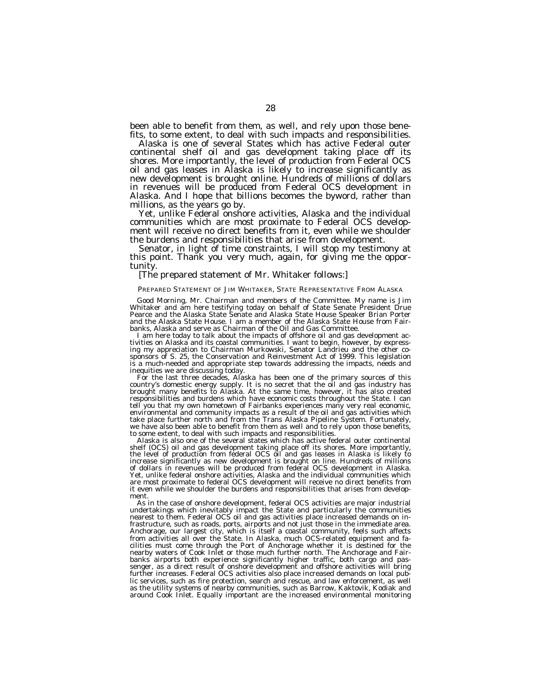been able to benefit from them, as well, and rely upon those benefits, to some extent, to deal with such impacts and responsibilities.

Alaska is one of several States which has active Federal outer continental shelf oil and gas development taking place off its shores. More importantly, the level of production from Federal OCS oil and gas leases in Alaska is likely to increase significantly as new development is brought online. Hundreds of millions of dollars in revenues will be produced from Federal OCS development in Alaska. And I hope that billions becomes the byword, rather than

Yet, unlike Federal onshore activities, Alaska and the individual communities which are most proximate to Federal OCS development will receive no direct benefits from it, even while we shoulder the burdens and responsibilities that arise from development.<br>Senator, in light of time constraints, I will stop my testimony at

this point. Thank you very much, again, for giving me the oppor-<br>tunity.

# [The prepared statement of Mr. Whitaker follows:]

# PREPARED STATEMENT OF JIM WHITAKER, STATE REPRESENTATIVE FROM ALASKA

Good Morning, Mr. Chairman and members of the Committee. My name is Jim Whitaker and am here testifying today on behalf of State Senate President Drue Pearce and the Alaska State Senate and Alaska State House Speaker Brian Porter and the Alaska State House. I am a member of the Alaska State House from Fairbanks, Alaska and serve as Chairman of the Oil and Gas Committee.

tivities on Alaska and its coastal communities. I want to begin, however, by expressing my appreciation to Chairman Murkowski, Senator Landrieu and the other cosponsors of S. 25, the Conservation and Reinvestment Act of 1999. This legislation is a much-needed and appropriate step towards addressing the impacts, needs and

inequities we are discussing today.<br>For the last three decades, Alaska has been one of the primary sources of this<br>country's domestic energy supply. It is no secret that the oil and gas industry has<br>brought many benefits t responsibilities and burdens which have economic costs throughout the State. I can<br>tell you that my own hometown of Fairbanks experiences many very real economic. you that my own hometown of Fairbanks experiences many very real economic, environmental and community impacts as a result of the oil and gas activities which take place further north and from the Trans Alaska Pipeline System. Fortunately, we have also been able to benefit from them as well and to rely upon those benefits, to some extent, to deal with such impacts and responsibilities.

Alaska is also one of the several states which has active federal outer continental shelf (OCS) oil and gas development taking place off its shores. More importantly, the level of production from federal OCS oil and gas leases in Alaska is likely to increase significantly as new development is brought on line. Hundreds of millions of dollars in revenues will be produced from federal OCS development in Alaska. Yet, unlike federal onshore activities, Alaska and the individual communities which are most proximate to federal OCS development will receive no direct benefits from it even while we shoulder the burdens and responsibilities that arises from development.<br>As in the case of onshore development, federal OCS activities are major industrial

undertakings which inevitably impact the State and particularly the communities nearest to them. Federal OCS oil and gas activities place increased demands on infrastructure, such as roads, ports, airports and not just those in the immediate area. Anchorage, our largest city, which is itself a coastal community, feels such affects from activities all over the State. In Alaska, much OCS-related equipment and facilities must come through the Port of Anchorage whether it is destined for the nearby waters of Cook Inlet or those much further north. The Anchorage and Fairbanks airports both experience significantly higher traffic, both cargo and passenger, as a direct result of onshore development and offshore activities will bring further increases. Federal OCS activities also place increased demands on local public services, such as fire protection, search and rescue, and law enforcement, as well as the utility systems of nearby communities, such as Barrow, Kaktovik, Kodiak and around Cook Inlet. Equally important are the increased environmental monitoring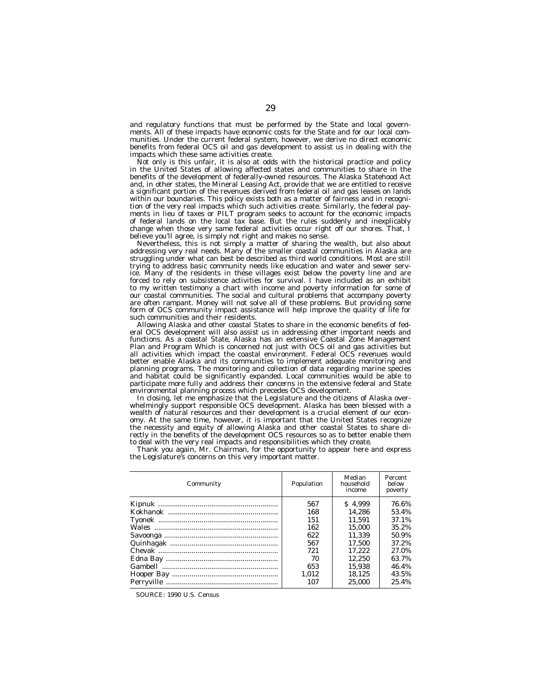and regulatory functions that must be performed by the State and local governments. All of these impacts have economic costs for the State and for our local communities. Under the current federal system, however, we derive no direct economic benefits from federal OCS oil and gas development to assist us in dealing with the impacts which these same activities create.

Not only is this unfair, it is also at odds with the historical practice and policy in the United States of allowing affected states and communities to share in the benefits of the development of federally-owned resources. The Alaska Statehood Act and, in other states, the Mineral Leasing Act, provide that we are entitled to receive a significant portion of the revenues derived from federal oil and gas leases on lands within our boundaries. This policy exists both as a matter of fairness and in recognition of the very real impacts which such activities create. Similarly, the federal payments in lieu of taxes or PILT program seeks to account for the economic impacts of federal lands on the local tax base. But the rules suddenly and inexplicably change when those very same federal activities occur right off our shores. That, I believe you'll agree, is simply not right and makes no sense.

Nevertheless, this is not simply a matter of sharing the wealth, but also about addressing very real needs. Many of the smaller coastal communities in Alaska are struggling under what can best be described as third world conditions. Most are still trying to address basic community needs like education and water and sewer service. Many of the residents in these villages exist below the poverty line and are forced to rely on subsistence activities for survival. I have included as an exhibit to my written testimony a chart with income and poverty information for some of our coastal communities. The social and cultural problems that accompany poverty are often rampant. Money will not solve all of these problems. But providing some form of OCS community impact assistance will help improve the quality of life for such communities and their residents.

Allowing Alaska and other coastal States to share in the economic benefits of federal OCS development will also assist us in addressing other important needs and functions. As a coastal State, Alaska has an extensive Coastal Zone Management Plan and Program Which is concerned not just with OCS oil and gas activities but all activities which impact the coastal environment. Federal OCS revenues would better enable Alaska and its communities to implement adequate monitoring and planning programs. The monitoring and collection of data regarding marine species and habitat could be significantly expanded. Local communities would be able to participate more fully and address their concerns in the extensive federal and State environmental planning process which precedes OCS development.

In closing, let me emphasize that the Legislature and the citizens of Alaska overwhelmingly support responsible OCS development. Alaska has been blessed with a wealth of natural resources and their development is a crucial element of our economy. At the same time, however, it is important that the United States recognize the necessity and equity of allowing Alaska and other coastal States to share directly in the benefits of the development OCS resources so as to better enable them to deal with the very real impacts and responsibilities which they create.

Thank you again, Mr. Chairman, for the opportunity to appear here and express the Legislature's concerns on this very important matter.

| Community | Population | Median<br>household<br>income | Percent<br>below<br>poverty |
|-----------|------------|-------------------------------|-----------------------------|
|           | 567        | \$4.999                       | 76.6%                       |
|           | 168        | 14.286                        | 53.4%                       |
|           | 151        | 11.591                        | 37.1%                       |
|           | 162        | 15.000                        | 35.2%                       |
|           | 622        | 11.339                        | 50.9%                       |
|           | 567        | 17.500                        | 37.2%                       |
|           | 721        | 17.222                        | 27.0%                       |
|           | 70         | 12.250                        | 63.7%                       |
|           | 653        | 15.938                        | 46.4%                       |
|           | 1.012      | 18.125                        | 43.5%                       |
|           | 107        | 25,000                        | 25.4%                       |
|           |            |                               |                             |

SOURCE: 1990 U.S. Census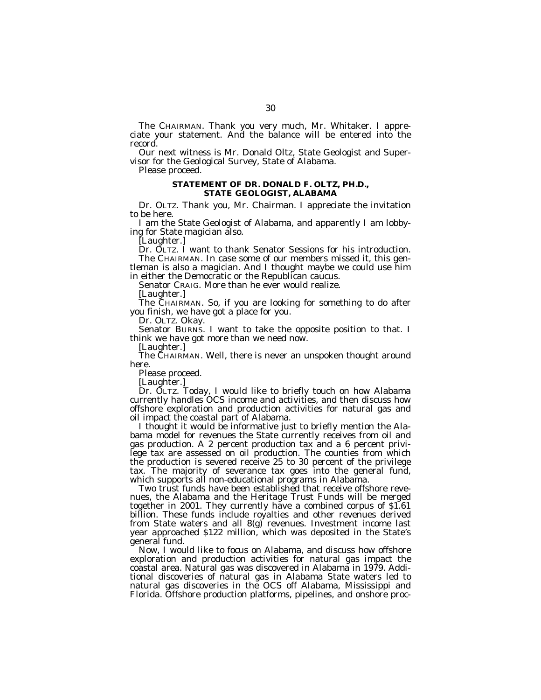The CHAIRMAN. Thank you very much, Mr. Whitaker. I appreciate your statement. And the balance will be entered into the record.

Our next witness is Mr. Donald Oltz, State Geologist and Supervisor for the Geological Survey, State of Alabama.

Please proceed.

# **STATEMENT OF DR. DONALD F. OLTZ, PH.D., STATE GEOLOGIST, ALABAMA**

Dr. OLTZ. Thank you, Mr. Chairman. I appreciate the invitation to be here.

I am the State Geologist of Alabama, and apparently I am lobbying for State magician also.

[Laughter.]

Dr. OLTZ. I want to thank Senator Sessions for his introduction. The CHAIRMAN. In case some of our members missed it, this gentleman is also a magician. And I thought maybe we could use him in either the Democratic or the Republican caucus.

Senator CRAIG. More than he ever would realize.

[Laughter.]

The CHAIRMAN. So, if you are looking for something to do after you finish, we have got a place for you.

Dr. OLTZ. Okay.

Senator BURNS. I want to take the opposite position to that. I think we have got more than we need now.

[Laughter.]

The CHAIRMAN. Well, there is never an unspoken thought around here.

Please proceed.

[Laughter.]

Dr. OLTZ. Today, I would like to briefly touch on how Alabama currently handles OCS income and activities, and then discuss how offshore exploration and production activities for natural gas and oil impact the coastal part of Alabama.

I thought it would be informative just to briefly mention the Alabama model for revenues the State currently receives from oil and gas production. A 2 percent production tax and a 6 percent privilege tax are assessed on oil production. The counties from which the production is severed receive 25 to 30 percent of the privilege tax. The majority of severance tax goes into the general fund, which supports all non-educational programs in Alabama.

Two trust funds have been established that receive offshore revenues, the Alabama and the Heritage Trust Funds will be merged together in 2001. They currently have a combined corpus of \$1.61 billion. These funds include royalties and other revenues derived from State waters and all 8(g) revenues. Investment income last year approached \$122 million, which was deposited in the State's general fund.

Now, I would like to focus on Alabama, and discuss how offshore exploration and production activities for natural gas impact the coastal area. Natural gas was discovered in Alabama in 1979. Additional discoveries of natural gas in Alabama State waters led to natural gas discoveries in the OCS off Alabama, Mississippi and Florida. Offshore production platforms, pipelines, and onshore proc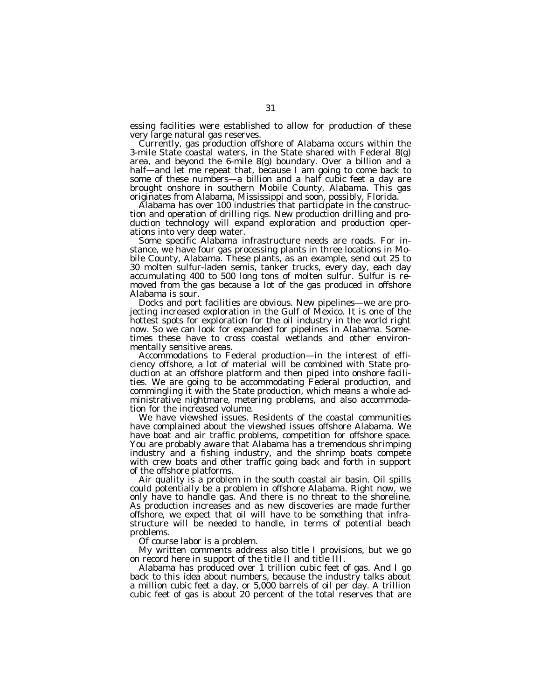essing facilities were established to allow for production of these very large natural gas reserves.<br>Currently, gas production offshore of Alabama occurs within the

3-mile State coastal waters, in the State shared with Federal 8 $(g)$ area, and beyond the 6-mile 8(g) boundary. Over a billion and a half—and let me repeat that, because I am going to come back to some of these numbers—a billion and a half cubic feet a day are brought onshore in southern Mobile County, Alabama. This gas originates from Alabama, Mississippi and soon, possibly, Florida.

Alabama has over 100 industries that participate in the construction and operation of drilling rigs. New production drilling and production technology will expand exploration and production operations into very deep water.

Some specific Alabama infrastructure needs are roads. For instance, we have four gas processing plants in three locations in Mobile County, Alabama. These plants, as an example, send out 25 to 30 molten sulfur-laden semis, tanker trucks, every day, each day accumulating 400 to 500 long tons of molten sulfur. Sulfur is removed from the gas because a lot of the gas produced in offshore Alabama is sour.

Docks and port facilities are obvious. New pipelines—we are projecting increased exploration in the Gulf of Mexico. It is one of the hottest spots for exploration for the oil industry in the world right now. So we can look for expanded for pipelines in Alabama. Sometimes these have to cross coastal wetlands and other environmentally sensitive areas.

Accommodations to Federal production—in the interest of efficiency offshore, a lot of material will be combined with State production at an offshore platform and then piped into onshore facilities. We are going to be accommodating Federal production, and commingling it with the State production, which means a whole administrative nightmare, metering problems, and also accommodation for the increased volume.

We have viewshed issues. Residents of the coastal communities have complained about the viewshed issues offshore Alabama. We have boat and air traffic problems, competition for offshore space. You are probably aware that Alabama has a tremendous shrimping industry and a fishing industry, and the shrimp boats compete with crew boats and other traffic going back and forth in support of the offshore platforms.

Air quality is a problem in the south coastal air basin. Oil spills could potentially be a problem in offshore Alabama. Right now, we only have to handle gas. And there is no threat to the shoreline. As production increases and as new discoveries are made further offshore, we expect that oil will have to be something that infrastructure will be needed to handle, in terms of potential beach problems.

Of course labor is a problem.

My written comments address also title I provisions, but we go on record here in support of the title II and title III.

Alabama has produced over 1 trillion cubic feet of gas. And I go back to this idea about numbers, because the industry talks about a million cubic feet a day, or 5,000 barrels of oil per day. A trillion cubic feet of gas is about 20 percent of the total reserves that are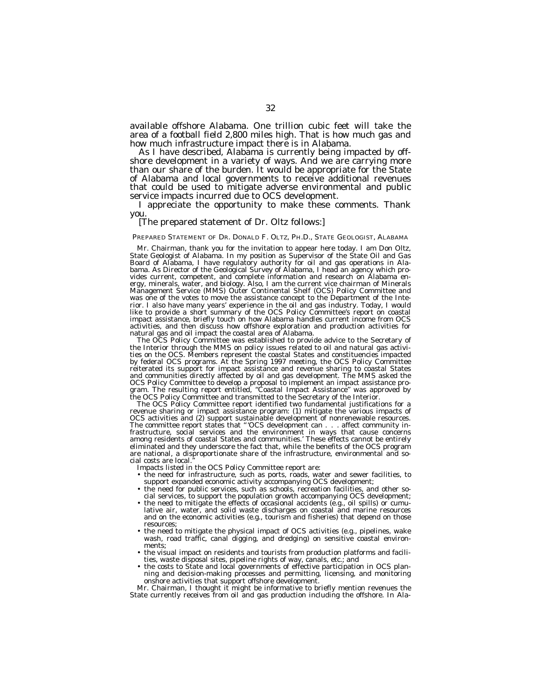available offshore Alabama. One trillion cubic feet will take the area of a football field 2,800 miles high. That is how much gas and how much infrastructure impact there is in Alabama.

shore development in a variety of ways. And we are carrying more than our share of the burden. It would be appropriate for the State of Alabama and local governments to receive additional revenues that could be used to mitigate adverse environmental and public service impacts incurred due to OCS development.

I appreciate the opportunity to make these comments. Thank you.

# [The prepared statement of Dr. Oltz follows:]

PREPARED STATEMENT OF DR. DONALD F. OLTZ, PH.D., STATE GEOLOGIST, ALABAMA

Mr. Chairman, thank you for the invitation to appear here today. I am Don Oltz, State Geologist of Alabama. In my position as Supervisor of the State Oil and Gas Board of Alabama, I have regulatory authority for oil and gas operations in Alabama. As Director of the Geological Survey of Alabama, I head an agency which provides current, competent, and complete information and research on Alabama energy, minerals, water, and biology. Also, I am the current vice chairman of Minerals Management Service (MMS) Outer Continental Shelf (OCS) Policy Committee and was one of the votes to move the assistance concept to the Department of the Interior. I also have many years' experience in the oil and gas industry. Today, I would like to provide a short summary of the OCS Policy Committee's report on coastal impact assistance, briefly touch on how Alabama handles current income from OCS activities, and then discuss how offshore exploration and production activities for natural gas and oil impact the coastal area of Alabama.

The OCS Policy Committee was established to provide advice to the Secretary of the Interior through the MMS on policy issues related to oil and natural gas activities on the OCS. Members represent the coastal States and constituencies impacted by federal OCS programs. At the Spring 1997 meeting, the OCS Policy Committee reiterated its support for impact assistance and revenue sharing to coastal States and communities directly affected by oil and gas development. The MMS asked the OCS Policy Committee to develop a proposal to implement an impact assistance program. The resulting report entitled, ''Coastal Impact Assistance'' was approved by the OCS Policy Committee and transmitted to the Secretary of the Interior.

The OCS Policy Committee report identified two fundamental justifications for a revenue sharing or impact assistance program: (1) mitigate the various impacts of OCS activities and (2) support sustainable development of nonrenewable resources. The committee report states that '' 'OCS development can . . . affect community infrastructure, social services and the environment in ways that cause concerns among residents of coastal States and communities.' These effects cannot be entirely eliminated and they underscore the fact that, while the benefits of the OCS program are national, a disproportionate share of the infrastructure, environmental and social costs are local.

Impacts listed in the OCS Policy Committee report are:

- the need for infrastructure, such as ports, roads, water and sewer facilities, to support expanded economic activity accompanying OCS development;
- the need for public services, such as schools, recreation facilities, and other social services, to support the population growth accompanying OCS development;
- the need to mitigate the effects of occasional accidents (e.g., oil spills) or cumulative air, water, and solid waste discharges on coastal and marine resources and on the economic activities (e.g., tourism and fisheries) that depend on those resources;
- the need to mitigate the physical impact of OCS activities (e.g., pipelines, wake wash, road traffic, canal digging, and dredging) on sensitive coastal environments;
- the visual impact on residents and tourists from production platforms and facilities, waste disposal sites, pipeline rights of way, canals, etc.; and
- the costs to State and local governments of effective participation in OCS plan-ning and decision-making processes and permitting, licensing, and monitoring onshore activities that support offshore development.

Mr. Chairman, I thought it might be informative to briefly mention revenues the State currently receives from oil and gas production including the offshore. In Ala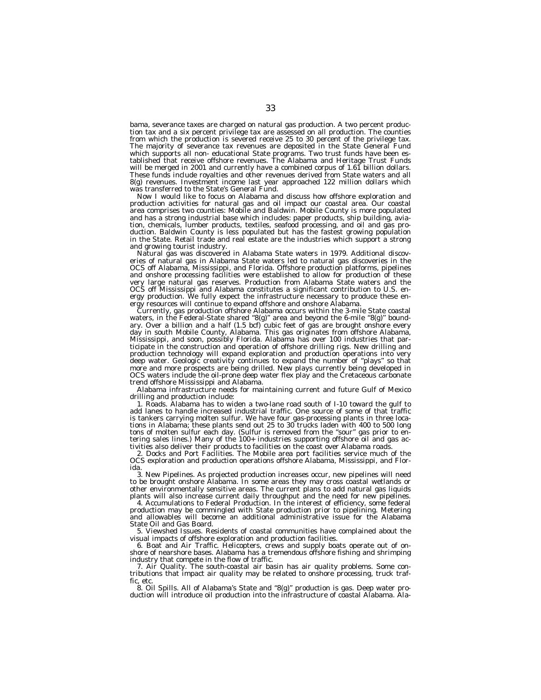bama, severance taxes are charged on natural gas production. A two percent production tax and a six percent privilege tax are assessed on all production. The counties from which the production is severed receive 25 to 30 percent of the privilege tax. The majority of severance tax revenues are deposited in the State General Fund which supports all non- educational State programs. Two trust funds have been established that receive offshore revenues. The Alabama and Heritage Trust Funds will be merged in 2001 and currently have a combined corpus of 1.61 billion dollars. These funds include royalties and other revenues derived from State waters and all 8(g) revenues. Investment income last year approached 122 million dollars which was transferred to the State's General Fund.

Now I would like to focus on Alabama and discuss how offshore exploration and production activities for natural gas and oil impact our coastal area. Our coastal area comprises two counties: Mobile and Baldwin. Mobile County is more populated and has a strong industrial base which includes: paper products, ship building, aviation, chemicals, lumber products, textiles, seafood processing, and oil and gas production. Baldwin County is less populated but has the fastest growing population in the State. Retail trade and real estate are the industries which support a strong and growing tourist industry.

Natural gas was discovered in Alabama State waters in 1979. Additional discoveries of natural gas in Alabama State waters led to natural gas discoveries in the OCS off Alabama, Mississippi, and Florida. Offshore production platforms, pipelines and onshore processing facilities were established to allow for production of these very large natural gas reserves. Production from Alabama State waters and the OCS off Mississippi and Alabama constitutes a significant contribution to U.S. energy production. We fully expect the infrastructure necessary to produce these energy resources will continue to expand offshore and onshore Alabama.

Currently, gas production offshore Alabama occurs within the 3-mile State coastal waters, in the Federal-State shared ''8(g)'' area and beyond the 6-mile ''8(g)'' boundary. Over a billion and a half (1.5 bcf) cubic feet of gas are brought onshore every day in south Mobile County, Alabama. This gas originates from offshore Alabama, Mississippi, and soon, possibly Florida. Alabama has over 100 industries that participate in the construction and operation of offshore drilling rigs. New drilling and production technology will expand exploration and production operations into very deep water. Geologic creativity continues to expand the number of ''plays'' so that more and more prospects are being drilled. New plays currently being developed in OCS waters include the oil-prone deep water flex play and the Cretaceous carbonate trend offshore Mississippi and Alabama.

Alabama infrastructure needs for maintaining current and future Gulf of Mexico drilling and production include:

1. Roads. Alabama has to widen a two-lane road south of I-10 toward the gulf to add lanes to handle increased industrial traffic. One source of some of that traffic is tankers carrying molten sulfur. We have four gas-processing plants in three locations in Alabama; these plants send out 25 to 30 trucks laden with 400 to 500 long tons of molten sulfur each day. (Sulfur is removed from the ''sour'' gas prior to entering sales lines.) Many of the 100+ industries supporting offshore oil and gas activities also deliver their products to facilities on the coast over Alabama roads.

2. Docks and Port Facilities. The Mobile area port facilities service much of the OCS exploration and production operations offshore Alabama, Mississippi, and Florida.

3. New Pipelines. As projected production increases occur, new pipelines will need to be brought onshore Alabama. In some areas they may cross coastal wetlands or other environmentally sensitive areas. The current plans to add natural gas liquids plants will also increase current daily throughput and the need for new pipelines.

4. Accumulations to Federal Production. In the interest of efficiency, some federal production may be commingled with State production prior to pipelining. Metering and allowables will become an additional administrative issue for the Alabama State Oil and Gas Board.

5. Viewshed Issues. Residents of coastal communities have complained about the visual impacts of offshore exploration and production facilities.

6. Boat and Air Traffic. Helicopters, crews and supply boats operate out of onshore of nearshore bases. Alabama has a tremendous offshore fishing and shrimping industry that compete in the flow of traffic.

7. Air Quality. The south-coastal air basin has air quality problems. Some contributions that impact air quality may be related to onshore processing, truck traffic, etc.

8. Oil Spills. All of Alabama's State and ''8(g)'' production is gas. Deep water pro-duction will introduce oil production into the infrastructure of coastal Alabama. Ala-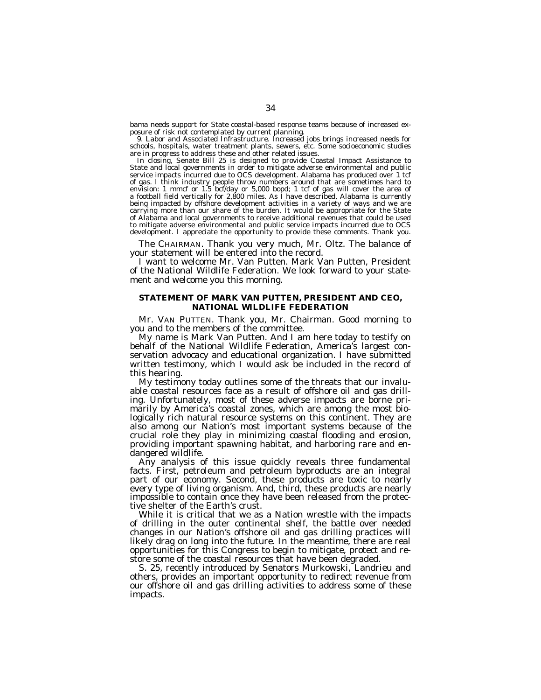bama needs support for State coastal-based response teams because of increased exposure of risk not contemplated by current planning.

9. Labor and Associated Infrastructure. Increased jobs brings increased needs for schools, hospitals, water treatment plants, sewers, etc. Some socioeconomic studies are in progress to address these and other related issues.

In closing, Senate Bill 25 is designed to provide Coastal Impact Assistance to State and local governments in order to mitigate adverse environmental and public service impacts incurred due to OCS development. Alabama has produced over 1 tcf of gas. I think industry people throw numbers around that are sometimes hard to envision: 1 mmcf or 1.5 bcf/day or 5,000 bopd; 1 tcf of gas will cover the area of a football field vertically for 2,800 miles. As I have described, Alabama is currently being impacted by offshore development activities in a variety of ways and we are carrying more than our share of the burden. It would be appropriate for the State of Alabama and local governments to receive additional revenues that could be used to mitigate adverse environmental and public service impacts incurred due to OCS development. I appreciate the opportunity to provide these comments. Thank you.

The CHAIRMAN. Thank you very much, Mr. Oltz. The balance of your statement will be entered into the record.

I want to welcome Mr. Van Putten. Mark Van Putten, President of the National Wildlife Federation. We look forward to your statement and welcome you this morning.

# **STATEMENT OF MARK VAN PUTTEN, PRESIDENT AND CEO, NATIONAL WILDLIFE FEDERATION**

Mr. VAN PUTTEN. Thank you, Mr. Chairman. Good morning to you and to the members of the committee.

My name is Mark Van Putten. And I am here today to testify on behalf of the National Wildlife Federation, America's largest conservation advocacy and educational organization. I have submitted written testimony, which I would ask be included in the record of this hearing.

My testimony today outlines some of the threats that our invaluable coastal resources face as a result of offshore oil and gas drilling. Unfortunately, most of these adverse impacts are borne primarily by America's coastal zones, which are among the most biologically rich natural resource systems on this continent. They are also among our Nation's most important systems because of the crucial role they play in minimizing coastal flooding and erosion, providing important spawning habitat, and harboring rare and endangered wildlife.

Any analysis of this issue quickly reveals three fundamental facts. First, petroleum and petroleum byproducts are an integral part of our economy. Second, these products are toxic to nearly every type of living organism. And, third, these products are nearly impossible to contain once they have been released from the protective shelter of the Earth's crust.

While it is critical that we as a Nation wrestle with the impacts of drilling in the outer continental shelf, the battle over needed changes in our Nation's offshore oil and gas drilling practices will likely drag on long into the future. In the meantime, there are real opportunities for this Congress to begin to mitigate, protect and restore some of the coastal resources that have been degraded.

S. 25, recently introduced by Senators Murkowski, Landrieu and others, provides an important opportunity to redirect revenue from our offshore oil and gas drilling activities to address some of these impacts.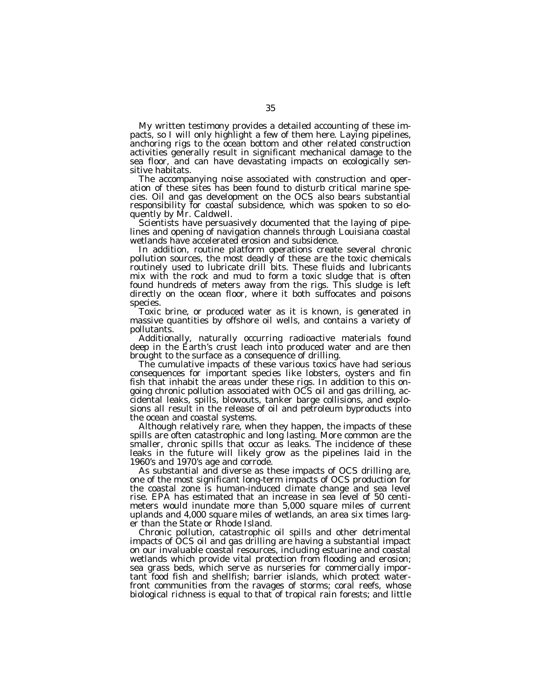My written testimony provides a detailed accounting of these impacts, so I will only highlight a few of them here. Laying pipelines, anchoring rigs to the ocean bottom and other related construction activities generally result in significant mechanical damage to the sea floor, and can have devastating impacts on ecologically sensitive habitats.

The accompanying noise associated with construction and operation of these sites has been found to disturb critical marine species. Oil and gas development on the OCS also bears substantial responsibility for coastal subsidence, which was spoken to so eloquently by Mr. Caldwell.

Scientists have persuasively documented that the laying of pipelines and opening of navigation channels through Louisiana coastal wetlands have accelerated erosion and subsidence.

In addition, routine platform operations create several chronic pollution sources, the most deadly of these are the toxic chemicals routinely used to lubricate drill bits. These fluids and lubricants mix with the rock and mud to form a toxic sludge that is often found hundreds of meters away from the rigs. This sludge is left directly on the ocean floor, where it both suffocates and poisons species.

Toxic brine, or produced water as it is known, is generated in massive quantities by offshore oil wells, and contains a variety of pollutants.

Additionally, naturally occurring radioactive materials found deep in the Earth's crust leach into produced water and are then brought to the surface as a consequence of drilling.

The cumulative impacts of these various toxics have had serious consequences for important species like lobsters, oysters and fin fish that inhabit the areas under these rigs. In addition to this ongoing chronic pollution associated with OCS oil and gas drilling, accidental leaks, spills, blowouts, tanker barge collisions, and explosions all result in the release of oil and petroleum byproducts into the ocean and coastal systems.

Although relatively rare, when they happen, the impacts of these spills are often catastrophic and long lasting. More common are the smaller, chronic spills that occur as leaks. The incidence of these leaks in the future will likely grow as the pipelines laid in the 1960's and 1970's age and corrode.

As substantial and diverse as these impacts of OCS drilling are, one of the most significant long-term impacts of OCS production for the coastal zone is human-induced climate change and sea level rise. EPA has estimated that an increase in sea level of 50 centimeters would inundate more than 5,000 square miles of current uplands and 4,000 square miles of wetlands, an area six times larger than the State or Rhode Island.

Chronic pollution, catastrophic oil spills and other detrimental impacts of OCS oil and gas drilling are having a substantial impact on our invaluable coastal resources, including estuarine and coastal wetlands which provide vital protection from flooding and erosion; sea grass beds, which serve as nurseries for commercially important food fish and shellfish; barrier islands, which protect waterfront communities from the ravages of storms; coral reefs, whose biological richness is equal to that of tropical rain forests; and little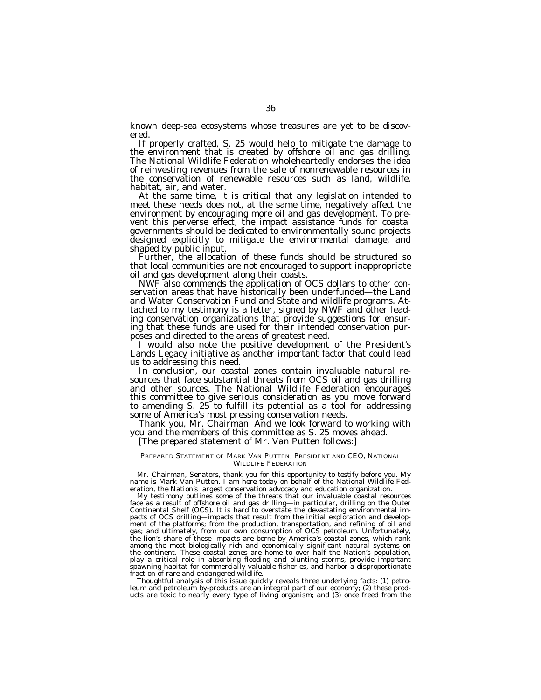known deep-sea ecosystems whose treasures are yet to be discovered.

If properly crafted, S. 25 would help to mitigate the damage to the environment that is created by offshore oil and gas drilling. The National Wildlife Federation wholeheartedly endorses the idea of reinvesting revenues from the sale of nonrenewable resources in the conservation of renewable resources such as land, wildlife, habitat, air, and water.

At the same time, it is critical that any legislation intended to meet these needs does not, at the same time, negatively affect the environment by encouraging more oil and gas development. To prevent this perverse effect, the impact assistance funds for coastal governments should be dedicated to environmentally sound projects designed explicitly to mitigate the environmental damage, and<br>shaped by public input.

Further, the allocation of these funds should be structured so that local communities are not encouraged to support inappropriate

oil and gas development along their coasts. NWF also commends the application of OCS dollars to other conservation areas that have historically been underfunded—the Land and Water Conservation Fund and State and wildlife programs. Attached to my testimony is a letter, signed by NWF and other leading conservation organizations that provide suggestions for ensuring that these funds are used for their intended conservation purposes and directed to the areas of greatest need. I would also note the positive development of the President's

Lands Legacy initiative as another important factor that could lead us to addressing this need. In conclusion, our coastal zones contain invaluable natural re-

sources that face substantial threats from OCS oil and gas drilling and other sources. The National Wildlife Federation encourages this committee to give serious consideration as you move forward to amending S. 25 to fulfill its potential as a tool for addressing some of America's most pressing conservation needs.

Thank you, Mr. Chairman. And we look forward to working with you and the members of this committee as S. 25 moves ahead.

# [The prepared statement of Mr. Van Putten follows:]

# PREPARED STATEMENT OF MARK VAN PUTTEN, PRESIDENT AND CEO, NATIONAL WILDLIFE FEDERATION

Mr. Chairman, Senators, thank you for this opportunity to testify before you. My name is Mark Van Putten. I am here today on behalf of the National Wildlife Federation, the Nation's largest conservation advocacy and education organization.

My testimony outlines some of the threats that our invaluable coastal resources face as a result of offshore oil and gas drilling—in particular, drilling on the Outer Continental Shelf (OCS). It is hard to overstate the devastating environmental impacts of OCS drilling—impacts that result from the initial exploration and development of the platforms; from the production, transportation, and refining of oil and gas; and ultimately, from our own consumption of OCS petroleum. Unfortunately, the lion's share of these impacts are borne by America's coastal zones, which rank among the most biologically rich and economically significant natural systems on the continent. These coastal zones are home to over half the Nation's population, play a critical role in absorbing flooding and blunting storms, provide important spawning habitat for commercially valuable fisheries, and harbor a disproportionate fraction of rare and endangered wildlife.

Thoughtful analysis of this issue quickly reveals three underlying facts: (1) petroleum and petroleum by-products are an integral part of our economy; (2) these prod-ucts are toxic to nearly every type of living organism; and (3) once freed from the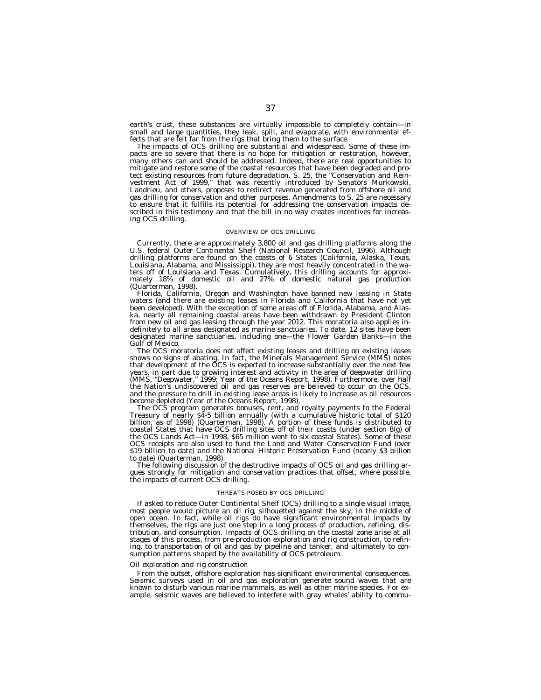earth's crust, these substances are virtually impossible to completely contain—in small and large quantities, they leak, spill, and evaporate, with environmental effects that are felt far from the rigs that bring them to the surface.

The impacts of OCS drilling are substantial and widespread. Some of these impacts are so severe that there is no hope for mitigation or restoration, however, many others can and should be addressed. Indeed, there are real opportunities to mitigate and restore some of the coastal resources that have been degraded and protect existing resources from future degradation. S. 25, the ''Conservation and Reinvestment Act of 1999,'' that was recently introduced by Senators Murkowski, Landrieu, and others, proposes to redirect revenue generated from offshore oil and gas drilling for conservation and other purposes. Amendments to S. 25 are necessary to ensure that it fulfills its potential for addressing the conservation impacts described in this testimony and that the bill in no way creates incentives for increasing OCS drilling.

# OVERVIEW OF OCS DRILLING

Currently, there are approximately 3,800 oil and gas drilling platforms along the U.S. federal Outer Continental Shelf (National Research Council, 1996). Although drilling platforms are found on the coasts of 6 States (California, Alaska, Texas, Louisiana, Alabama, and Mississippi), they are most heavily concentrated in the waters off of Louisiana and Texas. Cumulatively, this drilling accounts for approximately 18% of domestic oil and 27% of domestic natural gas production (Quarterman, 1998).

Florida, California, Oregon and Washington have banned new leasing in State waters (and there are existing leases in Florida and California that have not yet been developed). With the exception of some areas off of Florida, Alabama, and Alaska, nearly all remaining coastal areas have been withdrawn by President Clinton from new oil and gas leasing through the year 2012. This moratoria also applies indefinitely to all areas designated as marine sanctuaries. To date, 12 sites have been designated marine sanctuaries, including one—the Flower Garden Banks—in the Gulf of Mexico.

The OCS moratoria does not affect existing leases and drilling on existing leases shows no signs of abating. In fact, the Minerals Management Service (MMS) notes that development of the OCS is expected to increase substantially over the next few years, in part due to growing interest and activity in the area of deepwater drilling (MMS, "Deepwater," 1999; Year of the Oceans Report, 1998). Furthermore, over half the Nation's undiscovered oil and gas reserves are believed to occur on the OCS, and the pressure to drill in existing lease areas is likely to increase as oil resources become depleted (Year of the Oceans Report, 1998),

The OCS program generates bonuses, rent, and royalty payments to the Federal Treasury of nearly \$4-5 billion annually (with a cumulative historic total of \$120 billion, as of 1998) (Quarterman, 1998). A portion of these funds is distributed to coastal States that have OCS drilling sites off of their coasts (under section 8(g) of the OCS Lands Act—in 1998, \$65 million went to six coastal States). Some of these OCS receipts are also used to fund the Land and Water Conservation Fund (over \$19 billion to date) and the National Historic Preservation Fund (nearly \$3 billion to date) (Quarterman, 1998).

The following discussion of the destructive impacts of OCS oil and gas drilling argues strongly for mitigation and conservation practices that offset, where possible, the impacts of current OCS drilling.

## THREATS POSED BY OCS DRILLING

If asked to reduce Outer Continental Shelf (OCS) drilling to a single visual image, most people would picture an oil rig, silhouetted against the sky, in the middle of open ocean. In fact, while oil rigs do have significant environmental impacts by themselves, the rigs are just one step in a long process of production, refining, distribution, and consumption. Impacts of OCS drilling on the coastal zone arise at all stages of this process, from pre-production exploration and rig construction, to refining, to transportation of oil and gas by pipeline and tanker, and ultimately to consumption patterns shaped by the availability of OCS petroleum.

## *Oil exploration and rig construction*

From the outset, offshore exploration has significant environmental consequences. Seismic surveys used in oil and gas exploration generate sound waves that are known to disturb various marine mammals, as well as other marine species. For example, seismic waves are believed to interfere with gray whales' ability to commu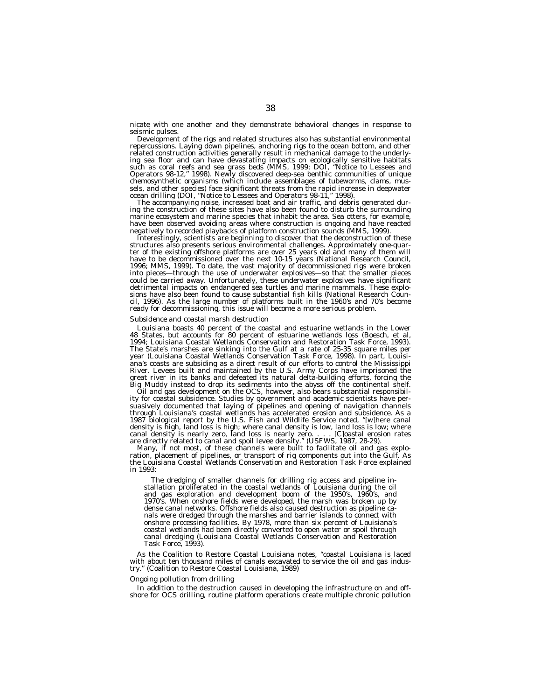nicate with one another and they demonstrate behavioral changes in response to seismic pulses.

Development of the rigs and related structures also has substantial environmental repercussions. Laying down pipelines, anchoring rigs to the ocean bottom, and other related construction activities generally result in mechanical damage to the underlying sea floor and can have devastating impacts on ecologically sensitive habitats such as coral reefs and sea grass beds (MMS, 1999; DOI, ''Notice to Lessees and Operators 98-12,'' 1998). Newly discovered deep-sea benthic communities of unique chemosynthetic organisms (which include assemblages of tubeworms, clams, mussels, and other species) face significant threats from the rapid increase in deepwater ocean drilling (DOI, ''Notice to Lessees and Operators 98-11,'' 1998).

The accompanying noise, increased boat and air traffic, and debris generated during the construction of these sites have also been found to disturb the surrounding marine ecosystem and marine species that inhabit the area. Sea otters, for example, have been observed avoiding areas where construction is ongoing and have reacted negatively to recorded playbacks of platform construction sounds (MMS, 1999).

Interestingly, scientists are beginning to discover that the deconstruction of these structures also presents serious environmental challenges. Approximately one-quarter of the existing offshore platforms are over 25 years old and many of them will have to be decommissioned over the next 10-15 years (National Research Council, 1996; MMS, 1999). To date, the vast majority of decommissioned rigs were broken into pieces—through the use of underwater explosives—so that the smaller pieces could be carried away. Unfortunately, these underwater explosives have significant detrimental impacts on endangered sea turtles and marine mammals. These explosions have also been found to cause substantial fish kills (National Research Council, 1996). As the large number of platforms built in the 1960's and 70's become ready for decommissioning, this issue will become a more serious problem.

# *Subsidence and coastal marsh destruction*

Louisiana boasts 40 percent of the coastal and estuarine wetlands in the Lower 48 States, but accounts for 80 percent of estuarine wetlands loss (Boesch, et al, 1994; Louisiana Coastal Wetlands Conservation and Restoration Task Force, 1993). The State's marshes are sinking into the Gulf at a rate of 25-35 square miles per year (Louisiana Coastal Wetlands Conservation Task Force, 1998). In part, Louisiana's coasts are subsiding as a direct result of our efforts to control the Mississippi River. Levees built and maintained by the U.S. Army Corps have imprisoned the great river in its banks and defeated its natural delta-building efforts, forcing the Big Muddy instead to drop its sediments into the abyss off the continental shelf.

Oil and gas development on the OCS, however, also bears substantial responsibility for coastal subsidence. Studies by government and academic scientists have persuasively documented that laying of pipelines and opening of navigation channels through Louisiana's coastal wetlands has accelerated erosion and subsidence. As a 1987 biological report by the U.S. Fish and Wildlife Service noted, ''[w]here canal density is high, land loss is high; where canal density is low, land loss is low; where canal density is nearly zero, land loss is nearly zero. . . . [C]oastal erosion rates are directly related to canal and spoil levee density.'' (USFWS, 1987, 28-29).

Many, if not most, of these channels were built to facilitate oil and gas exploration, placement of pipelines, or transport of rig components out into the Gulf. As the Louisiana Coastal Wetlands Conservation and Restoration Task Force explained in 1993:

The dredging of smaller channels for drilling rig access and pipeline installation proliferated in the coastal wetlands of Louisiana during the oil and gas exploration and development boom of the 1950's, 1960's, and 1970's. When onshore fields were developed, the marsh was broken up by dense canal networks. Offshore fields also caused destruction as pipeline canals were dredged through the marshes and barrier islands to connect with onshore processing facilities. By 1978, more than six percent of Louisiana's coastal wetlands had been directly converted to open water or spoil through canal dredging (Louisiana Coastal Wetlands Conservation and Restoration Task Force, 1993).

As the Coalition to Restore Coastal Louisiana notes, ''coastal Louisiana is laced with about ten thousand miles of canals excavated to service the oil and gas industry.'' (Coalition to Restore Coastal Louisiana, 1989)

## *Ongoing pollution from drilling*

In addition to the destruction caused in developing the infrastructure on and offshore for OCS drilling, routine platform operations create multiple chronic pollution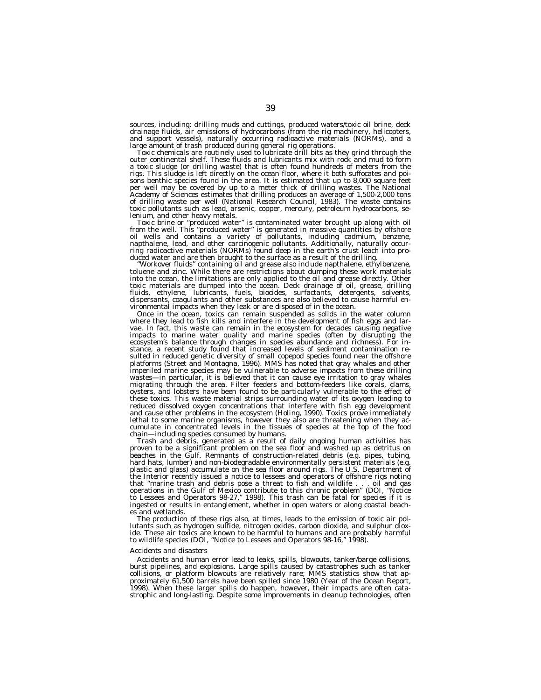sources, including: drilling muds and cuttings, produced waters/toxic oil brine, deck drainage fluids, air emissions of hydrocarbons (from the rig machinery, helicopters, and support vessels), naturally occurring radioactive materials (NORMs), and a

large amount of trash produced during general rig operations.<br>Toxic chemicals are routinely used to lubricate drill bits as they grind through the<br>outer continental shelf. These fluids and lubricants mix with rock and mud a toxic sludge (or drilling waste) that is often found hundreds of meters from the rigs. This sludge is left directly on the ocean floor, where it both suffocates and poisons benthic species found in the area. It is estimated that up to 8,000 square feet per well may be covered by up to a meter thick of drilling wastes. The National<br>Academy of Sciences estimates that drilling produces an average of 1,500-2,000 tons of drilling waste per well (National Research Council, 1983). The waste contains toxic pollutants such as lead, arsenic, copper, mercury, petroleum hydrocarbons, se-

lenium, and other heavy metals. This is contaminated water brought up along with oil from the well. This is generated water is contaminated water brought up along with oil oil wells and contains a variety of pollutants, including cadmium, benzene,<br>napthalene, lead, and other carcinogenic pollutants. Additionally, naturally occur-<br>ring radioactive materials (NORMs) found deep in the earth's c

duced water and are then brought to the surface as a result of the drilling. ''Workover fluids'' containing oil and grease also include napthalene, ethylbenzene, toluene and zinc. While there are restrictions about dumping these work materials into the ocean, the limitations are only applied to the oil and grease directly. Other toxic materials are dumped into the ocean. Deck drainage of oil, grease, drilling fluids, ethylene, lubricants, fuels, biocides, surfactants, detergents, solvents, dispersants, coagulants and other substances are also believed to cause harmful environmental impacts when they leak or are disposed of in the ocean.

Once in the ocean, toxics can remain suspended as solids in the water column where they lead to fish kills and interfere in the development of fish eggs and larvae. In fact, this waste can remain in the ecosystem for decades causing negative impacts to marine water quality and marine species (often by disrupting the ecosystem's balance through changes in species abundance and richness). For instance, a recent study found that increased levels of sediment contamination resulted in reduced genetic diversity of small copepod species found near the offshore platforms (Street and Montagna, 1996). MMS has noted that gray whales and other imperiled marine species may be vulnerable to adverse impacts from these drilling wastes—in particular, it is believed that it can cause eye irritation to gray whales migrating through the area. Filter feeders and bottom-feeders like corals, clams, oysters, and lobsters have been found to be particularly vulnerable to the effect of these toxics. This waste material strips surrounding water of its oxygen leading to reduced dissolved oxygen concentrations that interfere with fish egg development and cause other problems in the ecosystem (Holing, 1990). Toxics prove immediately lethal to some marine organisms, however they also are threatening when they accumulate in concentrated levels in the tissues of species at the top of the food chain—including species consumed by humans.

Trash and debris, generated as a result of daily ongoing human activities has proven to be a significant problem on the sea floor and washed up as detritus on beaches in the Gulf. Remnants of construction-related debris (e.g. pipes, tubing, hard hats, lumber) and non-biodegradable environmentally persistent materials (e.g. plastic and glass) accumulate on the sea floor around rigs. The U.S. Department of the Interior recently issued a notice to lessees and operators of offshore rigs noting that ''marine trash and debris pose a threat to fish and wildlife . . . oil and gas operations in the Gulf of Mexico contribute to this chronic problem'' (DOI, ''Notice to Lessees and Operators 98-27,'' 1998). This trash can be fatal for species if it is ingested or results in entanglement, whether in open waters or along coastal beaches and wetlands.

The production of these rigs also, at times, leads to the emission of toxic air pollutants such as hydrogen sulfide, nitrogen oxides, carbon dioxide, and sulphur dioxide. These air toxics are known to be harmful to humans and are probably harmful to wildlife species (DOI, ''Notice to Lessees and Operators 98-16,'' 1998).

#### *Accidents and disasters*

Accidents and human error lead to leaks, spills, blowouts, tanker/barge collisions, burst pipelines, and explosions. Large spills caused by catastrophes such as tanker collisions, or platform blowouts are relatively rare; MMS statistics show that approximately 61,500 barrels have been spilled since 1980 (Year of the Ocean Report,<br>1998). When these larger spills do happen, however, their impacts are often cata-<br>strophic and long-lasting. Despite some improvements in c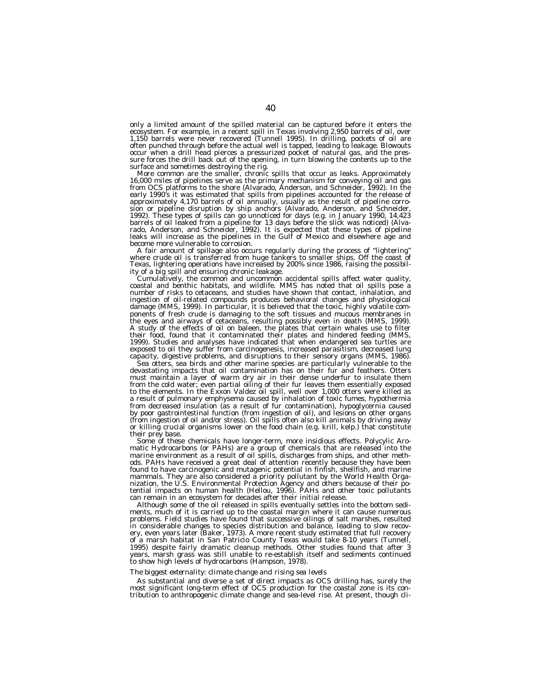only a limited amount of the spilled material can be captured before it enters the ecosystem. For example, in a recent spill in Texas involving 2,950 barrels of oil, over<br>1,150 barrels were never recovered (Tunnell 1995). In drilling, pockets of oil are<br>often punched through before the actual well is tap sure forces the drill back out of the opening, in turn blowing the contents up to the

surface and sometimes destroying the rig.<br>More common are the smaller, chronic spills that occur as leaks. Approximately<br>16,000 miles of pipelines serve as the primary mechanism for conveying oil and gas from OCS platforms to the shore (Alvarado, Anderson, and Schneider, 1992). In the early 1990's it was estimated that spills from pipelines accounted for the release of approximately 4,170 barrels of oil annually, usually as the result of pipeline corrosion or pipeline disruption by ship anchors (Alvarado, Anderson, and Schneider, 1992). These types of spills can go unnoticed for days (e.g. in January 1990, 14,423 barrels of oil leaked from a pipeline for 13 days before the slick was noticed) (Alvarado, Anderson, and Schneider, 1992). It is expected that these types of pipeline leaks will increase as the pipelines in the Gulf of Mexico and elsewhere age and

become more vulnerable to corrosion.<br>A fair amount of spillage also occurs regularly during the process of "lightering". where crude oil is transferred from huge tankers to smaller ships. Off the coast of Texas, lightering operations have increased by 200% since 1986, raising the possibility of a big spill and ensuring chronic leakage.

Cumulatively, the common and uncommon accidental spills affect water quality, coastal and benthic habitats, and wildlife. MMS has noted that oil spills pose a number of risks to cetaceans, and studies have shown that contact, inhalation, and ingestion of oil-related compounds produces behavioral changes and physiological damage (MMS, 1999). In particular, it is believed that the toxic, highly volatile components of fresh crude is damaging to the soft tissues and mucous membranes in the eyes and airways of cetaceans, resulting possibly even in death (MMS, 1999). A study of the effects of oil on baleen, the plates that certain whales use to filter their food, found that it contaminated their plates and hindered feeding (MMS, 1999). Studies and analyses have indicated that when endangered sea turtles are exposed to oil they suffer from carcinogenesis, increased parasitism, decreased lung capacity, digestive problems, and disruptions to their sensory organs (MMS, 1986).

Sea otters, sea birds and other marine species are particularly vulnerable to the devastating impacts that oil contamination has on their fur and feathers. Otters must maintain a layer of warm dry air in their dense underfur to insulate them from the cold water; even partial oiling of their fur leaves them essentially exposed to the elements. In the Exxon Valdez oil spill, well over 1,000 otters were killed as a result of pulmonary emphysema caused by inhalation of toxic fumes, hypothermia from decreased insulation (as a result of fur contamination), hypoglycernia caused by poor gastrointestinal function (from ingestion of oil), and lesions on other organs (from ingestion of oil and/or stress). Oil spills often also kill animals by driving away or killing crucial organisms lower on the food chain (e.g. krill, kelp.) that constitute their prey base.

Some of these chemicals have longer-term, more insidious effects. Polycylic Aromatic Hydrocarbons (or PAHs) are a group of chemicals that are released into the marine environment as a result of oil spills, discharges from ships, and other methods. PAHs have received a great deal of attention recently because they have been found to have carcinogenic and mutagenic potential in finfish, shellfish, and marine mammals. They are also considered a priority pollutant by the World Health Organization, the U.S. Environmental Protection Agency and others because of their potential impacts on human health (Hellou, 1996). PAHs and other toxic pollutants can remain in an ecosystem for decades after their initial release.

Although some of the oil released in spills eventually settles into the bottom sediments, much of it is carried up to the coastal margin where it can cause numerous problems. Field studies have found that successive oilings of salt marshes, resulted in considerable changes to species distribution and balance, leading to slow recovery, even years later (Baker, 1973). A more recent study estimated that full recovery of a marsh habitat in San Patricio County Texas would take 8-10 years (Tunnell, 1995) despite fairly dramatic cleanup methods. Other studies found that after 3 years, marsh grass was still unable to re-establish itself and sediments continued to show high levels of hydrocarbons (Hampson, 1978).

# *The biggest externality: climate change and rising sea levels*

As substantial and diverse a set of direct impacts as OCS drilling has, surely the most significant long-term effect of OCS production for the coastal zone is its con-tribution to anthropogenic climate change and sea-level rise. At present, though cli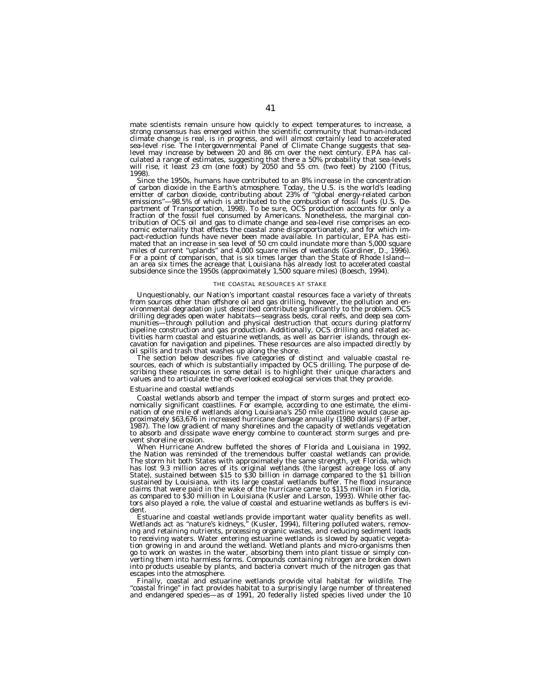mate scientists remain unsure how quickly to expect temperatures to increase, a strong consensus has emerged within the scientific community that human-induced climate change is real, is in progress, and will almost certainly lead to accelerated sea-level rise. The Intergovernmental Panel of Climate Change suggests that sealevel may increase by between 20 and 86 cm over the next century. EPA has calculated a range of estimates, suggesting that there a 50% probability that sea-levels will rise, it least 23 cm (one foot) by 2050 and 55 cm. (two feet) by 2100 (Titus, 1998).

Since the 1950s, humans have contributed to an 8% increase in the concentration of carbon dioxide in the Earth's atmosphere. Today, the U.S. is the world's leading emitter of carbon dioxide, contributing about 23% of ''global energy-related carbon emissions"—98.5% of which is attributed to the combustion of fossil fuels (U.S. De-<br>partment of Transportation, 1998). To be sure, OCS production accounts for only a<br>fraction of the fossil fuel consumed by Americans. Nonet nomic externality that effects the coastal zone disproportionately, and for which impact-reduction funds have never been made available. In particular, EPA has estimated that an increase in sea level of 50 cm could inundate more than 5,000 square miles of current ''uplands'' and 4,000 square miles of wetlands (Gardiner, D., 1996). For a point of comparison, that is six times larger than the State of Rhode Island an area six times the acreage that Louisiana has already lost to accelerated coastal subsidence since the 1950s (approximately 1,500 square miles) (Boesch, 1994).

#### THE COASTAL RESOURCES AT STAKE

Unquestionably, our Nation's important coastal resources face a variety of threats from sources other than offshore oil and gas drilling, however, the pollution and environmental degradation just described contribute significantly to the problem. OCS drilling degrades open water habitats—seagrass beds, coral reefs, and deep sea com-<br>munities—through pollution and physical destruction that occurs during platform/<br>pipeline construction and gas production. Additionally, O cavation for navigation and pipelines. These resources are also impacted directly by

The section below describes five categories of distinct and valuable coastal re-<br>sources, each of which is substantially impacted by OCS drilling. The purpose of describing these resources in some detail is to highlight their unique characters and values and to articulate the oft-overlooked ecological services that they provide.

### *Estuarine and coastal wetlands*

Coastal wetlands absorb and temper the impact of storm surges and protect eco-<br>nomically significant coastlines. For example, according to one estimate, the elimi-<br>nation of one mile of wetlands along Louisiana's 250 mile proximately \$63,676 in increased hurricane damage annually (1980 dollars) (Farber, 1987). The low gradient of many shorelines and the capacity of wetlands vegetation to absorb and dissipate wave energy combine to counteract storm surges and prevent shoreline erosion.

When Hurricane Andrew buffeted the shores of Florida and Louisiana in 1992, the Nation was reminded of the tremendous buffer coastal wetlands can provide. The storm hit both States with approximately the same strength, yet Florida, which has lost 9.3 million acres of its original wetlands (the largest acreage loss of any State), sustained between \$15 to \$30 billion in damage compared to the \$1 billion sustained by Louisiana, with its large coastal wetlands buffer. The flood insurance claims that were paid in the wake of the hurricane came to \$115 million in Florida, as compared to \$30 million in Louisiana (Kusler and Larson, 1993). While other factors also played a role, the value of coastal and estuarine wetlands as buffers is evi-

dent.<br>Estuarine and coastal wetlands provide important water quality benefits as well. Wetlands act as "nature's kidneys," (Kusler, 1994), filtering polluted waters, removing and retaining nutrients, processing organic wastes, and reducing sediment loads to receiving waters. Water entering estuarine wetlands is slowed by aquatic vegetation growing in and around the wetland. Wetland plants and micro-organisms then go to work on wastes in the water, absorbing them into plant tissue or simply converting them into harmless forms. Compounds containing nitrogen are broken down into products useable by plants, and bacteria convert much of the nitrogen gas that escapes into the atmosphere.

Finally, coastal and estuarine wetlands provide vital habitat for wildlife. The "coastal fringe" in fact provides habitat to a surprisingly large number of threatened<br>and endangered species—as of 1991, 20 federally listed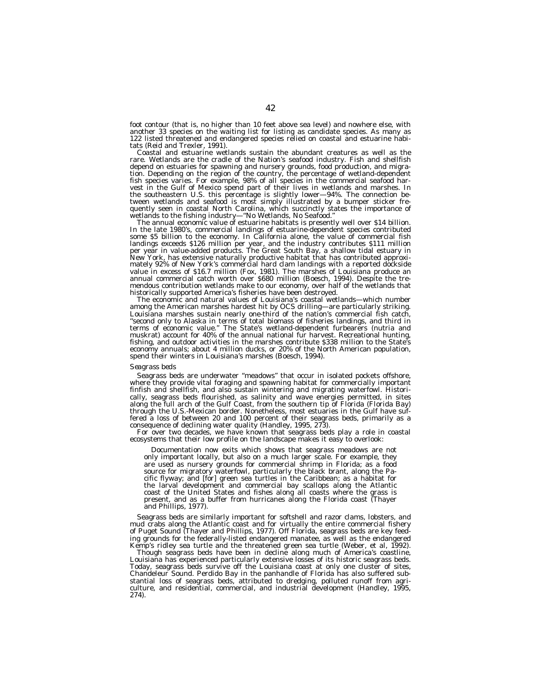foot contour (that is, no higher than 10 feet above sea level) and nowhere else, with another 33 species on the waiting list for listing as candidate species. As many as 122 listed threatened and endangered species relied on coastal and estuarine habitats (Reid and Trexler, 1991).

Coastal and estuarine wetlands sustain the abundant creatures as well as the rare. Wetlands are the cradle of the Nation's seafood industry. Fish and shellfish depend on estuaries for spawning and nursery grounds, food production, and migra-<br>tion. Depending on the region of the country, the percentage of wetland-dependent<br>fish species varies. For example, 98% of all species in th vest in the Gulf of Mexico spend part of their lives in wetlands and marshes. In<br>the southeastern U.S. this percentage is slightly lower—94%. The connection be-<br>tween wetlands and seafood is most simply illustrated by a bu wetlands to the fishing industry—"No Wetlands, No Seafood."<br>The annual economic value of estuarine habitats is presently well over \$14 billion.

In the late 1980's, commercial landings of estuarine-dependent species contributed<br>some \$5 billion to the economy. In California alone, the value of commercial fish landings exceeds \$126 million per year, and the industry contributes \$111 million<br>per year in value-added products. The Great South Bay, a shallow tidal estuary in<br>New York, has extensive naturally productive habitat that value in excess of \$16.7 million (Fox, 1981). The marshes of Louisiana produce an annual commercial catch worth over \$680 million (Boesch, 1994). Despite the tremendous contribution wetlands make to our economy, over half of the wetlands that historically supported America's fisheries have been destroyed.

The economic and natural values of Louisiana's coastal wetlands—which number among the American marshes hardest hit by OCS drilling—are particularly striking. Louisiana marshes sustain nearly one-third of the nation's commercial fish catch, ''second only to Alaska in terms of total biomass of fisheries landings, and third in terms of economic value.'' The State's wetland-dependent furbearers (nutria and muskrat) account for 40% of the annual national fur harvest. Recreational hunting, fishing, and outdoor activities in the marshes contribute \$338 million to the State's economy annuals; about 4 million ducks, or 20% of the North American population, spend their winters in Louisiana's marshes (Boesch, 1994).

#### *Seagrass beds*

Seagrass beds are underwater ''meadows'' that occur in isolated pockets offshore, where they provide vital foraging and spawning habitat for commercially important finfish and shellfish, and also sustain wintering and migrating waterfowl. Historically, seagrass beds flourished, as salinity and wave energies permitted, in sites along the full arch of the Gulf Coast, from the southern tip of Florida (Florida Bay) through the U.S.-Mexican border. Nonetheless, most estuaries in the Gulf have suffered a loss of between 20 and 100 percent of their seagrass beds, primarily as a consequence of declining water quality (Handley, 1995, 273).

For over two decades, we have known that seagrass beds play a role in coastal ecosystems that their low profile on the landscape makes it easy to overlook:

Documentation now exits which shows that seagrass meadows are not only important locally, but also on a much larger scale. For example, they are used as nursery grounds for commercial shrimp in Florida; as a food source for migratory waterfowl, particularly the black brant, along the Pacific flyway; and [for] green sea turtles in the Caribbean; as a habitat for the larval development and commercial bay scallops along the Atlantic coast of the United States and fishes along all coasts where the grass is present, and as a buffer from hurricanes along the Florida coast (Thayer and Phillips, 1977).

Seagrass beds are similarly important for softshell and razor clams, lobsters, and mud crabs along the Atlantic coast and for virtually the entire commercial fishery of Puget Sound (Thayer and Phillips, 1977). Off Florida, seagrass beds are key feeding grounds for the federally-listed endangered manatee, as well as the endangered Kemp's ridley sea turtle and the threatened green sea turtle (Weber, et al, 1992).

Though seagrass beds have been in decline along much of America's coastline, Louisiana has experienced particularly extensive losses of its historic seagrass beds. Today, seagrass beds survive off the Louisiana coast at only one cluster of sites, Chandeleur Sound. Perdido Bay in the panhandle of Florida has also suffered substantial loss of seagrass beds, attributed to dredging, polluted runoff from agriculture, and residential, commercial, and industrial development (Handley, 1995, 274).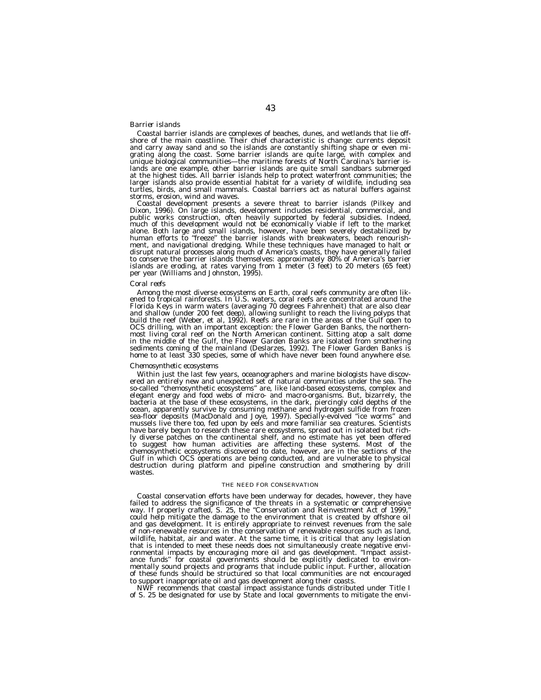## *Barrier islands*

Coastal barrier islands are complexes of beaches, dunes, and wetlands that lie offshore of the main coastline. Their chief characteristic is change: currents deposit and carry away sand and so the islands are constantly shifting shape or even migrating along the coast. Some barrier islands are quite large, with complex and unique biological communities—the maritime forests of North Carolina's barrier islands are one example, other barrier islands are quite small sandbars submerged at the highest tides. All barrier islands help to protect waterfront communities; the larger islands also provide essential habitat for a variety of wildlife, including sea turtles, birds, and small mammals. Coastal barriers act as natural buffers against storms, erosion, wind and waves.

Coastal development presents a severe threat to barrier islands (Pilkey and<br>Dixon, 1996). On large islands, development includes residential, commercial, and<br>public works construction, often heavily supported by federal su alone. Both large and small islands, however, have been severely destabilized by<br>human efforts to "freeze" the barrier islands with breakwaters, beach renourish-<br>ment, and navigational dredging. While these techniques have disrupt natural processes along much of America's coasts, they have generally failed<br>to conserve the barrier islands themselves: approximately 80% of America's barrier<br>islands are eroding, at rates varying from 1 meter (3

#### *Coral reefs*

Among the most diverse ecosystems on Earth, coral reefs community are often lik-<br>ened to tropical rainforests. In U.S. waters, coral reefs are concentrated around the<br>Florida Keys in warm waters (averaging 70 degrees Fahre and shallow (under 200 feet deep), allowing sunlight to reach the living polyps that build the reef (Weber, et al, 1992). Reefs are rare in the areas of the Gulf open to OCS drilling, with an important exception: the Flower Garden Banks, the northern-most living coral reef on the North American continent. Sitting atop a salt dome in the middle of the Gulf, the Flower Garden Banks are isolated from smothering sediments coming of the mainland (Deslarzes, 1992). The Flower Garden Banks is home to at least 330 species, some of which have never been found anywhere else.

#### *Chemosynthetic ecosystems*

Within just the last few years, oceanographers and marine biologists have discovered an entirely new and unexpected set of natural communities under the sea. The so-called ''chemosynthetic ecosystems'' are, like land-based ecosystems, complex and elegant energy and food webs of micro- and macro-organisms. But, bizarrely, the bacteria at the base of these ecosystems, in the dark, piercingly cold depths of the ocean, apparently survive by consuming methane and hydrogen sulfide from frozen sea-floor deposits (MacDonald and Joye, 1997). Specially-evolved ''ice worms'' and mussels live there too, fed upon by eels and more familiar sea creatures. Scientists have barely begun to research these rare ecosystems, spread out in isolated but richly diverse patches on the continental shelf, and no estimate has yet been offered to suggest how human activities are affecting these systems. Most of the chemosynthetic ecosystems discovered to date, however, are in the sections of the Gulf in which OCS operations are being conducted, and are vulnerable to physical destruction during platform and pipeline construction and smothering by drill wastes.

# THE NEED FOR CONSERVATION

Coastal conservation efforts have been underway for decades, however, they have failed to address the significance of the threats in a systematic or comprehensive way. If properly crafted, S. 25, the ''Conservation and Reinvestment Act of 1999,'' could help mitigate the damage to the environment that is created by offshore oil and gas development. It is entirely appropriate to reinvest revenues from the sale of non-renewable resources in the conservation of renewable resources such as land, wildlife, habitat, air and water. At the same time, it is critical that any legislation that is intended to meet these needs does not simultaneously create negative environmental impacts by encouraging more oil and gas development. ''Impact assistance funds" for coastal governments should be explicitly dedicated to environmentally sound projects and programs that include public input. Further, allocation of these funds should be structured so that local communities are not encouraged to support inappropriate oil and gas development along their coasts.

NWF recommends that coastal impact assistance funds distributed under Title I of S. 25 be designated for use by State and local governments to mitigate the envi-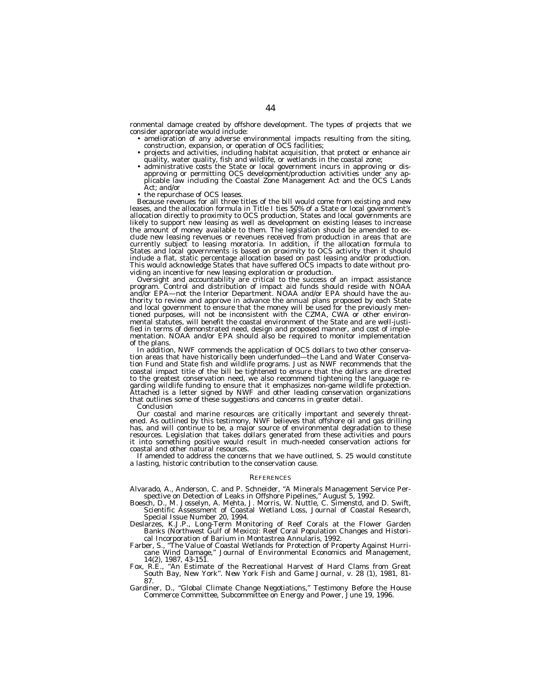ronmental damage created by offshore development. The types of projects that we

- amelioration of any adverse environmental impacts resulting from the siting, construction, expansion, or operation of OCS facilities;
- projects and activities, including habitat acquisition, that protect or enhance air quality, water quality, fish and wildlife, or wetlands in the coastal zone; • administrative costs the State or local government incurs in approving or dis-
- approving or permitting OCS development/production activities under any ap-plicable law including the Coastal Zone Management Act and the OCS Lands
- Act; and/or<br>• the repurchase of OCS leases.

Because revenues for all three titles of the bill would come from existing and new leases, and the allocation formula in Title I ties 50% of a State or local government's allocation directly to proximity to OCS production, States and local governments are likely to support new leasing as well as development on existing leases to increase the amount of money available to them. The legislation should be amended to exclude new leasing revenues or revenues received from production in areas that are currently subject to leasing moratoria. In addition, if the allocation formula to States and local governments is based on proximity to OCS activity then it should include a flat, static percentage allocation based on past leasing and/or production. This would acknowledge States that have suffered OCS impacts to date without providing an incentive for new leasing exploration or production.

Oversight and accountability are critical to the success of an impact assistance program. Control and distribution of impact aid funds should reside with NOAA and/or EPA—not the Interior Department. NOAA and/or EPA should have the authority to review and approve in advance the annual plans proposed by each State and local government to ensure that the money will be used for the previously mentioned purposes, will not be inconsistent with the CZMA, CWA or other environmental statutes, will benefit the coastal environment of the State and are well-justified in terms of demonstrated need, design and proposed manner, and cost of implementation. NOAA and/or EPA should also be required to monitor implementation of the plans.

In addition, NWF commends the application of OCS dollars to two other conservation areas that have historically been underfunded—the Land and Water Conservation Fund and State fish and wildlife programs. Just as NWF recommends that the coastal impact title of the bill be tightened to ensure that the dollars are directed to the greatest conservation need, we also recommend tightening the language regarding wildlife funding to ensure that it emphasizes non-game wildlife protection. Attached is a letter signed by NWF and other leading conservation organizations that outlines some of these suggestions and concerns in greater detail.

Conclusion

Our coastal and marine resources are critically important and severely threatened. As outlined by this testimony, NWF believes that offshore oil and gas drilling has, and will continue to be, a major source of environmental degradation to these resources. Legislation that takes dollars generated from these activities and pours it into something positive would result in much-needed conservation actions for coastal and other natural resources.

If amended to address the concerns that we have outlined, S. 25 would constitute a lasting, historic contribution to the conservation cause.

#### **REFERENCES**

Alvarado, A., Anderson, C. and P. Schneider, ''A Minerals Management Service Perspective on Detection of Leaks in Offshore Pipelines,'' August 5, 1992.

- Boesch, D., M. Josselyn, A. Mehta, J. Morris, W. Nuttle, C. Simenstd, and D. Swift, Scientific Assessment of Coastal Wetland Loss, Journal of Coastal Research, Special Issue Number 20, 1994.
- Deslarzes, K.J.P., Long-Term Monitoring of Reef Corals at the Flower Garden Banks (Northwest Gulf of Mexico): Reef Coral Population Changes and Historical Incorporation of Barium in Montastrea Annularis, 1992.
- Farber, S., ''The Value of Coastal Wetlands for Protection of Property Against Hurricane Wind Damage,'' Journal of Environmental Economics and Management, 14(2), 1987, 43-151.
- Fox, R.E., ''An Estimate of the Recreational Harvest of Hard Clams from Great South Bay, New York''. *New York Fish and Game Journal*, v. 28 (1), 1981, 81- 87.
- Gardiner, D., ''Global Climate Change Negotiations,'' Testimony Before the House Commerce Committee, Subcommittee on Energy and Power, June 19, 1996.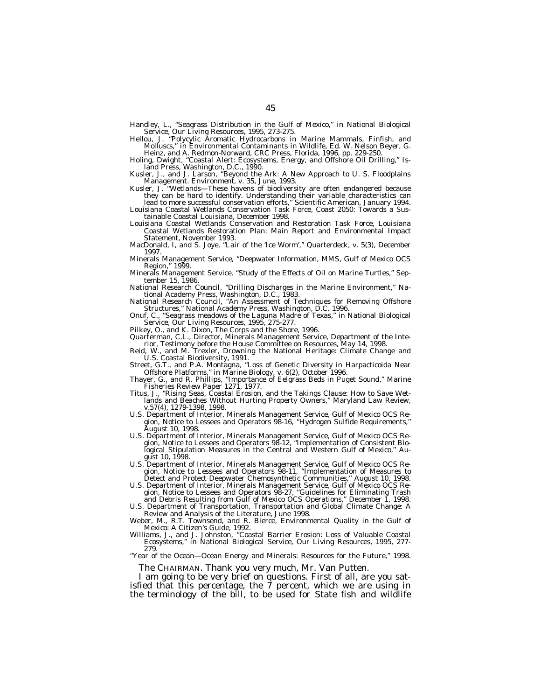Handley, L., "Seagrass Distribution in the Gulf of Mexico," in National Biological Service, Our Living Resources, 1995, 273-275.

Hellou, J. ''Polycylic Aromatic Hydrocarbons in Marine Mammals, Finfish, and Molluscs,'' in Environmental Contaminants in Wildlife, Ed. W. Nelson Beyer, G. Heinz, and A. Redmon-Norward, CRC Press, Florida, 1996, pp. 229-250.

Holing, Dwight, ''Coastal Alert: Ecosystems, Energy, and Offshore Oil Drilling,'' Island Press, Washington, D.C., 1990.

Kusler, J., and J. Larson, ''Beyond the Ark: A New Approach to U. S. Floodplains Management. *Environment*, v. 35, June, 1993.

Kusler, J. "Wetlands-These havens of biodiversity are often endangered because they can be hard to identify. Understanding their variable characteristics can

lead to more successful conservation efforts,'' Scientific American, January 1994. Louisiana Coastal Wetlands Conservation Task Force, Coast 2050: Towards a Sustainable Coastal Louisiana, December 1998.

Louisiana Coastal Wetlands Conservation and Restoration Task Force, Louisiana Coastal Wetlands Restoration Plan: Main Report and Environmental Impact Statement, November 1993.

MacDonald, I, and S. Joye, ''Lair of the 'Ice Worm','' Quarterdeck, v. 5(3), December 1997.

Minerals Management Service, ''Deepwater Information, MMS, Gulf of Mexico OCS Region,'' 1999.

Minerals Management Service, ''Study of the Effects of Oil on Marine Turtles,'' September 15, 1986.

National Research Council, ''Drilling Discharges in the Marine Environment,'' National Academy Press, Washington, D.C., 1983.

National Research Council, ''An Assessment of Techniques for Removing Offshore Structures,'' National Academy Press, Washington, D.C. 1996.

Onuf, C., ''Seagrass meadows of the Laguna Madre of Texas,'' in National Biological Service, Our Living Resources, 1995, 275-277.

Pilkey, O., and K. Dixon, The Corps and the Shore, 1996.

Quarterman, C.L., Director, Minerals Management Service, Department of the Interior, Testimony before the House Committee on Resources, May 14, 1998.

Reid, W., and M. Trexler, Drowning the National Heritage: Climate Change and U.S. Coastal Biodiversity, 1991.

Street, G.T., and P.A. Montagna, ''Loss of Genetic Diversity in Harpacticoida Near Offshore Platforms,'' in Marine Biology, v. 6(2), October 1996.

Thayer, G., and R. Phillips, ''Importance of Eelgrass Beds in Puget Sound,'' Marine Fisheries Review Paper 1271, 1977.

Titus, J., ''Rising Seas, Coastal Erosion, and the Takings Clause: How to Save Wetlands and Beaches Without Hurting Property Owners,'' Maryland Law Review, v.57(4), 1279-1398, 1998.

U.S. Department of Interior, Minerals Management Service, Gulf of Mexico OCS Region, Notice to Lessees and Operators 98-16, ''Hydrogen Sulfide Requirements,'' August 10, 1998.

U.S. Department of Interior, Minerals Management Service, Gulf of Mexico OCS Region, Notice to Lessees and Operators 98-12, ''Implementation of Consistent Biological Stipulation Measures in the Central and Western Gulf of Mexico,'' August 10, 1998.

U.S. Department of Interior, Minerals Management Service, Gulf of Mexico OCS Region, Notice to Lessees and Operators 98-11, ''Implementation of Measures to Detect and Protect Deepwater Chemosynthetic Communities,'' August 10, 1998.

U.S. Department of Interior, Minerals Management Service, Gulf of Mexico OCS Region, Notice to Lessees and Operators 98-27, ''Guidelines for Eliminating Trash and Debris Resulting from Gulf of Mexico OCS Operations,'' December 1, 1998.

U.S. Department of Transportation, Transportation and Global Climate Change: A Review and Analysis of the Literature, June 1998.

Weber, M., R.T. Townsend, and R. Bierce, Environmental Quality in the Gulf of Mexico: A Citizen's Guide, 1992.

Williams, J., and J. Johnston, ''Coastal Barrier Erosion: Loss of Valuable Coastal Ecosystems,'' in National Biological Service, Our Living Resources, 1995, 277- 279.

''Year of the Ocean—Ocean Energy and Minerals: Resources for the Future,'' 1998.

The CHAIRMAN. Thank you very much, Mr. Van Putten.

I am going to be very brief on questions. First of all, are you satisfied that this percentage, the 7 percent, which we are using in the terminology of the bill, to be used for State fish and wildlife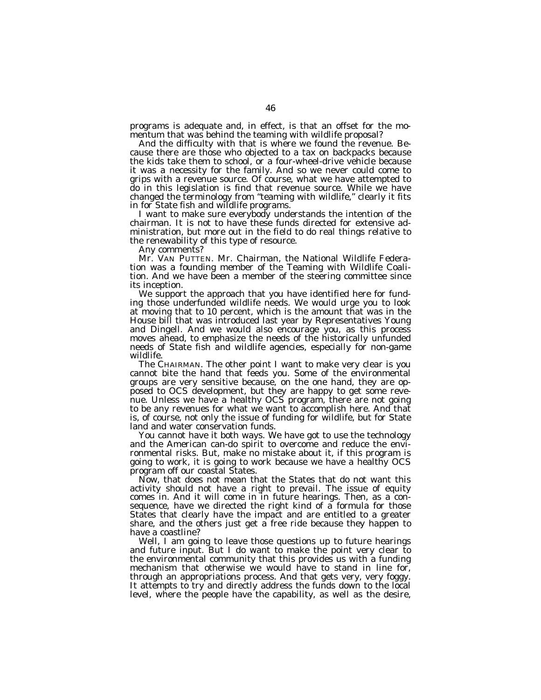programs is adequate and, in effect, is that an offset for the momentum that was behind the teaming with wildlife proposal?

And the difficulty with that is where we found the revenue. Because there are those who objected to a tax on backpacks because the kids take them to school, or a four-wheel-drive vehicle because it was a necessity for the family. And so we never could come to grips with a revenue source. Of course, what we have attempted to do in this legislation is find that revenue source. While we have changed the terminology from ''teaming with wildlife,'' clearly it fits in for State fish and wildlife programs.

I want to make sure everybody understands the intention of the chairman. It is not to have these funds directed for extensive administration, but more out in the field to do real things relative to the renewability of this type of resource.

Any comments?

Mr. VAN PUTTEN. Mr. Chairman, the National Wildlife Federation was a founding member of the Teaming with Wildlife Coalition. And we have been a member of the steering committee since its inception.

We support the approach that you have identified here for funding those underfunded wildlife needs. We would urge you to look at moving that to 10 percent, which is the amount that was in the House bill that was introduced last year by Representatives Young and Dingell. And we would also encourage you, as this process moves ahead, to emphasize the needs of the historically unfunded needs of State fish and wildlife agencies, especially for non-game wildlife.

The CHAIRMAN. The other point I want to make very clear is you cannot bite the hand that feeds you. Some of the environmental groups are very sensitive because, on the one hand, they are opposed to OCS development, but they are happy to get some revenue. Unless we have a healthy OCS program, there are not going to be any revenues for what we want to accomplish here. And that is, of course, not only the issue of funding for wildlife, but for State land and water conservation funds.

You cannot have it both ways. We have got to use the technology and the American can-do spirit to overcome and reduce the environmental risks. But, make no mistake about it, if this program is going to work, it is going to work because we have a healthy OCS program off our coastal States.

Now, that does not mean that the States that do not want this activity should not have a right to prevail. The issue of equity comes in. And it will come in in future hearings. Then, as a consequence, have we directed the right kind of a formula for those States that clearly have the impact and are entitled to a greater share, and the others just get a free ride because they happen to have a coastline?

Well, I am going to leave those questions up to future hearings and future input. But I do want to make the point very clear to the environmental community that this provides us with a funding mechanism that otherwise we would have to stand in line for, through an appropriations process. And that gets very, very foggy. It attempts to try and directly address the funds down to the local level, where the people have the capability, as well as the desire,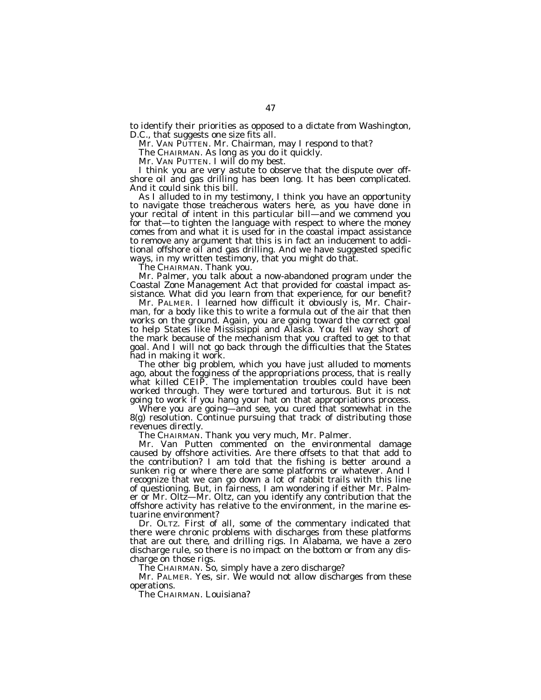to identify their priorities as opposed to a dictate from Washington, D.C., that suggests one size fits all.

Mr. VAN PUTTEN. Mr. Chairman, may I respond to that?

The CHAIRMAN. As long as you do it quickly.

Mr. VAN PUTTEN. I will do my best.

I think you are very astute to observe that the dispute over offshore oil and gas drilling has been long. It has been complicated. And it could sink this bill.

As I alluded to in my testimony, I think you have an opportunity to navigate those treacherous waters here, as you have done in your recital of intent in this particular bill—and we commend you for that—to tighten the language with respect to where the money comes from and what it is used for in the coastal impact assistance to remove any argument that this is in fact an inducement to additional offshore oil and gas drilling. And we have suggested specific ways, in my written testimony, that you might do that.

The CHAIRMAN. Thank you.

Mr. Palmer, you talk about a now-abandoned program under the Coastal Zone Management Act that provided for coastal impact assistance. What did you learn from that experience, for our benefit?

Mr. PALMER. I learned how difficult it obviously is, Mr. Chairman, for a body like this to write a formula out of the air that then works on the ground. Again, you are going toward the correct goal to help States like Mississippi and Alaska. You fell way short of the mark because of the mechanism that you crafted to get to that goal. And I will not go back through the difficulties that the States had in making it work.

The other big problem, which you have just alluded to moments ago, about the fogginess of the appropriations process, that is really what killed CEIP. The implementation troubles could have been worked through. They were tortured and torturous. But it is not going to work if you hang your hat on that appropriations process.<br>Where you are going—and see, you cured that somewhat in the

8(g) resolution. Continue pursuing that track of distributing those revenues directly.

The CHAIRMAN. Thank you very much, Mr. Palmer.

Mr. Van Putten commented on the environmental damage caused by offshore activities. Are there offsets to that that add to the contribution? I am told that the fishing is better around a sunken rig or where there are some platforms or whatever. And I recognize that we can go down a lot of rabbit trails with this line of questioning. But, in fairness, I am wondering if either Mr. Palmer or Mr. Oltz—Mr. Oltz, can you identify any contribution that the offshore activity has relative to the environment, in the marine estuarine environment?

Dr. OLTZ. First of all, some of the commentary indicated that there were chronic problems with discharges from these platforms that are out there, and drilling rigs. In Alabama, we have a zero discharge rule, so there is no impact on the bottom or from any discharge on those rigs.

The CHAIRMAN. So, simply have a zero discharge?

Mr. PALMER. Yes, sir. We would not allow discharges from these operations.

The CHAIRMAN. Louisiana?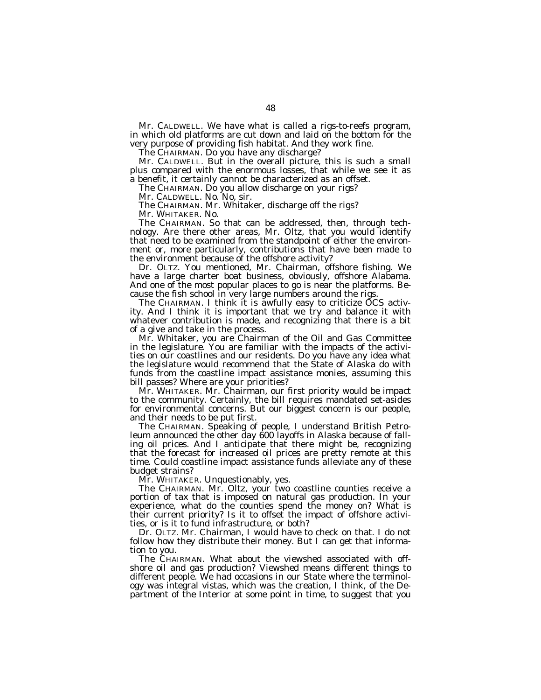Mr. CALDWELL. We have what is called a rigs-to-reefs program, in which old platforms are cut down and laid on the bottom for the very purpose of providing fish habitat. And they work fine.

The CHAIRMAN. Do you have any discharge?

Mr. CALDWELL. But in the overall picture, this is such a small plus compared with the enormous losses, that while we see it as a benefit, it certainly cannot be characterized as an offset.

The CHAIRMAN. Do you allow discharge on your rigs?

Mr. CALDWELL. No. No, sir.

The CHAIRMAN. Mr. Whitaker, discharge off the rigs?

Mr. WHITAKER. No.

The CHAIRMAN. So that can be addressed, then, through technology. Are there other areas, Mr. Oltz, that you would identify that need to be examined from the standpoint of either the environment or, more particularly, contributions that have been made to the environment because of the offshore activity?

Dr. OLTZ. You mentioned, Mr. Chairman, offshore fishing. We have a large charter boat business, obviously, offshore Alabama. And one of the most popular places to go is near the platforms. Because the fish school in very large numbers around the rigs.

The CHAIRMAN. I think it is awfully easy to criticize OCS activity. And I think it is important that we try and balance it with whatever contribution is made, and recognizing that there is a bit of a give and take in the process.

Mr. Whitaker, you are Chairman of the Oil and Gas Committee in the legislature. You are familiar with the impacts of the activities on our coastlines and our residents. Do you have any idea what the legislature would recommend that the State of Alaska do with funds from the coastline impact assistance monies, assuming this bill passes? Where are your priorities?

Mr. WHITAKER. Mr. Chairman, our first priority would be impact to the community. Certainly, the bill requires mandated set-asides for environmental concerns. But our biggest concern is our people, and their needs to be put first.

The CHAIRMAN. Speaking of people, I understand British Petroleum announced the other day 600 layoffs in Alaska because of falling oil prices. And I anticipate that there might be, recognizing that the forecast for increased oil prices are pretty remote at this time. Could coastline impact assistance funds alleviate any of these budget strains?

Mr. WHITAKER. Unquestionably, yes.

The CHAIRMAN. Mr. Oltz, your two coastline counties receive a portion of tax that is imposed on natural gas production. In your experience, what do the counties spend the money on? What is their current priority? Is it to offset the impact of offshore activities, or is it to fund infrastructure, or both?

Dr. OLTZ. Mr. Chairman, I would have to check on that. I do not follow how they distribute their money. But I can get that information to you.

The CHAIRMAN. What about the viewshed associated with offshore oil and gas production? Viewshed means different things to different people. We had occasions in our State where the terminology was integral vistas, which was the creation, I think, of the Department of the Interior at some point in time, to suggest that you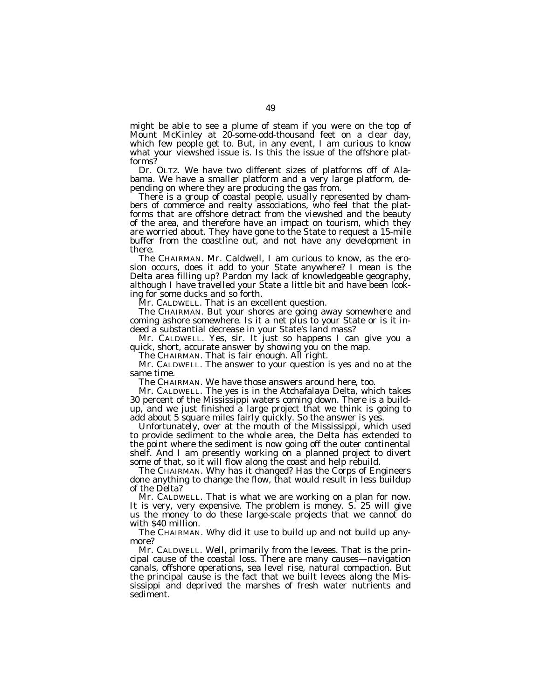might be able to see a plume of steam if you were on the top of Mount McKinley at 20-some-odd-thousand feet on a clear day, which few people get to. But, in any event, I am curious to know what your viewshed issue is. Is this the issue of the offshore platforms?

Dr. OLTZ. We have two different sizes of platforms off of Alabama. We have a smaller platform and a very large platform, depending on where they are producing the gas from.

There is a group of coastal people, usually represented by chambers of commerce and realty associations, who feel that the platforms that are offshore detract from the viewshed and the beauty of the area, and therefore have an impact on tourism, which they are worried about. They have gone to the State to request a 15-mile buffer from the coastline out, and not have any development in there.

The CHAIRMAN. Mr. Caldwell, I am curious to know, as the erosion occurs, does it add to your State anywhere? I mean is the Delta area filling up? Pardon my lack of knowledgeable geography, although I have travelled your State a little bit and have been looking for some ducks and so forth.

Mr. CALDWELL. That is an excellent question.

The CHAIRMAN. But your shores are going away somewhere and coming ashore somewhere. Is it a net plus to your State or is it indeed a substantial decrease in your State's land mass?

Mr. CALDWELL. Yes, sir. It just so happens I can give you a quick, short, accurate answer by showing you on the map.

The CHAIRMAN. That is fair enough. All right.

Mr. CALDWELL. The answer to your question is yes and no at the same time.

The CHAIRMAN. We have those answers around here, too.

Mr. CALDWELL. The yes is in the Atchafalaya Delta, which takes 30 percent of the Mississippi waters coming down. There is a buildup, and we just finished a large project that we think is going to add about 5 square miles fairly quickly. So the answer is yes.

Unfortunately, over at the mouth of the Mississippi, which used to provide sediment to the whole area, the Delta has extended to the point where the sediment is now going off the outer continental shelf. And I am presently working on a planned project to divert some of that, so it will flow along the coast and help rebuild.

The CHAIRMAN. Why has it changed? Has the Corps of Engineers done anything to change the flow, that would result in less buildup of the Delta?

Mr. CALDWELL. That is what we are working on a plan for now. It is very, very expensive. The problem is money. S. 25 will give us the money to do these large-scale projects that we cannot do with \$40 million.

The CHAIRMAN. Why did it use to build up and not build up anymore?

Mr. CALDWELL. Well, primarily from the levees. That is the principal cause of the coastal loss. There are many causes—navigation canals, offshore operations, sea level rise, natural compaction. But the principal cause is the fact that we built levees along the Mississippi and deprived the marshes of fresh water nutrients and sediment.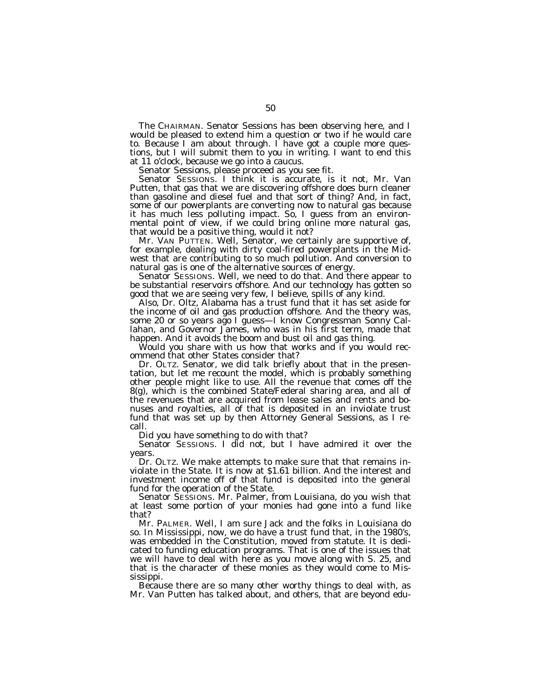The CHAIRMAN. Senator Sessions has been observing here, and I would be pleased to extend him a question or two if he would care to. Because I am about through. I have got a couple more questions, but I will submit them to you in writing. I want to end this at 11 o'clock, because we go into a caucus.

Senator Sessions, please proceed as you see fit.

Senator SESSIONS. I think it is accurate, is it not, Mr. Van Putten, that gas that we are discovering offshore does burn cleaner than gasoline and diesel fuel and that sort of thing? And, in fact, some of our powerplants are converting now to natural gas because it has much less polluting impact. So, I guess from an environmental point of view, if we could bring online more natural gas, that would be a positive thing, would it not?

Mr. VAN PUTTEN. Well, Senator, we certainly are supportive of, for example, dealing with dirty coal-fired powerplants in the Midwest that are contributing to so much pollution. And conversion to natural gas is one of the alternative sources of energy.

Senator SESSIONS. Well, we need to do that. And there appear to be substantial reservoirs offshore. And our technology has gotten so good that we are seeing very few, I believe, spills of any kind.

Also, Dr. Oltz, Alabama has a trust fund that it has set aside for the income of oil and gas production offshore. And the theory was, some 20 or so years ago I guess—I know Congressman Sonny Callahan, and Governor James, who was in his first term, made that happen. And it avoids the boom and bust oil and gas thing.

Would you share with us how that works and if you would recommend that other States consider that?

Dr. OLTZ. Senator, we did talk briefly about that in the presentation, but let me recount the model, which is probably something other people might like to use. All the revenue that comes off the 8(g), which is the combined State/Federal sharing area, and all of the revenues that are acquired from lease sales and rents and bonuses and royalties, all of that is deposited in an inviolate trust fund that was set up by then Attorney General Sessions, as I recall.

Did you have something to do with that?

Senator SESSIONS. I did not, but I have admired it over the years.

Dr. OLTZ. We make attempts to make sure that that remains inviolate in the State. It is now at \$1.61 billion. And the interest and investment income off of that fund is deposited into the general fund for the operation of the State.

Senator SESSIONS. Mr. Palmer, from Louisiana, do you wish that at least some portion of your monies had gone into a fund like that?

Mr. PALMER. Well, I am sure Jack and the folks in Louisiana do so. In Mississippi, now, we do have a trust fund that, in the 1980's, was embedded in the Constitution, moved from statute. It is dedicated to funding education programs. That is one of the issues that we will have to deal with here as you move along with S. 25, and that is the character of these monies as they would come to Mississippi.

Because there are so many other worthy things to deal with, as Mr. Van Putten has talked about, and others, that are beyond edu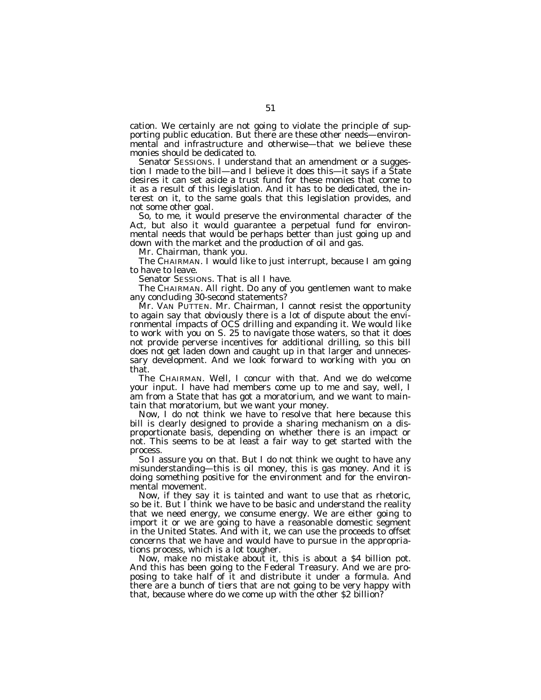cation. We certainly are not going to violate the principle of supporting public education. But there are these other needs—environmental and infrastructure and otherwise—that we believe these monies should be dedicated to.

Senator SESSIONS. I understand that an amendment or a suggestion I made to the bill—and I believe it does this—it says if a State desires it can set aside a trust fund for these monies that come to it as a result of this legislation. And it has to be dedicated, the interest on it, to the same goals that this legislation provides, and not some other goal.

So, to me, it would preserve the environmental character of the Act, but also it would guarantee a perpetual fund for environmental needs that would be perhaps better than just going up and down with the market and the production of oil and gas.

Mr. Chairman, thank you.

The CHAIRMAN. I would like to just interrupt, because I am going to have to leave.

Senator SESSIONS. That is all I have.

The CHAIRMAN. All right. Do any of you gentlemen want to make any concluding 30-second statements?

Mr. VAN PUTTEN. Mr. Chairman, I cannot resist the opportunity to again say that obviously there is a lot of dispute about the environmental impacts of OCS drilling and expanding it. We would like to work with you on S. 25 to navigate those waters, so that it does not provide perverse incentives for additional drilling, so this bill does not get laden down and caught up in that larger and unnecessary development. And we look forward to working with you on that.

The CHAIRMAN. Well, I concur with that. And we do welcome your input. I have had members come up to me and say, well, I am from a State that has got a moratorium, and we want to maintain that moratorium, but we want your money.

Now, I do not think we have to resolve that here because this bill is clearly designed to provide a sharing mechanism on a disproportionate basis, depending on whether there is an impact or not. This seems to be at least a fair way to get started with the process.

So I assure you on that. But I do not think we ought to have any misunderstanding—this is oil money, this is gas money. And it is doing something positive for the environment and for the environmental movement.

Now, if they say it is tainted and want to use that as rhetoric, so be it. But I think we have to be basic and understand the reality that we need energy, we consume energy. We are either going to import it or we are going to have a reasonable domestic segment in the United States. And with it, we can use the proceeds to offset concerns that we have and would have to pursue in the appropriations process, which is a lot tougher.

Now, make no mistake about it, this is about a \$4 billion pot. And this has been going to the Federal Treasury. And we are proposing to take half of it and distribute it under a formula. And there are a bunch of tiers that are not going to be very happy with that, because where do we come up with the other \$2 billion?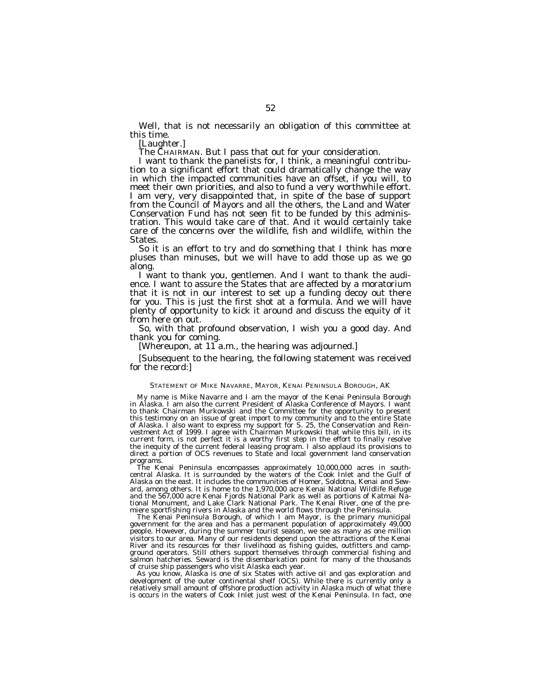Well, that is not necessarily an obligation of this committee at this time.

[Laughter.]

The CHAIRMAN. But I pass that out for your consideration. I want to thank the panelists for, I think, a meaningful contribu- tion to a significant effort that could dramatically change the way in which the impacted communities have an offset, if you will, to meet their own priorities, and also to fund a very worthwhile effort. I am very, very disappointed that, in spite of the base of support from the Council of Mayors and all the others, the Land and Water Conservation Fund has not seen fit to be funded by this administration. This would take care of that. And it would certainly take care of the concerns over the wildlife, fish and wildlife, within the States.

So it is an effort to try and do something that I think has more pluses than minuses, but we will have to add those up as we go along.

I want to thank you, gentlemen. And I want to thank the audience. I want to assure the States that are affected by a moratorium that it is not in our interest to set up a funding decoy out there for you. This is just the first shot at a formula. And we will have plenty of opportunity to kick it around and discuss the equity of it from here on out.

So, with that profound observation, I wish you a good day. And thank you for coming.

[Whereupon, at 11 a.m., the hearing was adjourned.]

[Subsequent to the hearing, the following statement was received for the record:]

# STATEMENT OF MIKE NAVARRE, MAYOR, KENAI PENINSULA BOROUGH, AK

My name is Mike Navarre and I am the mayor of the Kenai Peninsula Borough in Alaska. I am also the current President of Alaska Conference of Mayors. I want to thank Chairman Murkowski and the Committee for the opportunity to present this testimony on an issue of great import to my community and to the entire State of Alaska. I also want to express my support for S. 25, the Conservation and Reinvestment Act of 1999. I agree with Chairman Murkowski that while this bill, in its current form, is not perfect it is a worthy first step in the effort to finally resolve the inequity of the current federal leasing program. I also applaud its provisions to direct a portion of OCS revenues to State and local government land conservation programs.

The Kenai Peninsula encompasses approximately 10,000,000 acres in southcentral Alaska. It is surrounded by the waters of the Cook Inlet and the Gulf of Alaska on the east. It includes the communities of Homer, Soldotna, Kenai and Seward, among others. It is home to the 1,970,000 acre Kenai National Wildlife Refuge and the 567,000 acre Kenai Fjords National Park as well as portions of Katmai National Monument, and Lake Clark National Park. The Kenai River, one of the premiere sportfishing rivers in Alaska and the world flows through the Peninsula.

The Kenai Peninsula Borough, of which I am Mayor, is the primary municipal government for the area and has a permanent population of approximately 49,000 people. However, during the summer tourist season, we see as many as one million visitors to our area. Many of our residents depend upon the attractions of the Kenai River and its resources for their livelihood as fishing guides, outfitters and campground operators. Still others support themselves through commercial fishing and salmon hatcheries. Seward is the disembarkation point for many of the thousands of cruise ship passengers who visit Alaska each year.

As you know, Alaska is one of six States with active oil and gas exploration and development of the outer continental shelf (OCS). While there is currently only a relatively small amount of offshore production activity in Alaska much of what there is occurs in the waters of Cook Inlet just west of the Kenai Peninsula. In fact, one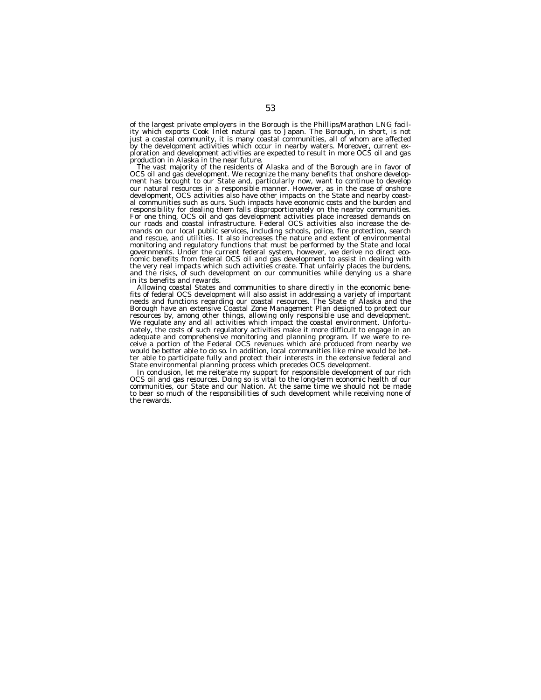of the largest private employers in the Borough is the Phillips/Marathon LNG facility which exports Cook Inlet natural gas to Japan. The Borough, in short, is not just a coastal community, it is many coastal communities, all of whom are affected by the development activities which occur in nearby waters. Moreover, current exploration and development activities are expected to result in more OCS oil and gas production in Alaska in the near future.

The vast majority of the residents of Alaska and of the Borough are in favor of OCS oil and gas development. We recognize the many benefits that onshore development has brought to our State and, particularly now, want to continue to develop our natural resources in a responsible manner. However, as in the case of onshore development, OCS activities also have other impacts on the State and nearby coastal communities such as ours. Such impacts have economic costs and the burden and responsibility for dealing them falls disproportionately on the nearby communities. For one thing, OCS oil and gas development activities place increased demands on our roads and coastal infrastructure. Federal OCS activities also increase the demands on our local public services, including schools, police, fire protection, search and rescue, and utilities. It also increases the nature and extent of environmental monitoring and regulatory functions that must be performed by the State and local governments. Under the current federal system, however, we derive no direct economic benefits from federal OCS oil and gas development to assist in dealing with the very real impacts which such activities create. That unfairly places the burdens, and the risks, of such development on our communities while denying us a share in its benefits and rewards.

Allowing coastal States and communities to share directly in the economic benefits of federal OCS development will also assist in addressing a variety of important needs and functions regarding our coastal resources. The State of Alaska and the Borough have an extensive Coastal Zone Management Plan designed to protect our resources by, among other things, allowing only responsible use and development. We regulate any and all activities which impact the coastal environment. Unfortunately, the costs of such regulatory activities make it more difficult to engage in an adequate and comprehensive monitoring and planning program. If we were to receive a portion of the Federal OCS revenues which are produced from nearby we would be better able to do so. In addition, local communities like mine would be better able to participate fully and protect their interests in the extensive federal and State environmental planning process which precedes OCS development.

In conclusion, let me reiterate my support for responsible development of our rich OCS oil and gas resources. Doing so is vital to the long-term economic health of our communities, our State and our Nation. At the same time we should not be made to bear so much of the responsibilities of such development while receiving none of the rewards.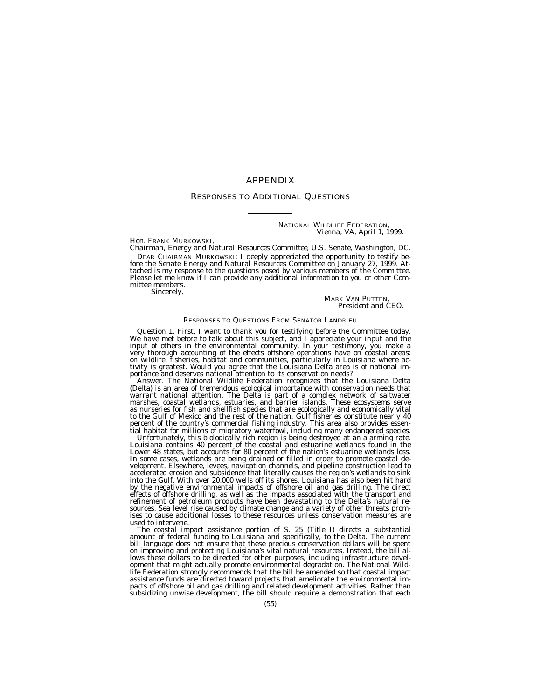# APPENDIX

# RESPONSES TO ADDITIONAL QUESTIONS

NATIONAL WILDLIFE FEDERATION, *Vienna, VA, April 1, 1999.*

Hon. FRANK MURKOWSKI,

*Chairman, Energy and Natural Resources Committee, U.S. Senate, Washington, DC.* fore the Senate Energy and Natural Resources Committee on January 27, 1999. Attached is my response to the questions posed by various members of the Committee.<br>Please let me know if I can provide any additional information to you or other Committee members.

Sincerely,

**MARK VAN PUTTEN** *President and CEO.*

## RESPONSES TO QUESTIONS FROM SENATOR LANDRIEU

*Question 1.* First, I want to thank you for testifying before the Committee today. We have met before to talk about this subject, and I appreciate your input and the input of others in the environmental community. In your testimony, you make a very thorough accounting of the effects offshore operations have on coastal areas: on wildlife, fisheries, habitat and communities, particularly in Louisiana where activity is greatest. Would you agree that the Louisiana Delta area is of national importance and deserves national attention to its conservation needs?

Answer. The National Wildlife Federation recognizes that the Louisiana Delta (Delta) is an area of tremendous ecological importance with conservation needs that warrant national attention. The Delta is part of a complex network of saltwater marshes, coastal wetlands, estuaries, and barrier islands. These ecosystems serve as nurseries for fish and shellfish species that are ecologically and economically vital to the Gulf of Mexico and the rest of the nation. Gulf fisheries constitute nearly 40 percent of the country's commercial fishing industry. This area also provides essential habitat for millions of migratory waterfowl, including many endangered species.

Unfortunately, this biologically rich region is being destroyed at an alarming rate. Louisiana contains 40 percent of the coastal and estuarine wetlands found in the Lower 48 states, but accounts for 80 percent of the nation's estuarine wetlands loss. In some cases, wetlands are being drained or filled in order to promote coastal development. Elsewhere, levees, navigation channels, and pipeline construction lead to accelerated erosion and subsidence that literally causes the region's wetlands to sink into the Gulf. With over 20,000 wells off its shores, Louisiana has also been hit hard by the negative environmental impacts of offshore oil and gas drilling. The direct effects of offshore drilling, as well as the impacts associated with the transport and refinement of petroleum products have been devastating to the Delta's natural resources. Sea level rise caused by climate change and a variety of other threats promises to cause additional losses to these resources unless conservation measures are used to intervene.

The coastal impact assistance portion of S. 25 (Title I) directs a substantial amount of federal funding to Louisiana and specifically, to the Delta. The current bill language does not ensure that these precious conservation dollars will be spent on improving and protecting Louisiana's vital natural resources. Instead, the bill allows these dollars to be directed for other purposes, including infrastructure development that might actually promote environmental degradation. The National Wildlife Federation strongly recommends that the bill be amended so that coastal impact assistance funds are directed toward projects that ameliorate the environmental im-<br>pacts of offshore oil and gas drilling and related development activities. Rather than<br>subsidizing unwise development, the bill should req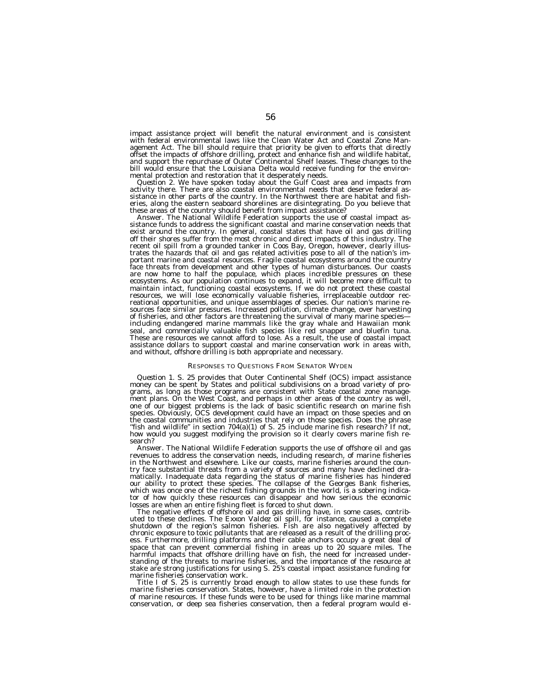impact assistance project will benefit the natural environment and is consistent with federal environmental laws like the Clean Water Act and Coastal Zone Man-agement Act. The bill should require that priority be given to efforts that directly offset the impacts of offshore drilling, protect and enhance fish and wildlife habitat, and support the repurchase of Outer Continental Shelf leases. These changes to the bill would ensure that the Louisiana Delta would receive funding for the environmental protection and restoration that it desperately needs.

*Question 2.* We have spoken today about the Gulf Coast area and impacts from activity there. There are also coastal environmental needs that deserve federal assistance in other parts of the country. In the Northwest there are habitat and fish-eries, along the eastern seaboard shorelines are disintegrating. Do you believe that these areas of the country should benefit from impact assistance?

Answer. The National Wildlife Federation supports the use of coastal impact assistance funds to address the significant coastal and marine conservation needs that exist around the country. In general, coastal states that have oil and gas drilling off their shores suffer from the most chronic and direct impacts of this industry. The recent oil spill from a grounded tanker in Coos Bay, Oregon, however, clearly illustrates the hazards that oil and gas related activities pose to all of the nation's important marine and coastal resources. Fragile coastal ecosystems around the country face threats from development and other types of human disturbances. Our coasts are now home to half the populace, which places incredible pressures on these ecosystems. As our population continues to expand, it will become more difficult to maintain intact, functioning coastal ecosystems. If we do not protect these coastal resources, we will lose economically valuable fisheries, irreplaceable outdoor recreational opportunities, and unique assemblages of species. Our nation's marine resources face similar pressures. Increased pollution, climate change, over harvesting of fisheries, and other factors are threatening the survival of many marine species including endangered marine mammals like the gray whale and Hawaiian monk seal, and commercially valuable fish species like red snapper and bluefin tuna. These are resources we cannot afford to lose. As a result, the use of coastal impact assistance dollars to support coastal and marine conservation work in areas with, and without, offshore drilling is both appropriate and necessary.

#### RESPONSES TO QUESTIONS FROM SENATOR WYDEN

*Question 1.* S. 25 provides that Outer Continental Shelf (OCS) impact assistance money can be spent by States and political subdivisions on a broad variety of programs, as long as those programs are consistent with State coastal zone management plans. On the West Coast, and perhaps in other areas of the country as well, one of our biggest problems is the lack of basic scientific research on marine fish species. Obviously, OCS development could have an impact on those species and on the coastal communities and industries that rely on those species. Does the phrase ''fish and wildlife'' in section 704(a)(1) of S. 25 include marine fish research? If not, how would you suggest modifying the provision so it clearly covers marine fish research?

Answer. The National Wildlife Federation supports the use of offshore oil and gas revenues to address the conservation needs, including research, of marine fisheries in the Northwest and elsewhere. Like our coasts, marine fisheries around the country face substantial threats from a variety of sources and many have declined dramatically. Inadequate data regarding the status of marine fisheries has hindered our ability to protect these species. The collapse of the Georges Bank fisheries, which was once one of the richest fishing grounds in the world, is a sobering indicator of how quickly these resources can disappear and how serious the economic losses are when an entire fishing fleet is forced to shut down.

The negative effects of offshore oil and gas drilling have, in some cases, contributed to these declines. The *Exxon Valdez* oil spill, for instance, caused a complete shutdown of the region's salmon fisheries. Fish are also negatively affected by chronic exposure to toxic pollutants that are released as a result of the drilling process. Furthermore, drilling platforms and their cable anchors occupy a great deal of space that can prevent commercial fishing in areas up to 20 square miles. The harmful impacts that offshore drilling have on fish, the need for increased understanding of the threats to marine fisheries, and the importance of the resource at stake are strong justifications for using S. 25's coastal impact assistance funding for marine fisheries conservation work.

Title I of S. 25 is currently broad enough to allow states to use these funds for marine fisheries conservation. States, however, have a limited role in the protection of marine resources. If these funds were to be used for things like marine mammal conservation, or deep sea fisheries conservation, then a federal program would ei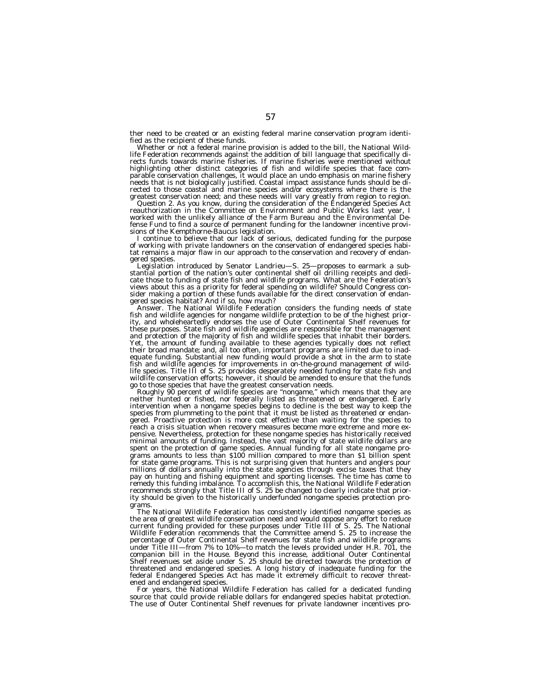ther need to be created or an existing federal marine conservation program identi-

fied as the recipient of these funds. Whether or not a federal marine provision is added to the bill, the National Wildlife Federation recommends against the addition of bill language that specifically di-rects funds towards marine fisheries. If marine fisheries were mentioned without highlighting other distinct categories of fish and wildlife species that face comparable conservation challenges, it would place an undo emphasis on marine fishery<br>needs that is not biologically justified. Coastal impact assistance funds should be di-<br>rected to those coastal and marine species and/or

worked with the unlikely alliance of the Farm Bureau and the Environmental Defense Fund to find a source of permanent funding for the landowner incentive provisions of the Kempthorne-Baucus legislation.

sions of the Kempthorne-Baucus legislation. I continue to believe that our lack of serious, dedicated funding for the purpose of working with private landowners on the conservation of endangered species habitat remains a major flaw in our approach to the conservation and recovery of endangered species.

Legislation introduced by Senator Landrieu—S. 25—proposes to earmark a sub-<br>stantial portion of the nation's outer continental shelf oil drilling receipts and dedicate those to funding of state fish and wildlife programs. What are the Federation's views about this as a priority for federal spending on wildlife? Should Congress consider making a portion of these funds available for the direct conservation of endan-<br>gered species habitat? And if so, how much?

Answer. The National Wildlife Federation considers the funding needs of state<br>fish and wildlife agencies for nongame wildlife protection to be of the highest prior-<br>fish and wildlife agencies for nongame wildlife protectio ity, and wholeheartedly endorses the use of Outer Continental Shelf revenues for these purposes. State fish and wildlife agencies are responsible for the management and protection of the majority of fish and wildlife species that inhabit their borders. Yet, the amount of funding available to these agencies typically does not reflect their broad mandate; and, all too often, important programs are limited due to inad-<br>equate funding. Substantial new funding would provide a shot in the arm to state fish and wildlife agencies for improvements in on-the-ground management of wild-life species. Title III of S. 25 provides desperately needed funding for state fish and wildlife conservation efforts; however, it should be amended to ensure that the funds

when the species that have the greatest conservation needs.<br>Both those species that have the greatest conservation needs.<br>Roughly 90 percent of wildlife species are "nongame," which means that they are<br>neither hunted or fi intervention when a nongame species begins to decline is the best way to keep the species from plummeting to the point that it must be listed as threatened or endangered. Proactive protection is more cost effective than waiting for the species to reach a crisis situation when recovery measures become more extreme and more expensive. Nevertheless, protection for these nongame species has historically received minimal amounts of funding. Instead, the vast majority of state wildlife dollars are spent on the protection of game species. Annual funding for all state nongame programs amounts to less than \$100 million compared to more than \$1 billion spent for state game programs. This is not surprising given that hunters and anglers pour millions of dollars annually into the state agencies through excise taxes that they pay on hunting and fishing equipment and sporting licenses. The time has come to remedy this funding imbalance. To accomplish this, the National Wildlife Federation recommends strongly that Title III of S. 25 be changed to clearly indicate that priority should be given to the historically underfunded nongame species protection programs.

The National Wildlife Federation has consistently identified nongame species as the area of greatest wildlife conservation need and would oppose any effort to reduce current funding provided for these purposes under Title III of S. 25. The National Wildlife Federation recommends that the Committee amend S. 25 to increase the percentage of Outer Continental Shelf revenues for state fish and wildlife programs under Title III—from 7% to 10%—to match the levels provided under H.R. 701, the companion bill in the House. Beyond this increase, additional Outer Continental Shelf revenues set aside under S. 25 should be directed towards the protection of threatened and endangered species. A long history of inadequate funding for the federal Endangered Species Act has made it extremely difficult to recover threat-

ened and endangered species. For years, the National Wildlife Federation has called for a dedicated funding source that could provide reliable dollars for endangered species habitat protection. The use of Outer Continental Shelf revenues for private landowner incentives pro-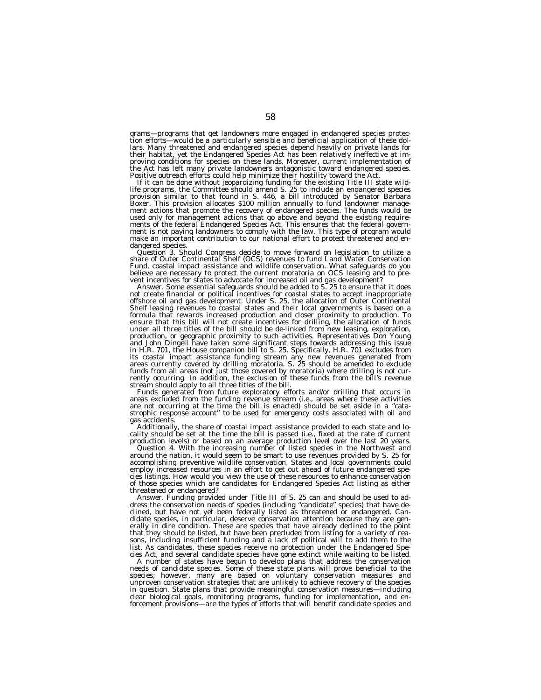grams—programs that get landowners more engaged in endangered species protec-<br>tion efforts—would be a particularly sensible and beneficial application of these dol-<br>lars. Many threatened and endangered species depend heavi their habitat, yet the Endangered Species Act has been relatively ineffective at im-proving conditions for species on these lands. Moreover, current implementation of the Act has left many private landowners antagonistic toward endangered species.<br>Positive outreach efforts could help minimize their hostility toward the Act.

If it can be done without jeopardizing funding for the existing Title III state wild-<br>life programs, the Committee should amend S. 25 to include an endangered species provision similar to that found in S. 446, a bill introduced by Senator Barbara<br>Boxer. This provision allocates \$100 million annually to fund landowner manage-<br>ment actions that promote the recovery of endangered species. ment is not paying landowners to comply with the law. This type of program would make an important contribution to our national effort to protect threatened and endangered species.<br>*Question 3.* Should Congress decide to move forward on legislation to utilize a

*Question 3.* Should Congress decide to move forward on legislation to utilize a share of Outer Continental Shelf (OCS) revenues to fund Land Water Conservation Fund, coastal impact assistance and wildlife conservation. What safeguards do you believe are necessary to protect the current moratoria on OCS leasing and to pre-

vent incentives for states to advocate for increased oil and gas development?<br>Answer. Some essential safeguards should be added to S. 25 to ensure that it does offshore oil and gas development. Under S. 25, the allocation of Outer Continental<br>offshore oil and gas development. Under S. 25, the allocation of Outer Continental Shelf leasing revenues to coastal states and their local governments is based on a formula that rewards increased production and closer proximity to production. To ensure that this bill will not create incentives for drilling, the allocation of funds under all three titles of the bill should be de-linked from new leasing, exploration, production, or geographic proximity to such activities. Representatives Don Young<br>and John Dingell have taken some significant steps towards addressing this issue in H.R. 701, the House companion bill to S. 25. Specifically, H.R. 701 excludes from its coastal impact assistance funding stream any new revenues generated from areas currently covered by drilling moratoria. S. 25 should be amended to exclude funds from all areas (not just those covered by moratoria) where drilling is not currently occurring. In addition, the exclusion of these funds from the bill's revenue

stream should apply to all three titles of the bill.<br>Funds generated from future exploratory efforts and/or drilling that occurs in<br>areas excluded from the funding revenue stream (i.e., areas where these activities<br>are not strophic response account'' to be used for emergency costs associated with oil and gas accidents.

Additionally, the share of coastal impact assistance provided to each state and locality should be set at the time the bill is passed (i.e., fixed at the rate of current production levels) or based on an average production level over the last 20 years.

*Question 4.* With the increasing number of listed species in the Northwest and around the nation, it would seem to be smart to use revenues provided by S. 25 for accomplishing preventive wildlife conservation. States and local governments could employ increased resources in an effort to get out ahead of future endangered species listings. How would you view the use of these resources to enhance conservation of those species which are candidates for Endangered Species Act listing as either threatened or endangered?

Answer. Funding provided under Title III of S. 25 can and should be used to address the conservation needs of species (including ''candidate'' species) that have declined, but have not yet been federally listed as threatened or endangered. Candidate species, in particular, deserve conservation attention because they are generally in dire condition. These are species that have already declined to the point that they should be listed, but have been precluded from listing for a variety of reasons, including insufficient funding and a lack of political will to add them to the list. As candidates, these species receive no protection under the Endangered Species Act, and several candidate species have gone extinct while waiting to be listed.

A number of states have begun to develop plans that address the conservation needs of candidate species. Some of these state plans will prove beneficial to the species; however, many are based on voluntary conservation measures and unproven conservation strategies that are unlikely to achieve recovery of the species in question. State plans that provide meaningful conservation measures—including clear biological goals, monitoring programs, funding for implementation, and enforcement provisions—are the types of efforts that will benefit candidate species and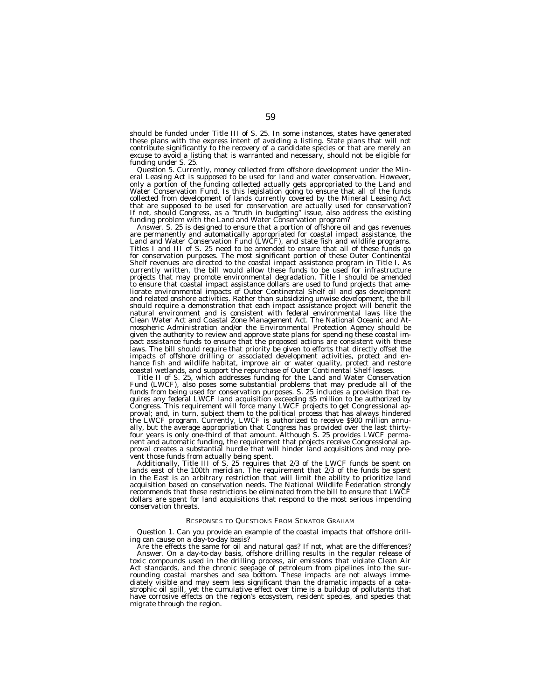should be funded under Title III of S. 25. In some instances, states have generated these plans with the express intent of avoiding a listing. State plans that will not contribute significantly to the recovery of a candidate species or that are merely an excuse to avoid a listing that is warranted and necessary, should not be eligible for funding under S. 25.

*Question 5.* Currently, money collected from offshore development under the Mineral Leasing Act is supposed to be used for land and water conservation. However, only a portion of the funding collected actually gets appropriated to the Land and Water Conservation Fund. Is this legislation going to ensure that all of the funds collected from development of lands currently covered by the Mineral Leasing Act that are supposed to be used for conservation are actually used for conservation? If not, should Congress, as a ''truth in budgeting'' issue, also address the existing funding problem with the Land and Water Conservation program?

Answer. S. 25 is designed to ensure that a portion of offshore oil and gas revenues are permanently and automatically appropriated for coastal impact assistance, the Land and Water Conservation Fund (LWCF), and state fish and wildlife programs. Titles I and III of S. 25 need to be amended to ensure that all of these funds go for conservation purposes. The most significant portion of these Outer Continental Shelf revenues are directed to the coastal impact assistance program in Title I. As currently written, the bill would allow these funds to be used for infrastructure projects that may promote environmental degradation. Title I should be amended to ensure that coastal impact assistance dollars are used to fund projects that ameliorate environmental impacts of Outer Continental Shelf oil and gas development and related onshore activities. Rather than subsidizing unwise development, the bill should require a demonstration that each impact assistance project will benefit the natural environment and is consistent with federal environmental laws like the Clean Water Act and Coastal Zone Management Act. The National Oceanic and Atmospheric Administration and/or the Environmental Protection Agency should be given the authority to review and approve state plans for spending these coastal impact assistance funds to ensure that the proposed actions are consistent with these laws. The bill should require that priority be given to efforts that directly offset the impacts of offshore drilling or associated development activities, protect and enhance fish and wildlife habitat, improve air or water quality, protect and restore coastal wetlands, and support the repurchase of Outer Continental Shelf leases.

Title II of S. 25, which addresses funding for the Land and Water Conservation Fund (LWCF), also poses some substantial problems that may preclude all of the funds from being used for conservation purposes. S. 25 includes a provision that requires any federal LWCF land acquisition exceeding \$5 million to be authorized by Congress. This requirement will force many LWCF projects to get Congressional approval; and, in turn, subject them to the political process that has always hindered the LWCF program. Currently, LWCF is authorized to receive \$900 million annually, but the average appropriation that Congress has provided over the last thirtyfour years is only one-third of that amount. Although S. 25 provides LWCF permanent and automatic funding, the requirement that projects receive Congressional approval creates a substantial hurdle that will hinder land acquisitions and may prevent those funds from actually being spent.

Additionally, Title III of S. 25 requires that 2/3 of the LWCF funds be spent on lands east of the 100th meridian. The requirement that 2/3 of the funds be spent in the East is an arbitrary restriction that will limit the ability to prioritize land acquisition based on conservation needs. The National Wildlife Federation strongly recommends that these restrictions be eliminated from the bill to ensure that LWCF dollars are spent for land acquisitions that respond to the most serious impending conservation threats.

# RESPONSES TO QUESTIONS FROM SENATOR GRAHAM

*Question 1.* Can you provide an example of the coastal impacts that offshore drilling can cause on a day-to-day basis?

Are the effects the same for oil and natural gas? If not, what are the differences? Answer. On a day-to-day basis, offshore drilling results in the regular release of toxic compounds used in the drilling process, air emissions that violate Clean Air Act standards, and the chronic seepage of petroleum from pipelines into the surrounding coastal marshes and sea bottom. These impacts are not always immediately visible and may seem less significant than the dramatic impacts of a catastrophic oil spill, yet the cumulative effect over time is a buildup of pollutants that have corrosive effects on the region's ecosystem, resident species, and species that migrate through the region.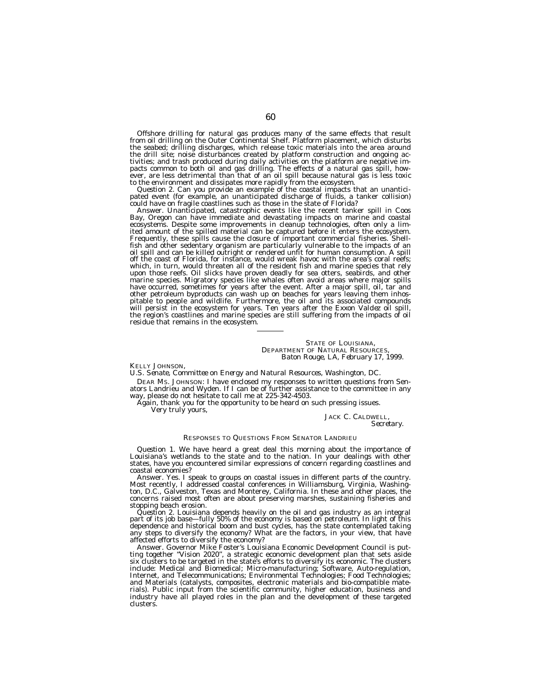Offshore drilling for natural gas produces many of the same effects that result<br>from oil drilling on the Outer Continental Shelf. Platform placement, which disturbs<br>the seabed; drilling discharges, which release toxic mate the drill site; noise disturbances created by platform construction and ongoing activities; and trash produced during daily activities on the platform are negative im-<br>pacts common to both oil and gas drilling. The effects

to the environment and dissipates more rapidly from the ecosystem.<br>*Question 2.* Can you provide an example of the coastal impacts that an unantici-<br>pated event (for example, an unanticipated discharge of fluids, a tanker

could have on fragile coastlines such as those in the state of Florida?<br>Answer. Unanticipated, catastrophic events like the recent tanker spill in Coos<br>Bay, Oregon can have immediate and devastating impacts on marine and c ecosystems. Despite some improvements in cleanup technologies, often only a limited amount of the spilled material can be captured before it enters the ecosystem.<br>Frequently, these spills cause the closure of important com off the coast of Florida, for instance, would wreak havoc with the area's coral reefs; which, in turn, would threaten all of the resident fish and marine species that rely upon those reefs. Oil slicks have proven deadly for sea otters, seabirds, and other<br>marine species. Migratory species like whales often avoid areas where major spills<br>have occurred, sometimes for years after the event. Aft other petroleum byproducts can wash up on beaches for years leaving them inhos-pitable to people and wildlife. Furthermore, the oil and its associated compounds will persist in the ecosystem for years. Ten years after the *Exxon Valdez* oil spill, the region's coastlines and marine species are still suffering from the impacts of oil residue that remains in the ecosystem.

#### STATE OF LOUISIANA, DEPARTMENT OF NATURAL RESOURCES, *Baton Rouge, LA, February 17, 1999.*

#### KELLY JOHNSON,

*U.S. Senate, Committee on Energy and Natural Resources, Washington, DC.*

DEAR MS. JOHNSON: I have enclosed my responses to written questions from Senators Landrieu and Wyden. If I can be of further assistance to the committee in any way, please do not hesitate to call me at 225-342-4503.

Again, thank you for the opportunity to be heard on such pressing issues.

Very truly yours,

# JACK C. CALDWELL, *Secretary.*

# RESPONSES TO QUESTIONS FROM SENATOR LANDRIEU

*Question 1.* We have heard a great deal this morning about the importance of Louisiana's wetlands to the state and to the nation. In your dealings with other states, have you encountered similar expressions of concern regarding coastlines and coastal economies?

Answer. Yes. I speak to groups on coastal issues in different parts of the country. Most recently, I addressed coastal conferences in Williamsburg, Virginia, Washington, D.C., Galveston, Texas and Monterey, California. In these and other places, the concerns raised most often are about preserving marshes, sustaining fisheries and stopping beach erosion.

*Question 2.* Louisiana depends heavily on the oil and gas industry as an integral part of its job base—fully 50% of the economy is based on petroleum. In light of this dependence and historical boom and bust cycles, has the state contemplated taking any steps to diversify the economy? What are the factors, in your view, that have affected efforts to diversify the economy?

Answer. Governor Mike Foster's Louisiana Economic Development Council is putting together ''Vision 2020'', a strategic economic development plan that sets aside six clusters to be targeted in the state's efforts to diversify its economic. The clusters include: Medical and Biomedical; Micro-manufacturing; Software, Auto-regulation, Internet, and Telecommunications; Environmental Technologies; Food Technologies; and Materials (catalysts, composites, electronic materials and bio-compatible mate-rials). Public input from the scientific community, higher education, business and industry have all played roles in the plan and the development of these targeted clusters.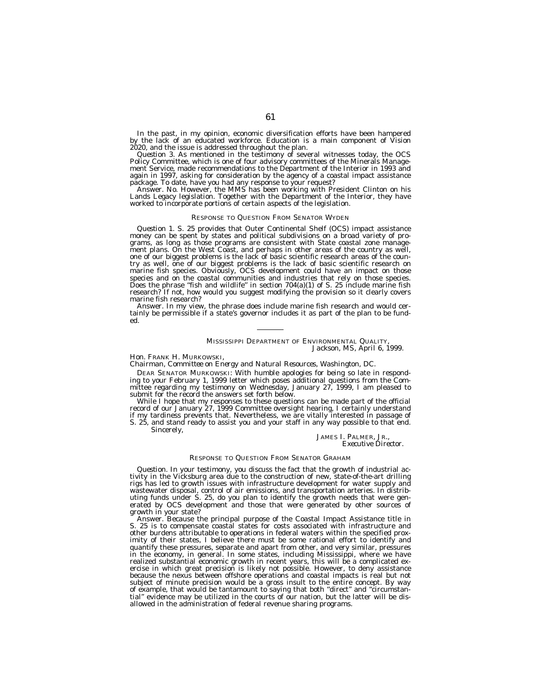In the past, in my opinion, economic diversification efforts have been hampered by the lack of an educated workforce. Education is a main component of Vision 2020, and the issue is addressed throughout the plan.

*Question 3.* As mentioned in the testimony of several witnesses today, the OCS Policy Committee, which is one of four advisory committees of the Minerals Management Service, made recommendations to the Department of the Interior in 1993 and again in 1997, asking for consideration by the agency of a coastal impact assistance

package. To date, have you had any response to your request? Answer. No. However, the MMS has been working with President Clinton on his Lands Legacy legislation. Together with the Department of the Interior, they have worked to incorporate portions of certain aspects of the legislation.

## RESPONSE TO QUESTION FROM SENATOR WYDEN

*Question 1.* S. 25 provides that Outer Continental Shelf (OCS) impact assistance money can be spent by states and political subdivisions on a broad variety of programs, as long as those programs are consistent with State coastal zone management plans. On the West Coast, and perhaps in other areas of th try as well, one of our biggest problems is the lack of basic scientific research on marine fish species. Obviously, OCS development could have an impact on those species and on the coastal communities and industries that rely on those species. Does the phrase "fish and wildlife" in section 704(a)(1) of S. 25 include marine fish research? If not, how would you suggest modifying the provision so it clearly covers marine fish research?

Answer. In my view, the phrase does include marine fish research and would certainly be permissible if a state's governor includes it as part of the plan to be funded.

# MISSISSIPPI DEPARTMENT OF ENVIRONMENTAL QUALITY, *Jackson, MS, April 6, 1999.*

# Hon. FRANK H. MURKOWSKI,

*Chairman, Committee on Energy and Natural Resources, Washington, DC.*

DEAR SENATOR MURKOWSKI: With humble apologies for being so late in responding to your February 1, 1999 letter which poses additional questions from the Committee regarding my testimony on Wednesday, January 27, 1999, I am pleased to submit for the record the answers set forth below.

While I hope that my responses to these questions can be made part of the official record of our January 27, 1999 Committee oversight hearing, I certainly understand if my tardiness prevents that. Nevertheless, we are vitally interested in passage of S. 25, and stand ready to assist you and your staff in any way possible to that end.

Sincerely,

JAMES I. PALMER, JR., *Executive Director.*

#### RESPONSE TO QUESTION FROM SENATOR GRAHAM

*Question.* In your testimony, you discuss the fact that the growth of industrial activity in the Vicksburg area due to the construction of new, state-of-the-art drilling rigs has led to growth issues with infrastructure development for water supply and wastewater disposal, control of air emissions, and transportation arteries. In distributing funds under S. 25, do you plan to identify the growth needs that were generated by OCS development and those that were generated by other sources of growth in your state?

Answer. Because the principal purpose of the Coastal Impact Assistance title in S. 25 is to compensate coastal states for costs associated with infrastructure and other burdens attributable to operations in federal waters within the specified proximity of their states, I believe there must be some rational effort to identify and quantify these pressures, separate and apart from other, and very similar, pressures in the economy, in general. In some states, including Mississippi, where we have realized substantial economic growth in recent years, this will be a complicated exercise in which great precision is likely not possible. However, to deny assistance because the nexus between offshore operations and coastal impacts is real but not subject of minute precision would be a gross insult to the entire concept. By way of example, that would be tantamount to saying that both ''direct'' and ''circumstantial'' evidence may be utilized in the courts of our nation, but the latter will be disallowed in the administration of federal revenue sharing programs.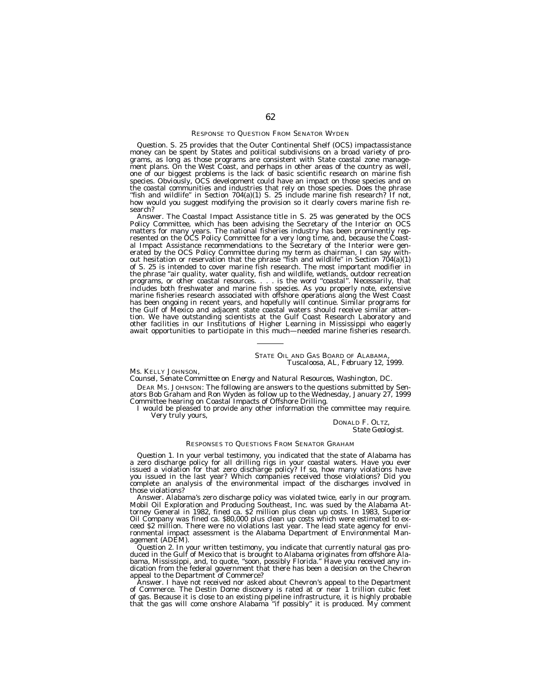## RESPONSE TO QUESTION FROM SENATOR WYDEN

*Question.* S. 25 provides that the Outer Continental Shelf (OCS) impactassistance money can be spent by States and political subdivisions on a broad variety of programs, as long as those programs are consistent with State coastal zone management plans. On the West Coast, and perhaps in other areas of the country as well, one of our biggest problems is the lack of basic scientific research on marine fish species. Obviously, OCS development could have an impact on those species and on the coastal communities and industries that rely on those species. Does the phrase ''fish and wildlife'' in Section 704(a)(1) S. 25 include marine fish research? If not, how would you suggest modifying the provision so it clearly covers marine fish research?

Answer. The Coastal Impact Assistance title in S. 25 was generated by the OCS Policy Committee, which has been advising the Secretary of the Interior on OCS matters for many years. The national fisheries industry has been prominently represented on the OCS Policy Committee for a very long time, and, because the Coastal Impact Assistance recommendations to the Secretary of the Interior were generated by the OCS Policy Committee during my term as chairman, I can say without hesitation or reservation that the phrase ''fish and wildlife'' in Section 704(a)(1) of S. 25 is intended to cover marine fish research. The most important modifier in the phrase ''air quality, water quality, fish and wildlife, wetlands, outdoor recreation programs, or other coastal resources. . . . is the word ''coastal''. Necessarily, that includes both freshwater and marine fish species. As you properly note, extensive marine fisheries research associated with offshore operations along the West Coast has been ongoing in recent years, and hopefully will continue. Similar programs for the Gulf of Mexico and adjacent state coastal waters should receive similar attention. We have outstanding scientists at the Gulf Coast Research Laboratory and other facilities in our Institutions of Higher Learning in Mississippi who eagerly await opportunities to participate in this much—needed marine fisheries research.

# STATE OIL AND GAS BOARD OF ALABAMA, *Tuscaloosa, AL, February 12, 1999.*

#### Ms. KELLY JOHNSON,

*Counsel, Senate Committee on Energy and Natural Resources, Washington, DC.*

DEAR MS. JOHNSON: The following are answers to the questions submitted by Senators Bob Graham and Ron Wyden as follow up to the Wednesday, January 27, 1999 Committee hearing on Coastal Impacts of Offshore Drilling.

I would be pleased to provide any other information the committee may require. Very truly yours,

DONALD F. OLTZ, *State Geologist.*

# RESPONSES TO QUESTIONS FROM SENATOR GRAHAM

*Question 1.* In your verbal testimony, you indicated that the state of Alabama has a zero discharge policy for all drilling rigs in your coastal waters. Have you ever issued a violation for that zero discharge policy? If so, how many violations have you issued in the last year? Which companies received those violations? Did you complete an analysis of the environmental impact of the discharges involved in those violations?

Answer. Alabama's zero discharge policy was violated twice, early in our program. Mobil Oil Exploration and Producing Southeast, Inc. was sued by the Alabama Attorney General in 1982, fined ca. \$2 million plus clean up costs. In 1983, Superior Oil Company was fined ca. \$80,000 plus clean up costs which were estimated to exceed \$2 million. There were no violations last year. The lead state agency for environmental impact assessment is the Alabama Department of Environmental Management (ADEM).

*Question 2.* In your written testimony, you indicate that currently natural gas produced in the Gulf of Mexico that is brought to Alabama originates from offshore Alabama, Mississippi, and, to quote, ''soon, possibly Florida.'' Have you received any indication from the federal government that there has been a decision on the Chevron appeal to the Department of Commerce?

Answer. I have not received nor asked about Chevron's appeal to the Department of Commerce. The Destin Dome discovery is rated at or near 1 trillion cubic feet of gas. Because it is close to an existing pipeline infrastructure, it is highly probable that the gas will come onshore Alabama ''if possibly'' it is produced. My comment